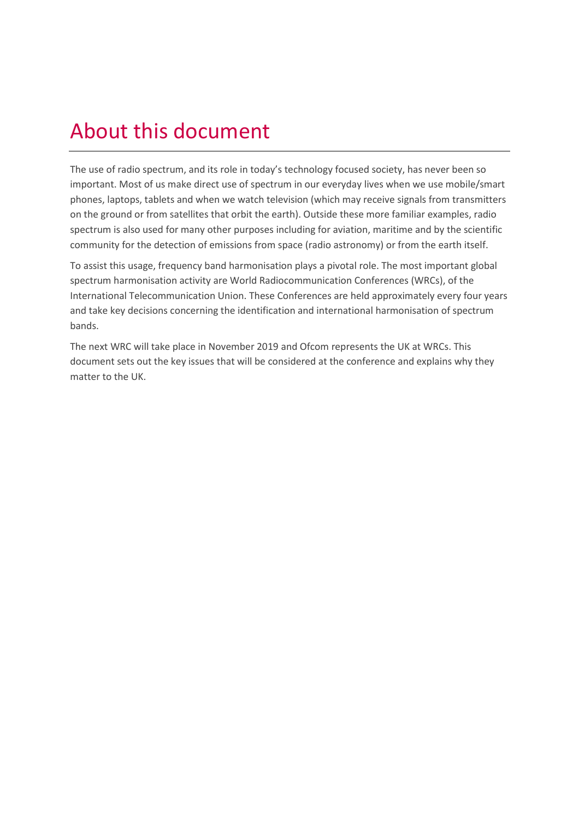## About this document

The use of radio spectrum, and its role in today's technology focused society, has never been so important. Most of us make direct use of spectrum in our everyday lives when we use mobile/smart phones, laptops, tablets and when we watch television (which may receive signals from transmitters on the ground or from satellites that orbit the earth). Outside these more familiar examples, radio spectrum is also used for many other purposes including for aviation, maritime and by the scientific community for the detection of emissions from space (radio astronomy) or from the earth itself.

To assist this usage, frequency band harmonisation plays a pivotal role. The most important global spectrum harmonisation activity are World Radiocommunication Conferences (WRCs), of the International Telecommunication Union. These Conferences are held approximately every four years and take key decisions concerning the identification and international harmonisation of spectrum bands.

The next WRC will take place in November 2019 and Ofcom represents the UK at WRCs. This document sets out the key issues that will be considered at the conference and explains why they matter to the UK.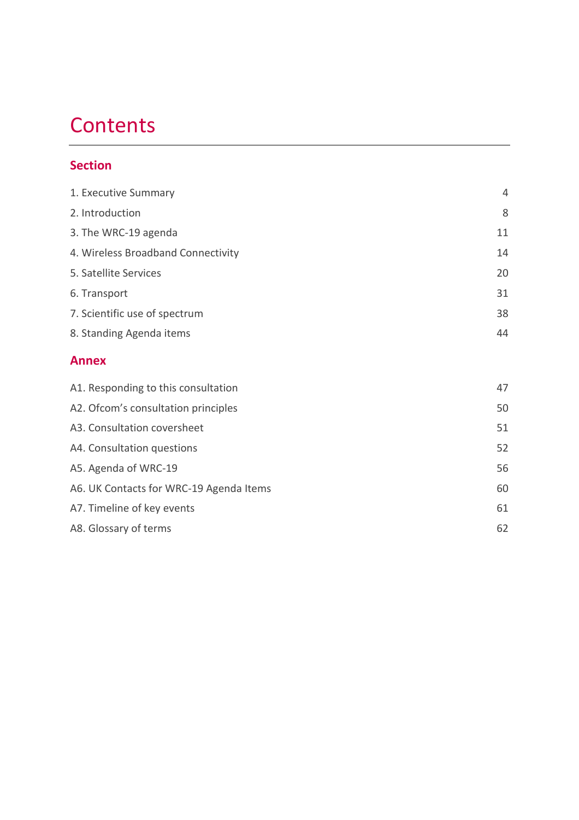## **Contents**

#### **Section**

| 4  |
|----|
| 8  |
| 11 |
| 14 |
| 20 |
| 31 |
| 38 |
| 44 |
|    |
| 47 |
| 50 |
| 51 |
| 52 |
| 56 |
| 60 |
| 61 |
|    |

[A8. Glossary of terms](#page-61-0) 62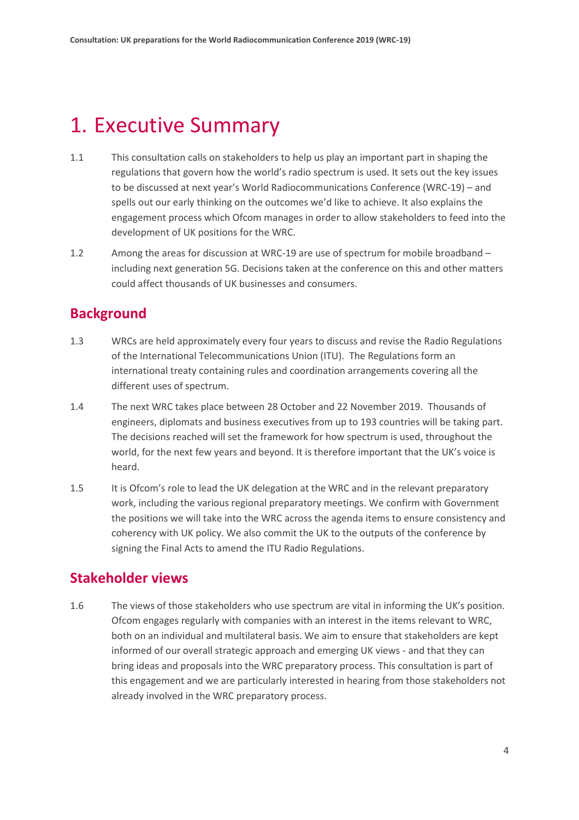### <span id="page-3-0"></span>1. Executive Summary

- 1.1 This consultation calls on stakeholders to help us play an important part in shaping the regulations that govern how the world's radio spectrum is used. It sets out the key issues to be discussed at next year's World Radiocommunications Conference (WRC-19) – and spells out our early thinking on the outcomes we'd like to achieve. It also explains the engagement process which Ofcom manages in order to allow stakeholders to feed into the development of UK positions for the WRC.
- 1.2 Among the areas for discussion at WRC-19 are use of spectrum for mobile broadband including next generation 5G. Decisions taken at the conference on this and other matters could affect thousands of UK businesses and consumers.

#### **Background**

- 1.3 WRCs are held approximately every four years to discuss and revise the Radio Regulations of the International Telecommunications Union (ITU). The Regulations form an international treaty containing rules and coordination arrangements covering all the different uses of spectrum.
- 1.4 The next WRC takes place between 28 October and 22 November 2019. Thousands of engineers, diplomats and business executives from up to 193 countries will be taking part. The decisions reached will set the framework for how spectrum is used, throughout the world, for the next few years and beyond. It is therefore important that the UK's voice is heard.
- 1.5 It is Ofcom's role to lead the UK delegation at the WRC and in the relevant preparatory work, including the various regional preparatory meetings. We confirm with Government the positions we will take into the WRC across the agenda items to ensure consistency and coherency with UK policy. We also commit the UK to the outputs of the conference by signing the Final Acts to amend the ITU Radio Regulations.

#### **Stakeholder views**

1.6 The views of those stakeholders who use spectrum are vital in informing the UK's position. Ofcom engages regularly with companies with an interest in the items relevant to WRC, both on an individual and multilateral basis. We aim to ensure that stakeholders are kept informed of our overall strategic approach and emerging UK views - and that they can bring ideas and proposals into the WRC preparatory process. This consultation is part of this engagement and we are particularly interested in hearing from those stakeholders not already involved in the WRC preparatory process.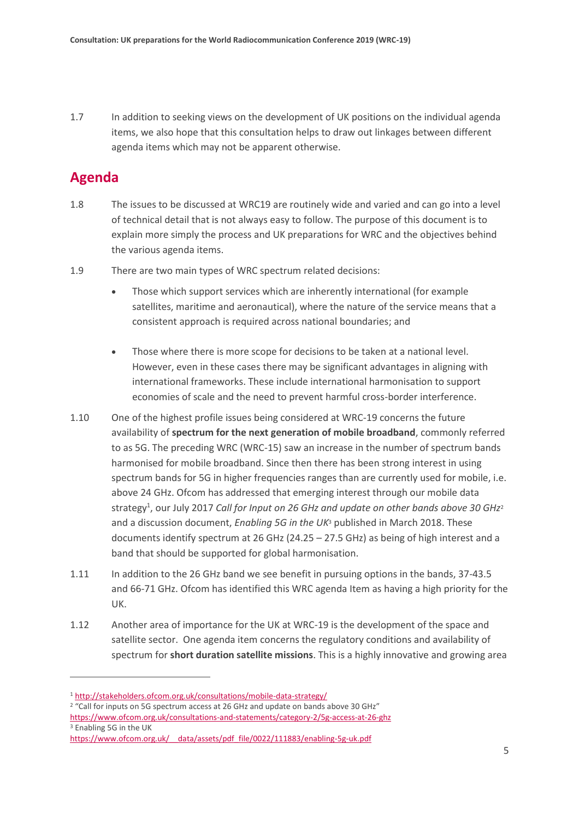1.7 In addition to seeking views on the development of UK positions on the individual agenda items, we also hope that this consultation helps to draw out linkages between different agenda items which may not be apparent otherwise.

#### **Agenda**

 $\overline{a}$ 

- 1.8 The issues to be discussed at WRC19 are routinely wide and varied and can go into a level of technical detail that is not always easy to follow. The purpose of this document is to explain more simply the process and UK preparations for WRC and the objectives behind the various agenda items.
- 1.9 There are two main types of WRC spectrum related decisions:
	- Those which support services which are inherently international (for example satellites, maritime and aeronautical), where the nature of the service means that a consistent approach is required across national boundaries; and
	- Those where there is more scope for decisions to be taken at a national level. However, even in these cases there may be significant advantages in aligning with international frameworks. These include international harmonisation to support economies of scale and the need to prevent harmful cross-border interference.
- 1.10 One of the highest profile issues being considered at WRC-19 concerns the future availability of **spectrum for the next generation of mobile broadband**, commonly referred to as 5G. The preceding WRC (WRC-15) saw an increase in the number of spectrum bands harmonised for mobile broadband. Since then there has been strong interest in using spectrum bands for 5G in higher frequencies ranges than are currently used for mobile, i.e. above 24 GHz. Ofcom has addressed that emerging interest through our mobile data strategy<sup>1</sup>, our July 2017 Call for Input on 26 GHz and update on other bands above 30 GHz<sup>2</sup> and a discussion document, *Enabling 5G in the UK*<sup>3</sup> published in March 2018. These documents identify spectrum at 26 GHz (24.25 – 27.5 GHz) as being of high interest and a band that should be supported for global harmonisation.
- 1.11 In addition to the 26 GHz band we see benefit in pursuing options in the bands, 37-43.5 and 66-71 GHz. Ofcom has identified this WRC agenda Item as having a high priority for the UK.
- 1.12 Another area of importance for the UK at WRC-19 is the development of the space and satellite sector. One agenda item concerns the regulatory conditions and availability of spectrum for **short duration satellite missions**. This is a highly innovative and growing area

<sup>2</sup> "Call for inputs on 5G spectrum access at 26 GHz and update on bands above 30 GHz"

<sup>1</sup> <http://stakeholders.ofcom.org.uk/consultations/mobile-data-strategy/>

<https://www.ofcom.org.uk/consultations-and-statements/category-2/5g-access-at-26-ghz> <sup>3</sup> Enabling 5G in the UK

https://www.ofcom.org.uk/ data/assets/pdf file/0022/111883/enabling-5g-uk.pdf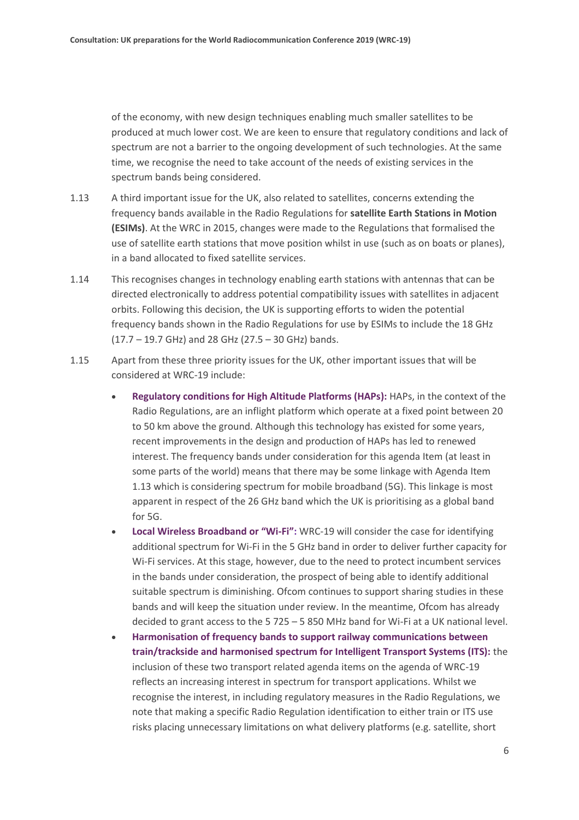of the economy, with new design techniques enabling much smaller satellites to be produced at much lower cost. We are keen to ensure that regulatory conditions and lack of spectrum are not a barrier to the ongoing development of such technologies. At the same time, we recognise the need to take account of the needs of existing services in the spectrum bands being considered.

- 1.13 A third important issue for the UK, also related to satellites, concerns extending the frequency bands available in the Radio Regulations for **satellite Earth Stations in Motion (ESIMs)**. At the WRC in 2015, changes were made to the Regulations that formalised the use of satellite earth stations that move position whilst in use (such as on boats or planes), in a band allocated to fixed satellite services.
- 1.14 This recognises changes in technology enabling earth stations with antennas that can be directed electronically to address potential compatibility issues with satellites in adjacent orbits. Following this decision, the UK is supporting efforts to widen the potential frequency bands shown in the Radio Regulations for use by ESIMs to include the 18 GHz (17.7 – 19.7 GHz) and 28 GHz (27.5 – 30 GHz) bands.
- 1.15 Apart from these three priority issues for the UK, other important issues that will be considered at WRC-19 include:
	- **Regulatory conditions for High Altitude Platforms (HAPs):** HAPs, in the context of the Radio Regulations, are an inflight platform which operate at a fixed point between 20 to 50 km above the ground. Although this technology has existed for some years, recent improvements in the design and production of HAPs has led to renewed interest. The frequency bands under consideration for this agenda Item (at least in some parts of the world) means that there may be some linkage with Agenda Item 1.13 which is considering spectrum for mobile broadband (5G). This linkage is most apparent in respect of the 26 GHz band which the UK is prioritising as a global band for 5G.
	- **Local Wireless Broadband or "Wi-Fi":** WRC-19 will consider the case for identifying additional spectrum for Wi-Fi in the 5 GHz band in order to deliver further capacity for Wi-Fi services. At this stage, however, due to the need to protect incumbent services in the bands under consideration, the prospect of being able to identify additional suitable spectrum is diminishing. Ofcom continues to support sharing studies in these bands and will keep the situation under review. In the meantime, Ofcom has already decided to grant access to the 5 725 – 5 850 MHz band for Wi-Fi at a UK national level.
	- **Harmonisation of frequency bands to support railway communications between train/trackside and harmonised spectrum for Intelligent Transport Systems (ITS):** the inclusion of these two transport related agenda items on the agenda of WRC-19 reflects an increasing interest in spectrum for transport applications. Whilst we recognise the interest, in including regulatory measures in the Radio Regulations, we note that making a specific Radio Regulation identification to either train or ITS use risks placing unnecessary limitations on what delivery platforms (e.g. satellite, short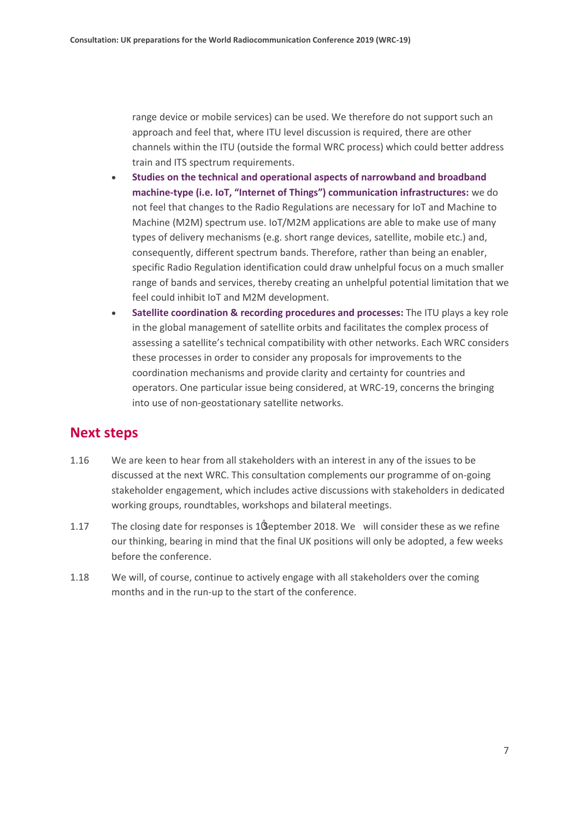range device or mobile services) can be used. We therefore do not support such an approach and feel that, where ITU level discussion is required, there are other channels within the ITU (outside the formal WRC process) which could better address train and ITS spectrum requirements.

- **Studies on the technical and operational aspects of narrowband and broadband machine-type (i.e. IoT, "Internet of Things") communication infrastructures:** we do not feel that changes to the Radio Regulations are necessary for IoT and Machine to Machine (M2M) spectrum use. IoT/M2M applications are able to make use of many types of delivery mechanisms (e.g. short range devices, satellite, mobile etc.) and, consequently, different spectrum bands. Therefore, rather than being an enabler, specific Radio Regulation identification could draw unhelpful focus on a much smaller range of bands and services, thereby creating an unhelpful potential limitation that we feel could inhibit IoT and M2M development.
- **Satellite coordination & recording procedures and processes:** The ITU plays a key role in the global management of satellite orbits and facilitates the complex process of assessing a satellite's technical compatibility with other networks. Each WRC considers these processes in order to consider any proposals for improvements to the coordination mechanisms and provide clarity and certainty for countries and operators. One particular issue being considered, at WRC-19, concerns the bringing into use of non-geostationary satellite networks.

#### **Next steps**

- 1.16 We are keen to hear from all stakeholders with an interest in any of the issues to be discussed at the next WRC. This consultation complements our programme of on-going stakeholder engagement, which includes active discussions with stakeholders in dedicated working groups, roundtables, workshops and bilateral meetings.
- 1.17 The closing date for responses is 1ïSeptember 2018. We will consider these as we refine our thinking, bearing in mind that the final UK positions will only be adopted, a few weeks before the conference.
- 1.18 We will, of course, continue to actively engage with all stakeholders over the coming months and in the run-up to the start of the conference.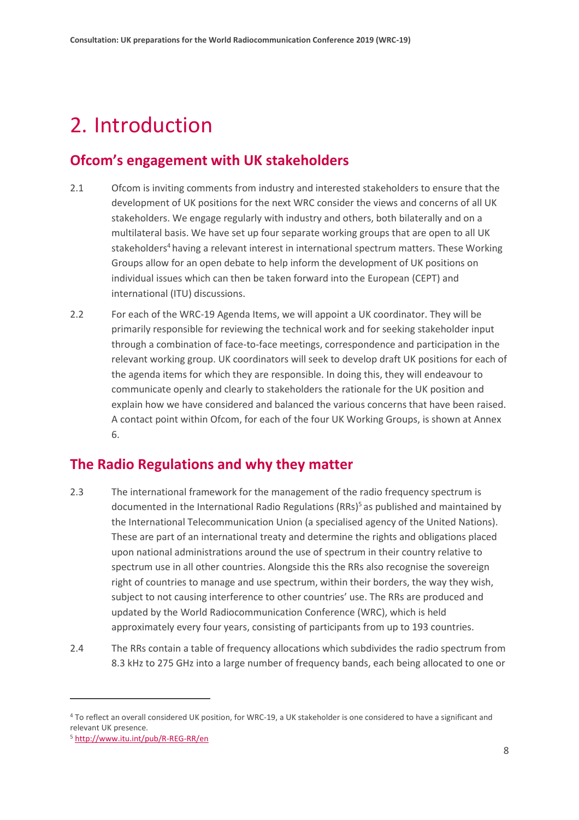## <span id="page-7-0"></span>2. Introduction

#### **Ofcom's engagement with UK stakeholders**

- 2.1 Ofcom is inviting comments from industry and interested stakeholders to ensure that the development of UK positions for the next WRC consider the views and concerns of all UK stakeholders. We engage regularly with industry and others, both bilaterally and on a multilateral basis. We have set up four separate working groups that are open to all UK stakeholders<sup>4</sup> having a relevant interest in international spectrum matters. These Working Groups allow for an open debate to help inform the development of UK positions on individual issues which can then be taken forward into the European (CEPT) and international (ITU) discussions.
- 2.2 For each of the WRC-19 Agenda Items, we will appoint a UK coordinator. They will be primarily responsible for reviewing the technical work and for seeking stakeholder input through a combination of face-to-face meetings, correspondence and participation in the relevant working group. UK coordinators will seek to develop draft UK positions for each of the agenda items for which they are responsible. In doing this, they will endeavour to communicate openly and clearly to stakeholders the rationale for the UK position and explain how we have considered and balanced the various concerns that have been raised. A contact point within Ofcom, for each of the four UK Working Groups, is shown at Annex 6.

#### **The Radio Regulations and why they matter**

- 2.3 The international framework for the management of the radio frequency spectrum is documented in the International Radio Regulations (RRs)<sup>5</sup> as published and maintained by the International Telecommunication Union (a specialised agency of the United Nations). These are part of an international treaty and determine the rights and obligations placed upon national administrations around the use of spectrum in their country relative to spectrum use in all other countries. Alongside this the RRs also recognise the sovereign right of countries to manage and use spectrum, within their borders, the way they wish, subject to not causing interference to other countries' use. The RRs are produced and updated by the World Radiocommunication Conference (WRC), which is held approximately every four years, consisting of participants from up to 193 countries.
- 2.4 The RRs contain a table of frequency allocations which subdivides the radio spectrum from 8.3 kHz to 275 GHz into a large number of frequency bands, each being allocated to one or

<sup>4</sup> To reflect an overall considered UK position, for WRC-19, a UK stakeholder is one considered to have a significant and relevant UK presence.

<sup>5</sup> <http://www.itu.int/pub/R-REG-RR/en>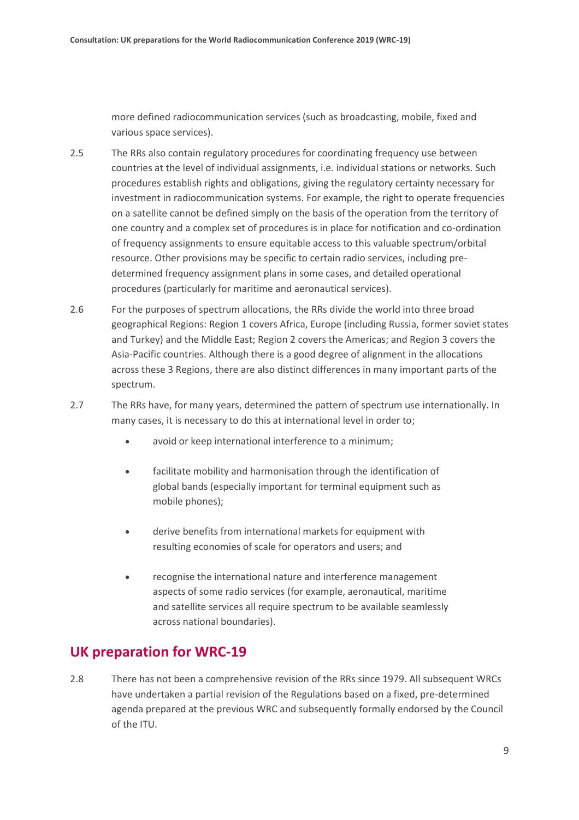more defined radiocommunication services (such as broadcasting, mobile, fixed and various space services).

- 2.5 The RRs also contain regulatory procedures for coordinating frequency use between countries at the level of individual assignments, i.e. individual stations or networks. Such procedures establish rights and obligations, giving the regulatory certainty necessary for investment in radiocommunication systems. For example, the right to operate frequencies on a satellite cannot be defined simply on the basis of the operation from the territory of one country and a complex set of procedures is in place for notification and co-ordination of frequency assignments to ensure equitable access to this valuable spectrum/orbital resource. Other provisions may be specific to certain radio services, including predetermined frequency assignment plans in some cases, and detailed operational procedures (particularly for maritime and aeronautical services).
- 2.6 For the purposes of spectrum allocations, the RRs divide the world into three broad geographical Regions: Region 1 covers Africa, Europe (including Russia, former soviet states and Turkey) and the Middle East; Region 2 covers the Americas; and Region 3 covers the Asia-Pacific countries. Although there is a good degree of alignment in the allocations across these 3 Regions, there are also distinct differences in many important parts of the spectrum.
- 2.7 The RRs have, for many years, determined the pattern of spectrum use internationally. In many cases, it is necessary to do this at international level in order to;
	- avoid or keep international interference to a minimum;
	- facilitate mobility and harmonisation through the identification of global bands (especially important for terminal equipment such as mobile phones);
	- derive benefits from international markets for equipment with resulting economies of scale for operators and users; and
	- recognise the international nature and interference management aspects of some radio services (for example, aeronautical, maritime and satellite services all require spectrum to be available seamlessly across national boundaries).

#### **UK preparation for WRC-19**

2.8 There has not been a comprehensive revision of the RRs since 1979. All subsequent WRCs have undertaken a partial revision of the Regulations based on a fixed, pre-determined agenda prepared at the previous WRC and subsequently formally endorsed by the Council of the ITU.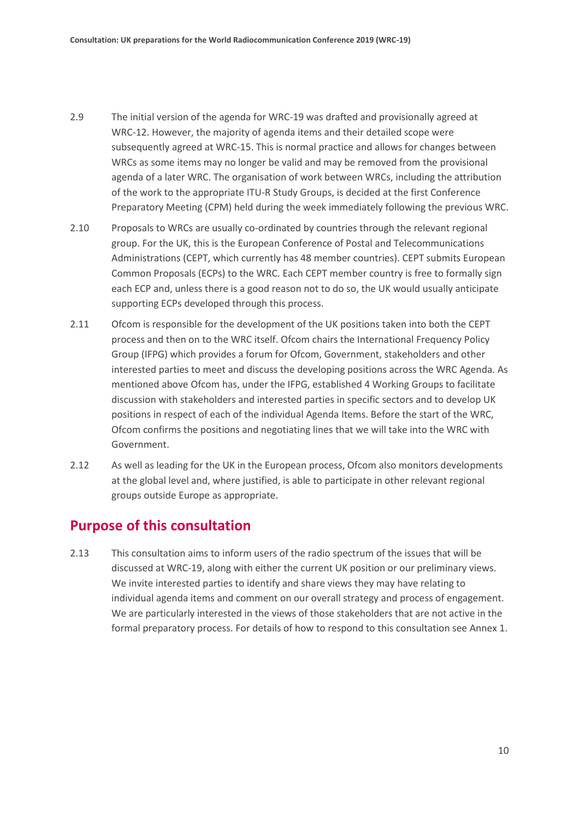- 2.9 The initial version of the agenda for WRC-19 was drafted and provisionally agreed at WRC-12. However, the majority of agenda items and their detailed scope were subsequently agreed at WRC-15. This is normal practice and allows for changes between WRCs as some items may no longer be valid and may be removed from the provisional agenda of a later WRC. The organisation of work between WRCs, including the attribution of the work to the appropriate ITU-R Study Groups, is decided at the first Conference Preparatory Meeting (CPM) held during the week immediately following the previous WRC.
- 2.10 Proposals to WRCs are usually co-ordinated by countries through the relevant regional group. For the UK, this is the European Conference of Postal and Telecommunications Administrations (CEPT, which currently has 48 member countries). CEPT submits European Common Proposals (ECPs) to the WRC. Each CEPT member country is free to formally sign each ECP and, unless there is a good reason not to do so, the UK would usually anticipate supporting ECPs developed through this process.
- 2.11 Ofcom is responsible for the development of the UK positions taken into both the CEPT process and then on to the WRC itself. Ofcom chairs the International Frequency Policy Group (IFPG) which provides a forum for Ofcom, Government, stakeholders and other interested parties to meet and discuss the developing positions across the WRC Agenda. As mentioned above Ofcom has, under the IFPG, established 4 Working Groups to facilitate discussion with stakeholders and interested parties in specific sectors and to develop UK positions in respect of each of the individual Agenda Items. Before the start of the WRC, Ofcom confirms the positions and negotiating lines that we will take into the WRC with Government.
- 2.12 As well as leading for the UK in the European process, Ofcom also monitors developments at the global level and, where justified, is able to participate in other relevant regional groups outside Europe as appropriate.

#### **Purpose of this consultation**

2.13 This consultation aims to inform users of the radio spectrum of the issues that will be discussed at WRC-19, along with either the current UK position or our preliminary views. We invite interested parties to identify and share views they may have relating to individual agenda items and comment on our overall strategy and process of engagement. We are particularly interested in the views of those stakeholders that are not active in the formal preparatory process. For details of how to respond to this consultation see Annex 1.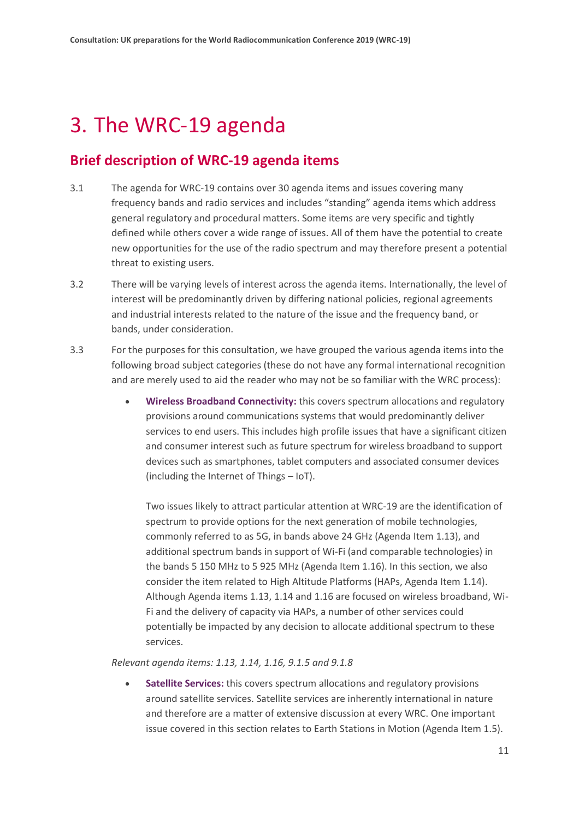## <span id="page-10-0"></span>3. The WRC-19 agenda

#### **Brief description of WRC-19 agenda items**

- 3.1 The agenda for WRC-19 contains over 30 agenda items and issues covering many frequency bands and radio services and includes "standing" agenda items which address general regulatory and procedural matters. Some items are very specific and tightly defined while others cover a wide range of issues. All of them have the potential to create new opportunities for the use of the radio spectrum and may therefore present a potential threat to existing users.
- 3.2 There will be varying levels of interest across the agenda items. Internationally, the level of interest will be predominantly driven by differing national policies, regional agreements and industrial interests related to the nature of the issue and the frequency band, or bands, under consideration.
- 3.3 For the purposes for this consultation, we have grouped the various agenda items into the following broad subject categories (these do not have any formal international recognition and are merely used to aid the reader who may not be so familiar with the WRC process):
	- **Wireless Broadband Connectivity:** this covers spectrum allocations and regulatory provisions around communications systems that would predominantly deliver services to end users. This includes high profile issues that have a significant citizen and consumer interest such as future spectrum for wireless broadband to support devices such as smartphones, tablet computers and associated consumer devices (including the Internet of Things – IoT).

Two issues likely to attract particular attention at WRC-19 are the identification of spectrum to provide options for the next generation of mobile technologies, commonly referred to as 5G, in bands above 24 GHz (Agenda Item 1.13), and additional spectrum bands in support of Wi-Fi (and comparable technologies) in the bands 5 150 MHz to 5 925 MHz (Agenda Item 1.16). In this section, we also consider the item related to High Altitude Platforms (HAPs, Agenda Item 1.14). Although Agenda items 1.13, 1.14 and 1.16 are focused on wireless broadband, Wi-Fi and the delivery of capacity via HAPs, a number of other services could potentially be impacted by any decision to allocate additional spectrum to these services.

*Relevant agenda items: 1.13, 1.14, 1.16, 9.1.5 and 9.1.8*

• **Satellite Services:** this covers spectrum allocations and regulatory provisions around satellite services. Satellite services are inherently international in nature and therefore are a matter of extensive discussion at every WRC. One important issue covered in this section relates to Earth Stations in Motion (Agenda Item 1.5).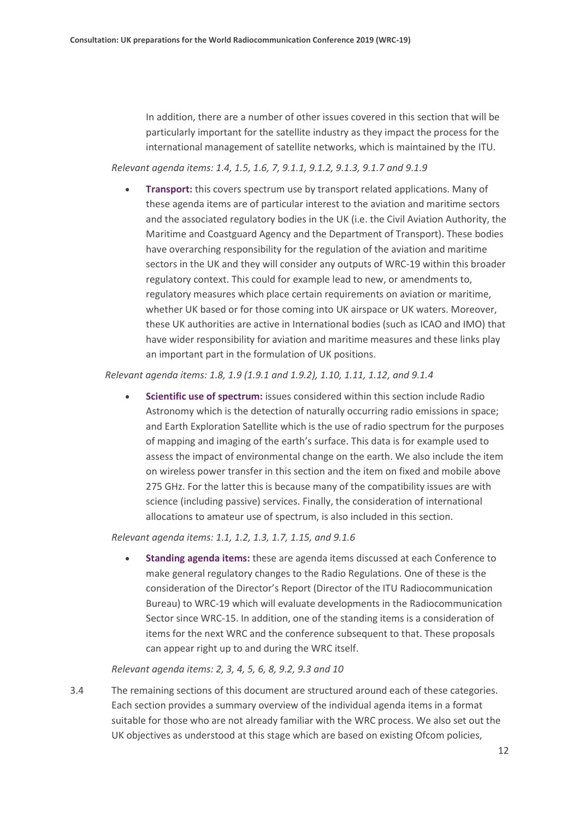In addition, there are a number of other issues covered in this section that will be particularly important for the satellite industry as they impact the process for the international management of satellite networks, which is maintained by the ITU.

*Relevant agenda items: 1.4, 1.5, 1.6, 7, 9.1.1, 9.1.2, 9.1.3, 9.1.7 and 9.1.9*

• **Transport:** this covers spectrum use by transport related applications. Many of these agenda items are of particular interest to the aviation and maritime sectors and the associated regulatory bodies in the UK (i.e. the Civil Aviation Authority, the Maritime and Coastguard Agency and the Department of Transport). These bodies have overarching responsibility for the regulation of the aviation and maritime sectors in the UK and they will consider any outputs of WRC-19 within this broader regulatory context. This could for example lead to new, or amendments to, regulatory measures which place certain requirements on aviation or maritime, whether UK based or for those coming into UK airspace or UK waters. Moreover, these UK authorities are active in International bodies (such as ICAO and IMO) that have wider responsibility for aviation and maritime measures and these links play an important part in the formulation of UK positions.

#### *Relevant agenda items: 1.8, 1.9 (1.9.1 and 1.9.2), 1.10, 1.11, 1.12, and 9.1.4*

• **Scientific use of spectrum:** issues considered within this section include Radio Astronomy which is the detection of naturally occurring radio emissions in space; and Earth Exploration Satellite which is the use of radio spectrum for the purposes of mapping and imaging of the earth's surface. This data is for example used to assess the impact of environmental change on the earth. We also include the item on wireless power transfer in this section and the item on fixed and mobile above 275 GHz. For the latter this is because many of the compatibility issues are with science (including passive) services. Finally, the consideration of international allocations to amateur use of spectrum, is also included in this section.

*Relevant agenda items: 1.1, 1.2, 1.3, 1.7, 1.15, and 9.1.6*

• **Standing agenda items:** these are agenda items discussed at each Conference to make general regulatory changes to the Radio Regulations. One of these is the consideration of the Director's Report (Director of the ITU Radiocommunication Bureau) to WRC-19 which will evaluate developments in the Radiocommunication Sector since WRC-15. In addition, one of the standing items is a consideration of items for the next WRC and the conference subsequent to that. These proposals can appear right up to and during the WRC itself.

#### *Relevant agenda items: 2, 3, 4, 5, 6, 8, 9.2, 9.3 and 10*

3.4 The remaining sections of this document are structured around each of these categories. Each section provides a summary overview of the individual agenda items in a format suitable for those who are not already familiar with the WRC process. We also set out the UK objectives as understood at this stage which are based on existing Ofcom policies,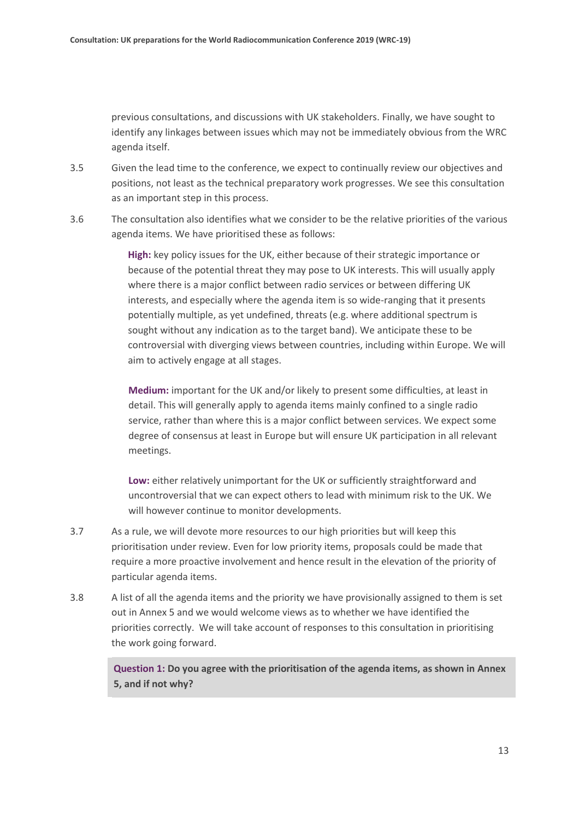previous consultations, and discussions with UK stakeholders. Finally, we have sought to identify any linkages between issues which may not be immediately obvious from the WRC agenda itself.

- 3.5 Given the lead time to the conference, we expect to continually review our objectives and positions, not least as the technical preparatory work progresses. We see this consultation as an important step in this process.
- 3.6 The consultation also identifies what we consider to be the relative priorities of the various agenda items. We have prioritised these as follows:

**High:** key policy issues for the UK, either because of their strategic importance or because of the potential threat they may pose to UK interests. This will usually apply where there is a major conflict between radio services or between differing UK interests, and especially where the agenda item is so wide-ranging that it presents potentially multiple, as yet undefined, threats (e.g. where additional spectrum is sought without any indication as to the target band). We anticipate these to be controversial with diverging views between countries, including within Europe. We will aim to actively engage at all stages.

**Medium:** important for the UK and/or likely to present some difficulties, at least in detail. This will generally apply to agenda items mainly confined to a single radio service, rather than where this is a major conflict between services. We expect some degree of consensus at least in Europe but will ensure UK participation in all relevant meetings.

**Low:** either relatively unimportant for the UK or sufficiently straightforward and uncontroversial that we can expect others to lead with minimum risk to the UK. We will however continue to monitor developments.

- 3.7 As a rule, we will devote more resources to our high priorities but will keep this prioritisation under review. Even for low priority items, proposals could be made that require a more proactive involvement and hence result in the elevation of the priority of particular agenda items.
- 3.8 A list of all the agenda items and the priority we have provisionally assigned to them is set out in Annex 5 and we would welcome views as to whether we have identified the priorities correctly. We will take account of responses to this consultation in prioritising the work going forward.

**Question 1: Do you agree with the prioritisation of the agenda items, as shown in Annex 5, and if not why?**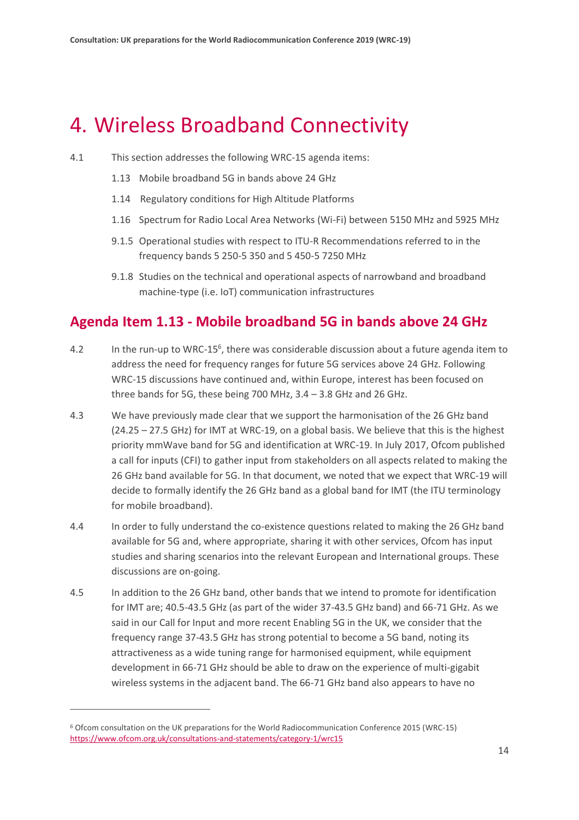## <span id="page-13-0"></span>4. Wireless Broadband Connectivity

- 4.1 This section addresses the following WRC-15 agenda items:
	- 1.13 Mobile broadband 5G in bands above 24 GHz
	- 1.14 Regulatory conditions for High Altitude Platforms
	- 1.16 Spectrum for Radio Local Area Networks (Wi-Fi) between 5150 MHz and 5925 MHz
	- 9.1.5 Operational studies with respect to ITU-R Recommendations referred to in the frequency bands 5 250-5 350 and 5 450-5 7250 MHz
	- 9.1.8 Studies on the technical and operational aspects of narrowband and broadband machine-type (i.e. IoT) communication infrastructures

#### **Agenda Item 1.13 - Mobile broadband 5G in bands above 24 GHz**

- 4.2 In the run-up to WRC-15<sup>6</sup>, there was considerable discussion about a future agenda item to address the need for frequency ranges for future 5G services above 24 GHz. Following WRC-15 discussions have continued and, within Europe, interest has been focused on three bands for 5G, these being 700 MHz, 3.4 – 3.8 GHz and 26 GHz.
- 4.3 We have previously made clear that we support the harmonisation of the 26 GHz band (24.25 – 27.5 GHz) for IMT at WRC-19, on a global basis. We believe that this is the highest priority mmWave band for 5G and identification at WRC-19. In July 2017, Ofcom published a call for inputs (CFI) to gather input from stakeholders on all aspects related to making the 26 GHz band available for 5G. In that document, we noted that we expect that WRC-19 will decide to formally identify the 26 GHz band as a global band for IMT (the ITU terminology for mobile broadband).
- 4.4 In order to fully understand the co-existence questions related to making the 26 GHz band available for 5G and, where appropriate, sharing it with other services, Ofcom has input studies and sharing scenarios into the relevant European and International groups. These discussions are on-going.
- 4.5 In addition to the 26 GHz band, other bands that we intend to promote for identification for IMT are; 40.5-43.5 GHz (as part of the wider 37-43.5 GHz band) and 66-71 GHz. As we said in our Call for Input and more recent Enabling 5G in the UK, we consider that the frequency range 37-43.5 GHz has strong potential to become a 5G band, noting its attractiveness as a wide tuning range for harmonised equipment, while equipment development in 66-71 GHz should be able to draw on the experience of multi-gigabit wireless systems in the adjacent band. The 66-71 GHz band also appears to have no

<sup>6</sup> Ofcom consultation on the UK preparations for the World Radiocommunication Conference 2015 (WRC-15) <https://www.ofcom.org.uk/consultations-and-statements/category-1/wrc15>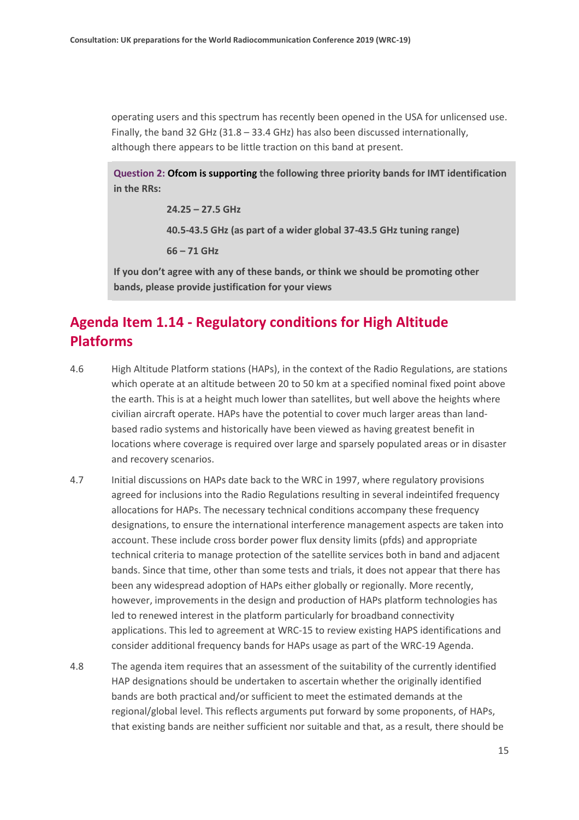operating users and this spectrum has recently been opened in the USA for unlicensed use. Finally, the band 32 GHz (31.8 – 33.4 GHz) has also been discussed internationally, although there appears to be little traction on this band at present.

**Question 2: Ofcom is supporting the following three priority bands for IMT identification in the RRs:**

> **24.25 – 27.5 GHz 40.5-43.5 GHz (as part of a wider global 37-43.5 GHz tuning range)**

**66 – 71 GHz**

**If you don't agree with any of these bands, or think we should be promoting other bands, please provide justification for your views**

#### **Agenda Item 1.14 - Regulatory conditions for High Altitude Platforms**

- 4.6 High Altitude Platform stations (HAPs), in the context of the Radio Regulations, are stations which operate at an altitude between 20 to 50 km at a specified nominal fixed point above the earth. This is at a height much lower than satellites, but well above the heights where civilian aircraft operate. HAPs have the potential to cover much larger areas than landbased radio systems and historically have been viewed as having greatest benefit in locations where coverage is required over large and sparsely populated areas or in disaster and recovery scenarios.
- 4.7 Initial discussions on HAPs date back to the WRC in 1997, where regulatory provisions agreed for inclusions into the Radio Regulations resulting in several indeintifed frequency allocations for HAPs. The necessary technical conditions accompany these frequency designations, to ensure the international interference management aspects are taken into account. These include cross border power flux density limits (pfds) and appropriate technical criteria to manage protection of the satellite services both in band and adjacent bands. Since that time, other than some tests and trials, it does not appear that there has been any widespread adoption of HAPs either globally or regionally. More recently, however, improvements in the design and production of HAPs platform technologies has led to renewed interest in the platform particularly for broadband connectivity applications. This led to agreement at WRC-15 to review existing HAPS identifications and consider additional frequency bands for HAPs usage as part of the WRC-19 Agenda.
- 4.8 The agenda item requires that an assessment of the suitability of the currently identified HAP designations should be undertaken to ascertain whether the originally identified bands are both practical and/or sufficient to meet the estimated demands at the regional/global level. This reflects arguments put forward by some proponents, of HAPs, that existing bands are neither sufficient nor suitable and that, as a result, there should be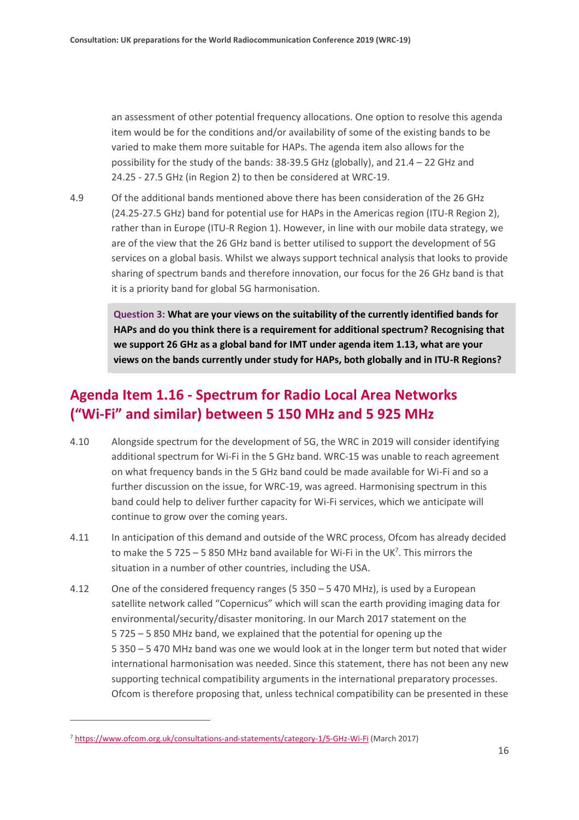an assessment of other potential frequency allocations. One option to resolve this agenda item would be for the conditions and/or availability of some of the existing bands to be varied to make them more suitable for HAPs. The agenda item also allows for the possibility for the study of the bands: 38-39.5 GHz (globally), and 21.4 – 22 GHz and 24.25 - 27.5 GHz (in Region 2) to then be considered at WRC-19.

4.9 Of the additional bands mentioned above there has been consideration of the 26 GHz (24.25-27.5 GHz) band for potential use for HAPs in the Americas region (ITU-R Region 2), rather than in Europe (ITU-R Region 1). However, in line with our mobile data strategy, we are of the view that the 26 GHz band is better utilised to support the development of 5G services on a global basis. Whilst we always support technical analysis that looks to provide sharing of spectrum bands and therefore innovation, our focus for the 26 GHz band is that it is a priority band for global 5G harmonisation.

**Question 3: What are your views on the suitability of the currently identified bands for HAPs and do you think there is a requirement for additional spectrum? Recognising that we support 26 GHz as a global band for IMT under agenda item 1.13, what are your views on the bands currently under study for HAPs, both globally and in ITU-R Regions?**

#### **Agenda Item 1.16 - Spectrum for Radio Local Area Networks ("Wi-Fi" and similar) between 5 150 MHz and 5 925 MHz**

- 4.10 Alongside spectrum for the development of 5G, the WRC in 2019 will consider identifying additional spectrum for Wi-Fi in the 5 GHz band. WRC-15 was unable to reach agreement on what frequency bands in the 5 GHz band could be made available for Wi-Fi and so a further discussion on the issue, for WRC-19, was agreed. Harmonising spectrum in this band could help to deliver further capacity for Wi-Fi services, which we anticipate will continue to grow over the coming years.
- 4.11 In anticipation of this demand and outside of the WRC process, Ofcom has already decided to make the 5 725  $-$  5 850 MHz band available for Wi-Fi in the UK<sup>7</sup>. This mirrors the situation in a number of other countries, including the USA.
- 4.12 One of the considered frequency ranges (5 350 5 470 MHz), is used by a European satellite network called "Copernicus" which will scan the earth providing imaging data for environmental/security/disaster monitoring. In our March 2017 statement on the 5 725 – 5 850 MHz band, we explained that the potential for opening up the 5 350 – 5 470 MHz band was one we would look at in the longer term but noted that wider international harmonisation was needed. Since this statement, there has not been any new supporting technical compatibility arguments in the international preparatory processes. Ofcom is therefore proposing that, unless technical compatibility can be presented in these

<sup>7</sup> <https://www.ofcom.org.uk/consultations-and-statements/category-1/5-GHz-Wi-Fi> (March 2017)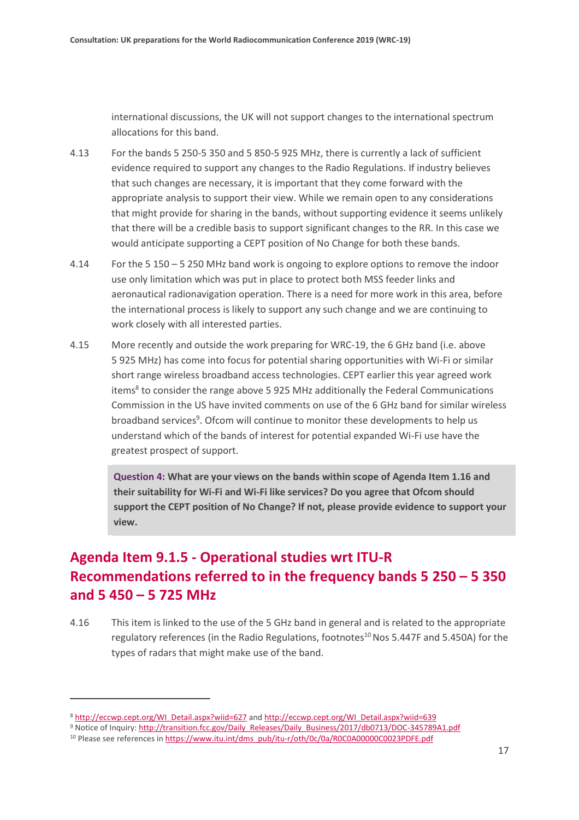international discussions, the UK will not support changes to the international spectrum allocations for this band.

- 4.13 For the bands 5 250-5 350 and 5 850-5 925 MHz, there is currently a lack of sufficient evidence required to support any changes to the Radio Regulations. If industry believes that such changes are necessary, it is important that they come forward with the appropriate analysis to support their view. While we remain open to any considerations that might provide for sharing in the bands, without supporting evidence it seems unlikely that there will be a credible basis to support significant changes to the RR. In this case we would anticipate supporting a CEPT position of No Change for both these bands.
- 4.14 For the 5 150 5 250 MHz band work is ongoing to explore options to remove the indoor use only limitation which was put in place to protect both MSS feeder links and aeronautical radionavigation operation. There is a need for more work in this area, before the international process is likely to support any such change and we are continuing to work closely with all interested parties.
- 4.15 More recently and outside the work preparing for WRC-19, the 6 GHz band (i.e. above 5 925 MHz) has come into focus for potential sharing opportunities with Wi-Fi or similar short range wireless broadband access technologies. CEPT earlier this year agreed work items<sup>8</sup> to consider the range above 5 925 MHz additionally the Federal Communications Commission in the US have invited comments on use of the 6 GHz band for similar wireless broadband services<sup>9</sup>. Ofcom will continue to monitor these developments to help us understand which of the bands of interest for potential expanded Wi-Fi use have the greatest prospect of support.

**Question 4: What are your views on the bands within scope of Agenda Item 1.16 and their suitability for Wi-Fi and Wi-Fi like services? Do you agree that Ofcom should support the CEPT position of No Change? If not, please provide evidence to support your view.**

### **Agenda Item 9.1.5 - Operational studies wrt ITU-R Recommendations referred to in the frequency bands 5 250 – 5 350 and 5 450 – 5 725 MHz**

4.16 This item is linked to the use of the 5 GHz band in general and is related to the appropriate regulatory references (in the Radio Regulations, footnotes<sup>10</sup> Nos 5.447F and 5.450A) for the types of radars that might make use of the band.

<sup>8</sup> [http://eccwp.cept.org/WI\\_Detail.aspx?wiid=627](http://eccwp.cept.org/WI_Detail.aspx?wiid=627) and [http://eccwp.cept.org/WI\\_Detail.aspx?wiid=639](http://eccwp.cept.org/WI_Detail.aspx?wiid=639)

<sup>9</sup> Notice of Inquiry[: http://transition.fcc.gov/Daily\\_Releases/Daily\\_Business/2017/db0713/DOC-345789A1.pdf](http://transition.fcc.gov/Daily_Releases/Daily_Business/2017/db0713/DOC-345789A1.pdf)

<sup>&</sup>lt;sup>10</sup> Please see references in [https://www.itu.int/dms\\_pub/itu-r/oth/0c/0a/R0C0A00000C0023PDFE.pdf](https://www.itu.int/dms_pub/itu-r/oth/0c/0a/R0C0A00000C0023PDFE.pdf)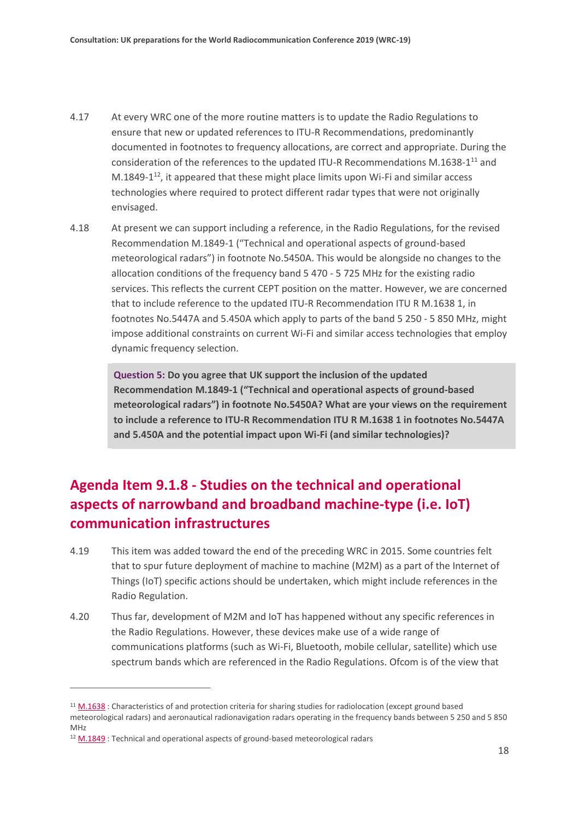- 4.17 At every WRC one of the more routine matters is to update the Radio Regulations to ensure that new or updated references to ITU-R Recommendations, predominantly documented in footnotes to frequency allocations, are correct and appropriate. During the consideration of the references to the updated ITU-R Recommendations M.1638-1<sup>11</sup> and  $M.1849-1<sup>12</sup>$ , it appeared that these might place limits upon Wi-Fi and similar access technologies where required to protect different radar types that were not originally envisaged.
- 4.18 At present we can support including a reference, in the Radio Regulations, for the revised Recommendation M.1849-1 ("Technical and operational aspects of ground-based meteorological radars") in footnote No.5450A. This would be alongside no changes to the allocation conditions of the frequency band 5 470 - 5 725 MHz for the existing radio services. This reflects the current CEPT position on the matter. However, we are concerned that to include reference to the updated ITU-R Recommendation ITU R M.1638 1, in footnotes No.5447A and 5.450A which apply to parts of the band 5 250 - 5 850 MHz, might impose additional constraints on current Wi-Fi and similar access technologies that employ dynamic frequency selection.

**Question 5: Do you agree that UK support the inclusion of the updated Recommendation M.1849-1 ("Technical and operational aspects of ground-based meteorological radars") in footnote No.5450A? What are your views on the requirement to include a reference to ITU-R Recommendation ITU R M.1638 1 in footnotes No.5447A and 5.450A and the potential impact upon Wi-Fi (and similar technologies)?**

### **Agenda Item 9.1.8 - Studies on the technical and operational aspects of narrowband and broadband machine-type (i.e. IoT) communication infrastructures**

- 4.19 This item was added toward the end of the preceding WRC in 2015. Some countries felt that to spur future deployment of machine to machine (M2M) as a part of the Internet of Things (IoT) specific actions should be undertaken, which might include references in the Radio Regulation.
- 4.20 Thus far, development of M2M and IoT has happened without any specific references in the Radio Regulations. However, these devices make use of a wide range of communications platforms (such as Wi-Fi, Bluetooth, mobile cellular, satellite) which use spectrum bands which are referenced in the Radio Regulations. Ofcom is of the view that

<sup>&</sup>lt;sup>11</sup> [M.1638](http://www.itu.int/rec/R-REC-M.1638-1-201501-I/en) : Characteristics of and protection criteria for sharing studies for radiolocation (except ground based meteorological radars) and aeronautical radionavigation radars operating in the frequency bands between 5 250 and 5 850 MHz

<sup>12</sup> [M.1849](http://www.itu.int/rec/R-REC-M.1849-1-201509-I/en) : Technical and operational aspects of ground-based meteorological radars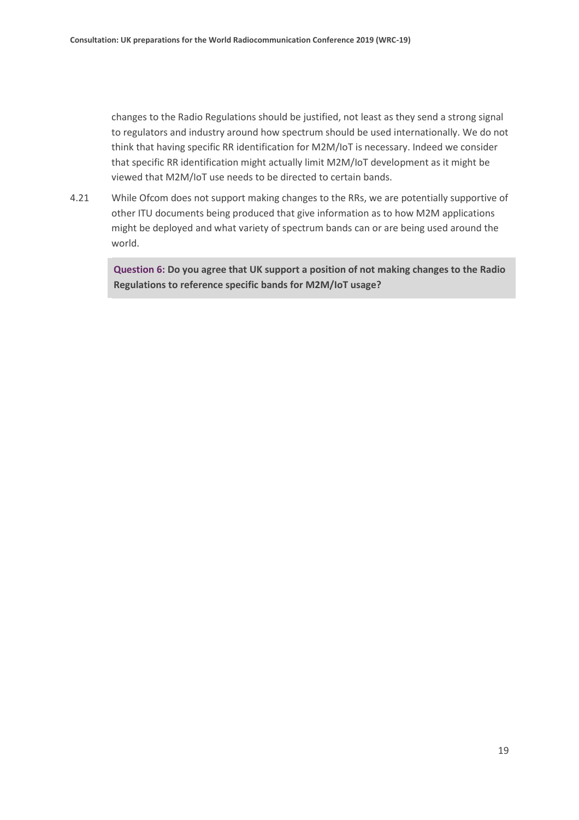changes to the Radio Regulations should be justified, not least as they send a strong signal to regulators and industry around how spectrum should be used internationally. We do not think that having specific RR identification for M2M/IoT is necessary. Indeed we consider that specific RR identification might actually limit M2M/IoT development as it might be viewed that M2M/IoT use needs to be directed to certain bands.

4.21 While Ofcom does not support making changes to the RRs, we are potentially supportive of other ITU documents being produced that give information as to how M2M applications might be deployed and what variety of spectrum bands can or are being used around the world.

**Question 6: Do you agree that UK support a position of not making changes to the Radio Regulations to reference specific bands for M2M/IoT usage?**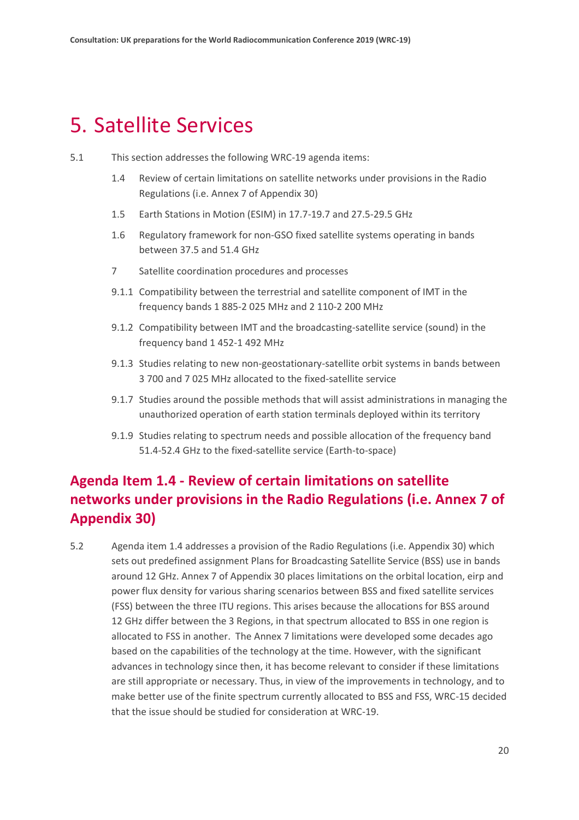### <span id="page-19-0"></span>5. Satellite Services

- 5.1 This section addresses the following WRC-19 agenda items:
	- 1.4 Review of certain limitations on satellite networks under provisions in the Radio Regulations (i.e. Annex 7 of Appendix 30)
	- 1.5 Earth Stations in Motion (ESIM) in 17.7-19.7 and 27.5-29.5 GHz
	- 1.6 Regulatory framework for non-GSO fixed satellite systems operating in bands between 37.5 and 51.4 GHz
	- 7 Satellite coordination procedures and processes
	- 9.1.1 Compatibility between the terrestrial and satellite component of IMT in the frequency bands 1 885-2 025 MHz and 2 110-2 200 MHz
	- 9.1.2 Compatibility between IMT and the broadcasting-satellite service (sound) in the frequency band 1 452-1 492 MHz
	- 9.1.3 Studies relating to new non-geostationary-satellite orbit systems in bands between 3 700 and 7 025 MHz allocated to the fixed-satellite service
	- 9.1.7 Studies around the possible methods that will assist administrations in managing the unauthorized operation of earth station terminals deployed within its territory
	- 9.1.9 Studies relating to spectrum needs and possible allocation of the frequency band 51.4-52.4 GHz to the fixed-satellite service (Earth-to-space)

#### **Agenda Item 1.4 - Review of certain limitations on satellite networks under provisions in the Radio Regulations (i.e. Annex 7 of Appendix 30)**

5.2 Agenda item 1.4 addresses a provision of the Radio Regulations (i.e. Appendix 30) which sets out predefined assignment Plans for Broadcasting Satellite Service (BSS) use in bands around 12 GHz. Annex 7 of Appendix 30 places limitations on the orbital location, eirp and power flux density for various sharing scenarios between BSS and fixed satellite services (FSS) between the three ITU regions. This arises because the allocations for BSS around 12 GHz differ between the 3 Regions, in that spectrum allocated to BSS in one region is allocated to FSS in another. The Annex 7 limitations were developed some decades ago based on the capabilities of the technology at the time. However, with the significant advances in technology since then, it has become relevant to consider if these limitations are still appropriate or necessary. Thus, in view of the improvements in technology, and to make better use of the finite spectrum currently allocated to BSS and FSS, WRC-15 decided that the issue should be studied for consideration at WRC-19.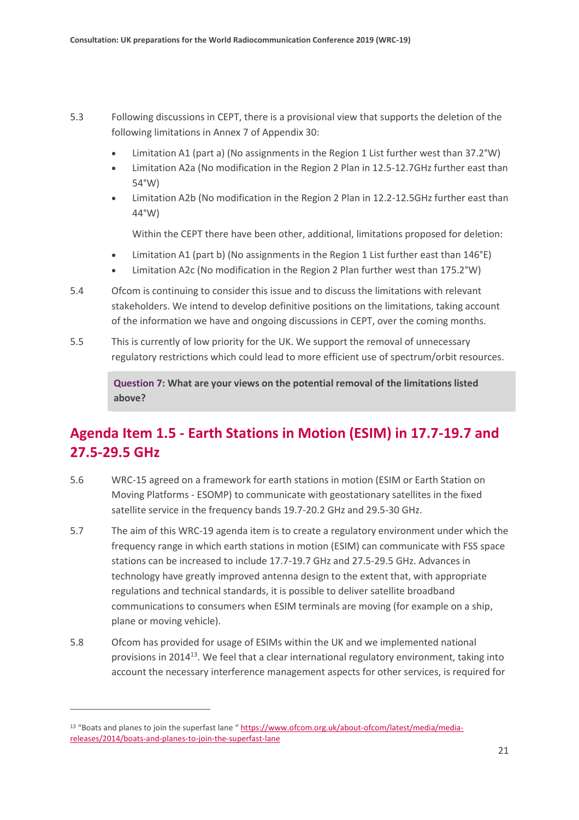- 5.3 Following discussions in CEPT, there is a provisional view that supports the deletion of the following limitations in Annex 7 of Appendix 30:
	- Limitation A1 (part a) (No assignments in the Region 1 List further west than 37.2°W)
	- Limitation A2a (No modification in the Region 2 Plan in 12.5-12.7GHz further east than 54°W)
	- Limitation A2b (No modification in the Region 2 Plan in 12.2-12.5GHz further east than 44°W)

Within the CEPT there have been other, additional, limitations proposed for deletion:

- Limitation A1 (part b) (No assignments in the Region 1 List further east than 146°E)
- Limitation A2c (No modification in the Region 2 Plan further west than 175.2°W)
- 5.4 Ofcom is continuing to consider this issue and to discuss the limitations with relevant stakeholders. We intend to develop definitive positions on the limitations, taking account of the information we have and ongoing discussions in CEPT, over the coming months.
- 5.5 This is currently of low priority for the UK. We support the removal of unnecessary regulatory restrictions which could lead to more efficient use of spectrum/orbit resources.

**Question 7: What are your views on the potential removal of the limitations listed above?**

### **Agenda Item 1.5 - Earth Stations in Motion (ESIM) in 17.7-19.7 and 27.5-29.5 GHz**

- 5.6 WRC-15 agreed on a framework for earth stations in motion (ESIM or Earth Station on Moving Platforms - ESOMP) to communicate with geostationary satellites in the fixed satellite service in the frequency bands 19.7-20.2 GHz and 29.5-30 GHz.
- 5.7 The aim of this WRC-19 agenda item is to create a regulatory environment under which the frequency range in which earth stations in motion (ESIM) can communicate with FSS space stations can be increased to include 17.7-19.7 GHz and 27.5-29.5 GHz. Advances in technology have greatly improved antenna design to the extent that, with appropriate regulations and technical standards, it is possible to deliver satellite broadband communications to consumers when ESIM terminals are moving (for example on a ship, plane or moving vehicle).
- 5.8 Ofcom has provided for usage of ESIMs within the UK and we implemented national provisions in 2014<sup>13</sup>. We feel that a clear international regulatory environment, taking into account the necessary interference management aspects for other services, is required for

<sup>13 &</sup>quot;Boats and planes to join the superfast lane " [https://www.ofcom.org.uk/about-ofcom/latest/media/media](https://www.ofcom.org.uk/about-ofcom/latest/media/media-releases/2014/boats-and-planes-to-join-the-superfast-lane)[releases/2014/boats-and-planes-to-join-the-superfast-lane](https://www.ofcom.org.uk/about-ofcom/latest/media/media-releases/2014/boats-and-planes-to-join-the-superfast-lane)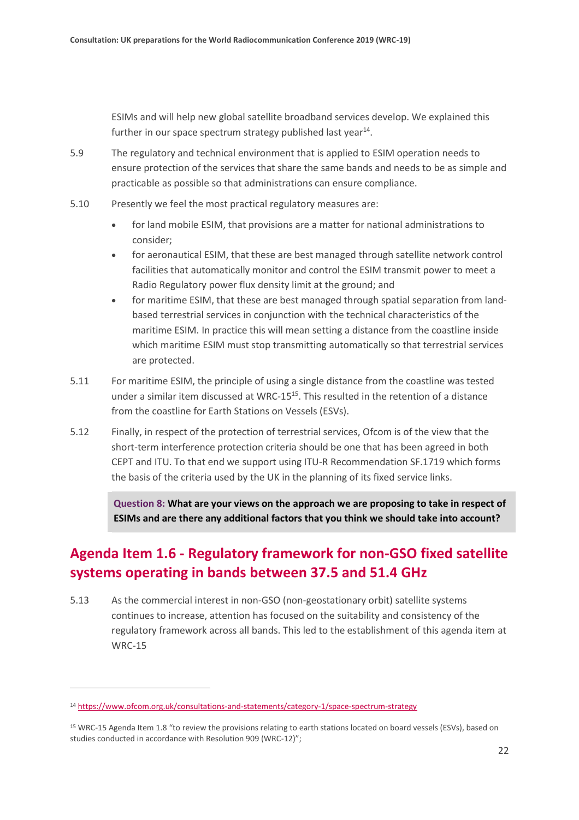ESIMs and will help new global satellite broadband services develop. We explained this further in our space spectrum strategy published last year $^{14}$ .

- 5.9 The regulatory and technical environment that is applied to ESIM operation needs to ensure protection of the services that share the same bands and needs to be as simple and practicable as possible so that administrations can ensure compliance.
- 5.10 Presently we feel the most practical regulatory measures are:
	- for land mobile ESIM, that provisions are a matter for national administrations to consider;
	- for aeronautical ESIM, that these are best managed through satellite network control facilities that automatically monitor and control the ESIM transmit power to meet a Radio Regulatory power flux density limit at the ground; and
	- for maritime ESIM, that these are best managed through spatial separation from landbased terrestrial services in conjunction with the technical characteristics of the maritime ESIM. In practice this will mean setting a distance from the coastline inside which maritime ESIM must stop transmitting automatically so that terrestrial services are protected.
- 5.11 For maritime ESIM, the principle of using a single distance from the coastline was tested under a similar item discussed at WRC-15 $<sup>15</sup>$ . This resulted in the retention of a distance</sup> from the coastline for Earth Stations on Vessels (ESVs).
- 5.12 Finally, in respect of the protection of terrestrial services, Ofcom is of the view that the short-term interference protection criteria should be one that has been agreed in both CEPT and ITU. To that end we support using ITU-R Recommendation SF.1719 which forms the basis of the criteria used by the UK in the planning of its fixed service links.

**Question 8: What are your views on the approach we are proposing to take in respect of ESIMs and are there any additional factors that you think we should take into account?**

### **Agenda Item 1.6 - Regulatory framework for non-GSO fixed satellite systems operating in bands between 37.5 and 51.4 GHz**

5.13 As the commercial interest in non-GSO (non-geostationary orbit) satellite systems continues to increase, attention has focused on the suitability and consistency of the regulatory framework across all bands. This led to the establishment of this agenda item at WRC-15

<sup>14</sup> <https://www.ofcom.org.uk/consultations-and-statements/category-1/space-spectrum-strategy>

<sup>15</sup> WRC-15 Agenda Item 1.8 "to review the provisions relating to earth stations located on board vessels (ESVs), based on studies conducted in accordance with Resolution 909 (WRC-12)";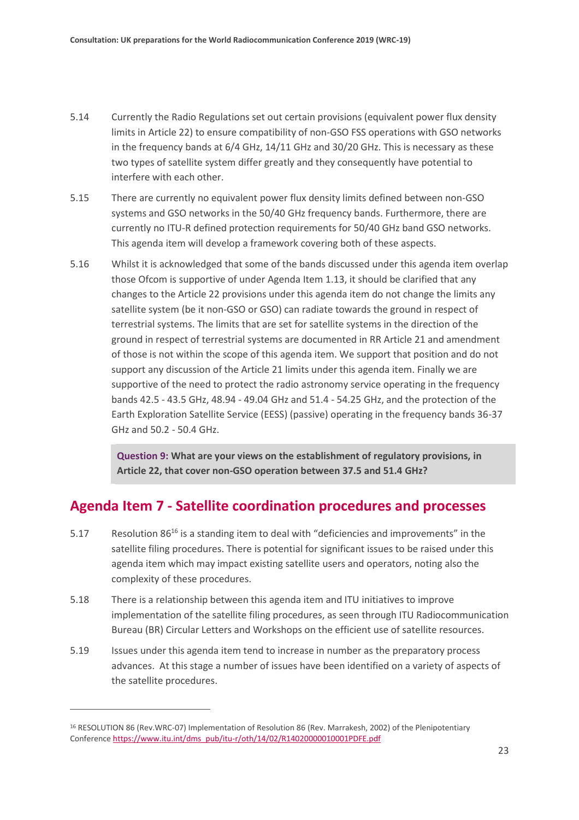- 5.14 Currently the Radio Regulations set out certain provisions (equivalent power flux density limits in Article 22) to ensure compatibility of non-GSO FSS operations with GSO networks in the frequency bands at 6/4 GHz, 14/11 GHz and 30/20 GHz. This is necessary as these two types of satellite system differ greatly and they consequently have potential to interfere with each other.
- 5.15 There are currently no equivalent power flux density limits defined between non-GSO systems and GSO networks in the 50/40 GHz frequency bands. Furthermore, there are currently no ITU-R defined protection requirements for 50/40 GHz band GSO networks. This agenda item will develop a framework covering both of these aspects.
- 5.16 Whilst it is acknowledged that some of the bands discussed under this agenda item overlap those Ofcom is supportive of under Agenda Item 1.13, it should be clarified that any changes to the Article 22 provisions under this agenda item do not change the limits any satellite system (be it non-GSO or GSO) can radiate towards the ground in respect of terrestrial systems. The limits that are set for satellite systems in the direction of the ground in respect of terrestrial systems are documented in RR Article 21 and amendment of those is not within the scope of this agenda item. We support that position and do not support any discussion of the Article 21 limits under this agenda item. Finally we are supportive of the need to protect the radio astronomy service operating in the frequency bands 42.5 - 43.5 GHz, 48.94 - 49.04 GHz and 51.4 - 54.25 GHz, and the protection of the Earth Exploration Satellite Service (EESS) (passive) operating in the frequency bands 36-37 GHz and 50.2 - 50.4 GHz.

**Question 9: What are your views on the establishment of regulatory provisions, in Article 22, that cover non-GSO operation between 37.5 and 51.4 GHz?**

#### **Agenda Item 7 - Satellite coordination procedures and processes**

- 5.17 Resolution 86<sup>16</sup> is a standing item to deal with "deficiencies and improvements" in the satellite filing procedures. There is potential for significant issues to be raised under this agenda item which may impact existing satellite users and operators, noting also the complexity of these procedures.
- 5.18 There is a relationship between this agenda item and ITU initiatives to improve implementation of the satellite filing procedures, as seen through ITU Radiocommunication Bureau (BR) Circular Letters and Workshops on the efficient use of satellite resources.
- 5.19 Issues under this agenda item tend to increase in number as the preparatory process advances. At this stage a number of issues have been identified on a variety of aspects of the satellite procedures.

<sup>16</sup> RESOLUTION 86 (Rev.WRC-07) Implementation of Resolution 86 (Rev. Marrakesh, 2002) of the Plenipotentiary Conferenc[e https://www.itu.int/dms\\_pub/itu-r/oth/14/02/R14020000010001PDFE.pdf](https://www.itu.int/dms_pub/itu-r/oth/14/02/R14020000010001PDFE.pdf)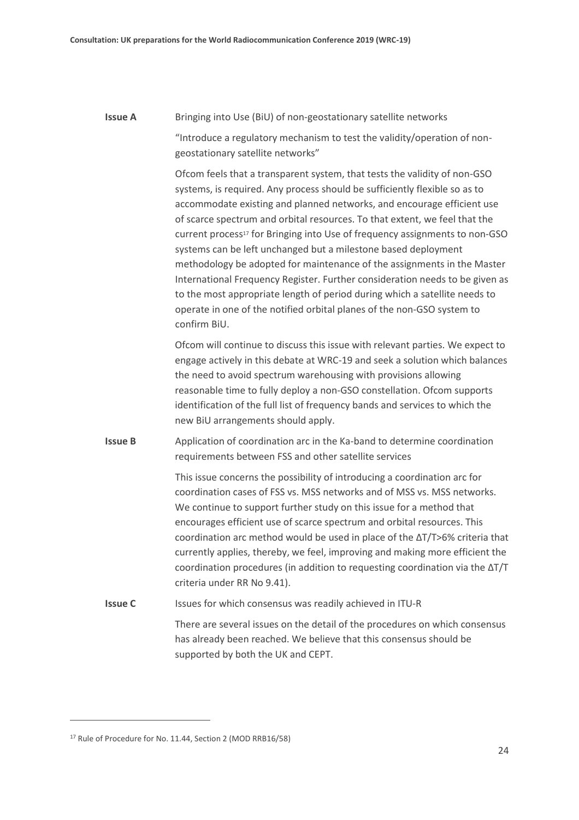#### **Issue A** Bringing into Use (BiU) of non-geostationary satellite networks

"Introduce a regulatory mechanism to test the validity/operation of nongeostationary satellite networks"

Ofcom feels that a transparent system, that tests the validity of non-GSO systems, is required. Any process should be sufficiently flexible so as to accommodate existing and planned networks, and encourage efficient use of scarce spectrum and orbital resources. To that extent, we feel that the current process<sup>17</sup> for Bringing into Use of frequency assignments to non-GSO systems can be left unchanged but a milestone based deployment methodology be adopted for maintenance of the assignments in the Master International Frequency Register. Further consideration needs to be given as to the most appropriate length of period during which a satellite needs to operate in one of the notified orbital planes of the non-GSO system to confirm BiU.

Ofcom will continue to discuss this issue with relevant parties. We expect to engage actively in this debate at WRC-19 and seek a solution which balances the need to avoid spectrum warehousing with provisions allowing reasonable time to fully deploy a non-GSO constellation. Ofcom supports identification of the full list of frequency bands and services to which the new BiU arrangements should apply.

**Issue B** Application of coordination arc in the Ka-band to determine coordination requirements between FSS and other satellite services

> This issue concerns the possibility of introducing a coordination arc for coordination cases of FSS vs. MSS networks and of MSS vs. MSS networks. We continue to support further study on this issue for a method that encourages efficient use of scarce spectrum and orbital resources. This coordination arc method would be used in place of the ΔT/T>6% criteria that currently applies, thereby, we feel, improving and making more efficient the coordination procedures (in addition to requesting coordination via the ΔT/T criteria under RR No 9.41).

**Issue C** Issues for which consensus was readily achieved in ITU-R

There are several issues on the detail of the procedures on which consensus has already been reached. We believe that this consensus should be supported by both the UK and CEPT.

<sup>17</sup> Rule of Procedure for No. 11.44, Section 2 (MOD RRB16/58)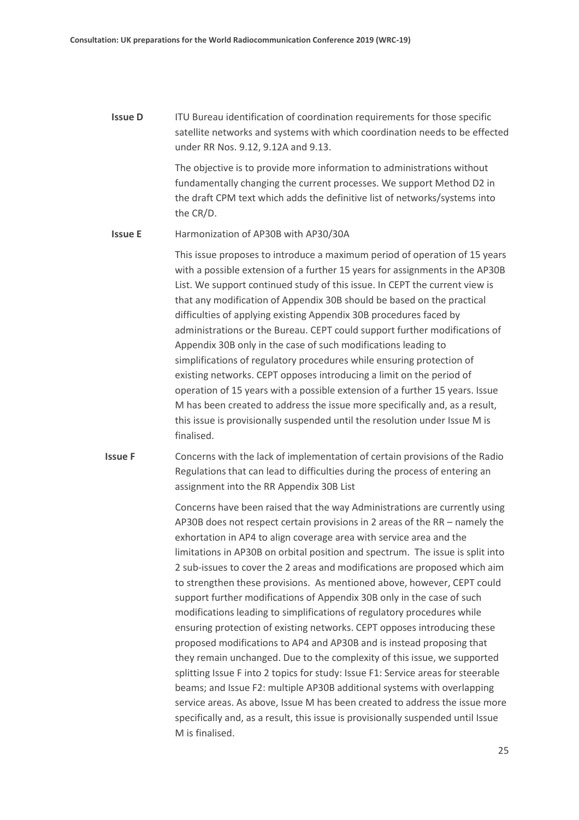**Issue D** ITU Bureau identification of coordination requirements for those specific satellite networks and systems with which coordination needs to be effected under RR Nos. 9.12, 9.12A and 9.13.

> The objective is to provide more information to administrations without fundamentally changing the current processes. We support Method D2 in the draft CPM text which adds the definitive list of networks/systems into the CR/D.

#### **Issue E** Harmonization of AP30B with AP30/30A

This issue proposes to introduce a maximum period of operation of 15 years with a possible extension of a further 15 years for assignments in the AP30B List. We support continued study of this issue. In CEPT the current view is that any modification of Appendix 30B should be based on the practical difficulties of applying existing Appendix 30B procedures faced by administrations or the Bureau. CEPT could support further modifications of Appendix 30B only in the case of such modifications leading to simplifications of regulatory procedures while ensuring protection of existing networks. CEPT opposes introducing a limit on the period of operation of 15 years with a possible extension of a further 15 years. Issue M has been created to address the issue more specifically and, as a result, this issue is provisionally suspended until the resolution under Issue M is finalised.

**Issue F** Concerns with the lack of implementation of certain provisions of the Radio Regulations that can lead to difficulties during the process of entering an assignment into the RR Appendix 30B List

> Concerns have been raised that the way Administrations are currently using AP30B does not respect certain provisions in 2 areas of the RR – namely the exhortation in AP4 to align coverage area with service area and the limitations in AP30B on orbital position and spectrum. The issue is split into 2 sub-issues to cover the 2 areas and modifications are proposed which aim to strengthen these provisions. As mentioned above, however, CEPT could support further modifications of Appendix 30B only in the case of such modifications leading to simplifications of regulatory procedures while ensuring protection of existing networks. CEPT opposes introducing these proposed modifications to AP4 and AP30B and is instead proposing that they remain unchanged. Due to the complexity of this issue, we supported splitting Issue F into 2 topics for study: Issue F1: Service areas for steerable beams; and Issue F2: multiple AP30B additional systems with overlapping service areas. As above, Issue M has been created to address the issue more specifically and, as a result, this issue is provisionally suspended until Issue M is finalised.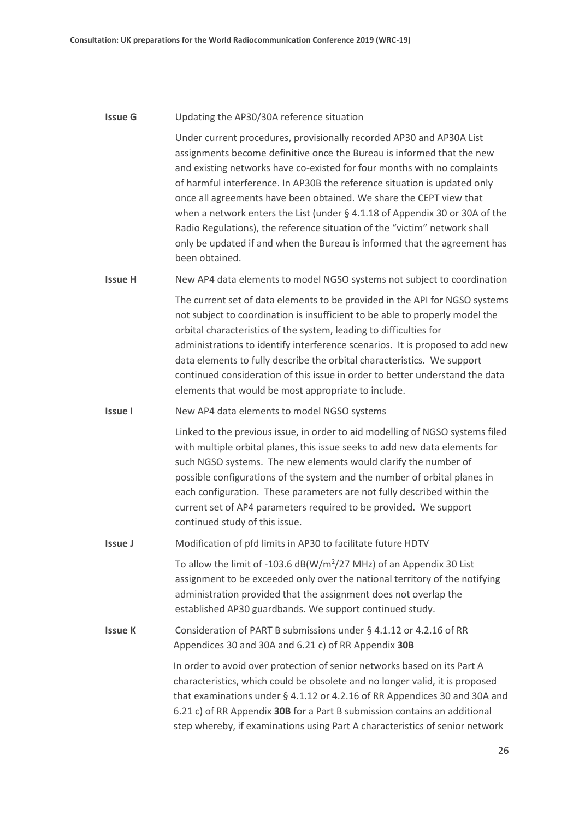#### **Issue G** Updating the AP30/30A reference situation

Under current procedures, provisionally recorded AP30 and AP30A List assignments become definitive once the Bureau is informed that the new and existing networks have co-existed for four months with no complaints of harmful interference. In AP30B the reference situation is updated only once all agreements have been obtained. We share the CEPT view that when a network enters the List (under § 4.1.18 of Appendix 30 or 30A of the Radio Regulations), the reference situation of the "victim" network shall only be updated if and when the Bureau is informed that the agreement has been obtained.

**Issue H** New AP4 data elements to model NGSO systems not subject to coordination

The current set of data elements to be provided in the API for NGSO systems not subject to coordination is insufficient to be able to properly model the orbital characteristics of the system, leading to difficulties for administrations to identify interference scenarios. It is proposed to add new data elements to fully describe the orbital characteristics. We support continued consideration of this issue in order to better understand the data elements that would be most appropriate to include.

**Issue I** New AP4 data elements to model NGSO systems

Linked to the previous issue, in order to aid modelling of NGSO systems filed with multiple orbital planes, this issue seeks to add new data elements for such NGSO systems. The new elements would clarify the number of possible configurations of the system and the number of orbital planes in each configuration. These parameters are not fully described within the current set of AP4 parameters required to be provided. We support continued study of this issue.

**Issue J** Modification of pfd limits in AP30 to facilitate future HDTV

To allow the limit of -103.6  $dB(W/m^2/27$  MHz) of an Appendix 30 List assignment to be exceeded only over the national territory of the notifying administration provided that the assignment does not overlap the established AP30 guardbands. We support continued study.

**Issue K** Consideration of PART B submissions under § 4.1.12 or 4.2.16 of RR Appendices 30 and 30A and 6.21 c) of RR Appendix **30B**

> In order to avoid over protection of senior networks based on its Part A characteristics, which could be obsolete and no longer valid, it is proposed that examinations under § 4.1.12 or 4.2.16 of RR Appendices 30 and 30A and 6.21 c) of RR Appendix **30B** for a Part B submission contains an additional step whereby, if examinations using Part A characteristics of senior network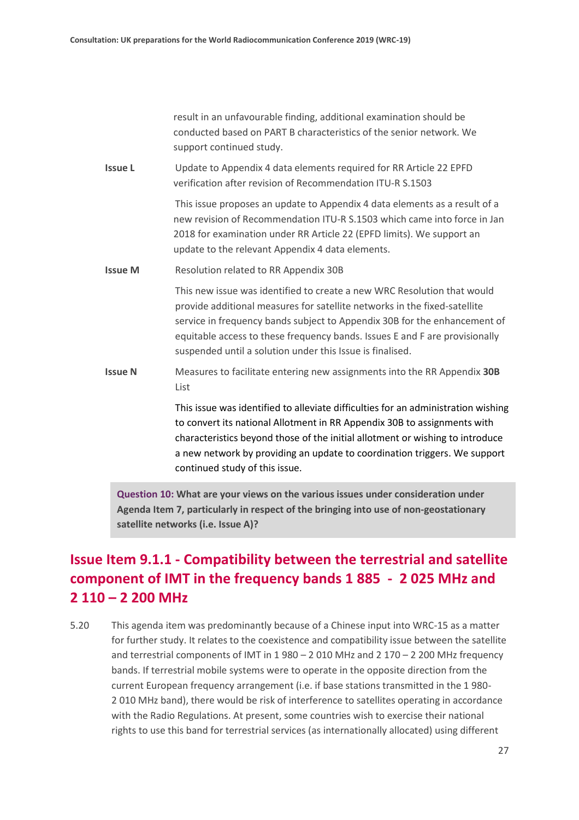result in an unfavourable finding, additional examination should be conducted based on PART B characteristics of the senior network. We support continued study.

**Issue L** Update to Appendix 4 data elements required for RR Article 22 EPFD verification after revision of Recommendation ITU-R S.1503

> This issue proposes an update to Appendix 4 data elements as a result of a new revision of Recommendation ITU-R S.1503 which came into force in Jan 2018 for examination under RR Article 22 (EPFD limits). We support an update to the relevant Appendix 4 data elements.

**Issue M** Resolution related to RR Appendix 30B

This new issue was identified to create a new WRC Resolution that would provide additional measures for satellite networks in the fixed-satellite service in frequency bands subject to Appendix 30B for the enhancement of equitable access to these frequency bands. Issues E and F are provisionally suspended until a solution under this Issue is finalised.

**Issue N** Measures to facilitate entering new assignments into the RR Appendix **30B** List

> This issue was identified to alleviate difficulties for an administration wishing to convert its national Allotment in RR Appendix 30B to assignments with characteristics beyond those of the initial allotment or wishing to introduce a new network by providing an update to coordination triggers. We support continued study of this issue.

**Question 10: What are your views on the various issues under consideration under Agenda Item 7, particularly in respect of the bringing into use of non-geostationary satellite networks (i.e. Issue A)?**

### **Issue Item 9.1.1 - Compatibility between the terrestrial and satellite component of IMT in the frequency bands 1 885 - 2 025 MHz and 2 110 – 2 200 MHz**

5.20 This agenda item was predominantly because of a Chinese input into WRC-15 as a matter for further study. It relates to the coexistence and compatibility issue between the satellite and terrestrial components of IMT in 1 980 – 2 010 MHz and 2 170 – 2 200 MHz frequency bands. If terrestrial mobile systems were to operate in the opposite direction from the current European frequency arrangement (i.e. if base stations transmitted in the 1 980- 2 010 MHz band), there would be risk of interference to satellites operating in accordance with the Radio Regulations. At present, some countries wish to exercise their national rights to use this band for terrestrial services (as internationally allocated) using different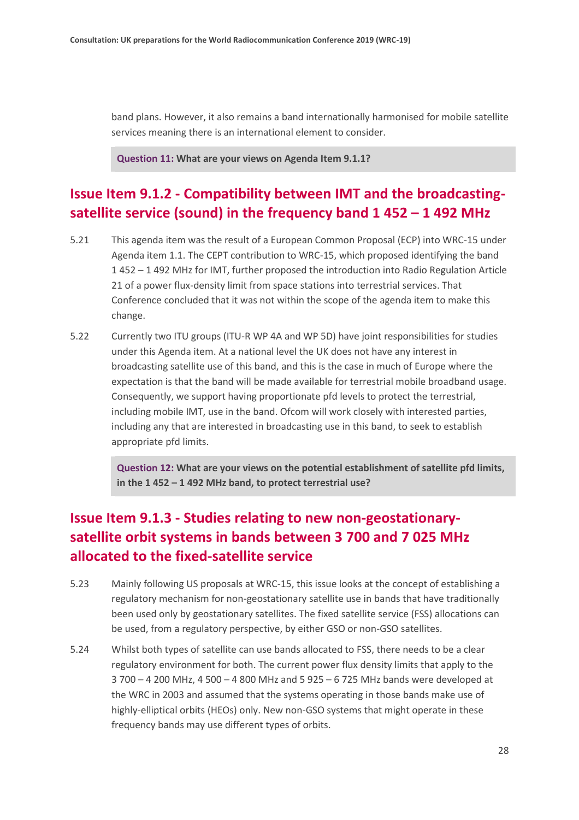band plans. However, it also remains a band internationally harmonised for mobile satellite services meaning there is an international element to consider.

**Question 11: What are your views on Agenda Item 9.1.1?**

#### **Issue Item 9.1.2 - Compatibility between IMT and the broadcastingsatellite service (sound) in the frequency band 1 452 – 1 492 MHz**

- 5.21 This agenda item was the result of a European Common Proposal (ECP) into WRC-15 under Agenda item 1.1. The CEPT contribution to WRC-15, which proposed identifying the band 1 452 – 1 492 MHz for IMT, further proposed the introduction into Radio Regulation Article 21 of a power flux-density limit from space stations into terrestrial services. That Conference concluded that it was not within the scope of the agenda item to make this change.
- 5.22 Currently two ITU groups (ITU-R WP 4A and WP 5D) have joint responsibilities for studies under this Agenda item. At a national level the UK does not have any interest in broadcasting satellite use of this band, and this is the case in much of Europe where the expectation is that the band will be made available for terrestrial mobile broadband usage. Consequently, we support having proportionate pfd levels to protect the terrestrial, including mobile IMT, use in the band. Ofcom will work closely with interested parties, including any that are interested in broadcasting use in this band, to seek to establish appropriate pfd limits.

**Question 12: What are your views on the potential establishment of satellite pfd limits, in the 1 452 – 1 492 MHz band, to protect terrestrial use?**

#### **Issue Item 9.1.3 - Studies relating to new non-geostationarysatellite orbit systems in bands between 3 700 and 7 025 MHz allocated to the fixed-satellite service**

- 5.23 Mainly following US proposals at WRC-15, this issue looks at the concept of establishing a regulatory mechanism for non-geostationary satellite use in bands that have traditionally been used only by geostationary satellites. The fixed satellite service (FSS) allocations can be used, from a regulatory perspective, by either GSO or non-GSO satellites.
- 5.24 Whilst both types of satellite can use bands allocated to FSS, there needs to be a clear regulatory environment for both. The current power flux density limits that apply to the 3 700 – 4 200 MHz, 4 500 – 4 800 MHz and 5 925 – 6 725 MHz bands were developed at the WRC in 2003 and assumed that the systems operating in those bands make use of highly-elliptical orbits (HEOs) only. New non-GSO systems that might operate in these frequency bands may use different types of orbits.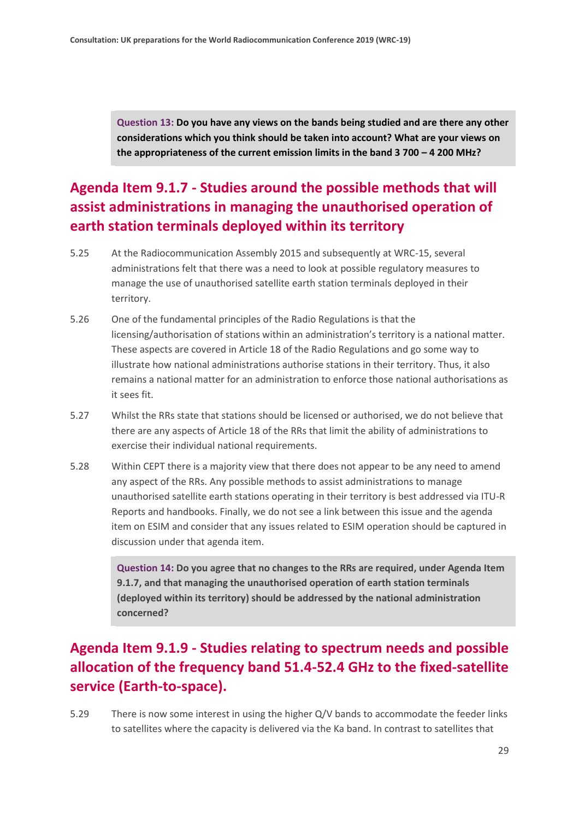**Question 13: Do you have any views on the bands being studied and are there any other considerations which you think should be taken into account? What are your views on the appropriateness of the current emission limits in the band 3 700 – 4 200 MHz?**

### **Agenda Item 9.1.7 - Studies around the possible methods that will assist administrations in managing the unauthorised operation of earth station terminals deployed within its territory**

- 5.25 At the Radiocommunication Assembly 2015 and subsequently at WRC-15, several administrations felt that there was a need to look at possible regulatory measures to manage the use of unauthorised satellite earth station terminals deployed in their territory.
- 5.26 One of the fundamental principles of the Radio Regulations is that the licensing/authorisation of stations within an administration's territory is a national matter. These aspects are covered in Article 18 of the Radio Regulations and go some way to illustrate how national administrations authorise stations in their territory. Thus, it also remains a national matter for an administration to enforce those national authorisations as it sees fit.
- 5.27 Whilst the RRs state that stations should be licensed or authorised, we do not believe that there are any aspects of Article 18 of the RRs that limit the ability of administrations to exercise their individual national requirements.
- 5.28 Within CEPT there is a majority view that there does not appear to be any need to amend any aspect of the RRs. Any possible methods to assist administrations to manage unauthorised satellite earth stations operating in their territory is best addressed via ITU-R Reports and handbooks. Finally, we do not see a link between this issue and the agenda item on ESIM and consider that any issues related to ESIM operation should be captured in discussion under that agenda item.

**Question 14: Do you agree that no changes to the RRs are required, under Agenda Item 9.1.7, and that managing the unauthorised operation of earth station terminals (deployed within its territory) should be addressed by the national administration concerned?**

### **Agenda Item 9.1.9 - Studies relating to spectrum needs and possible allocation of the frequency band 51.4-52.4 GHz to the fixed-satellite service (Earth-to-space).**

5.29 There is now some interest in using the higher Q/V bands to accommodate the feeder links to satellites where the capacity is delivered via the Ka band. In contrast to satellites that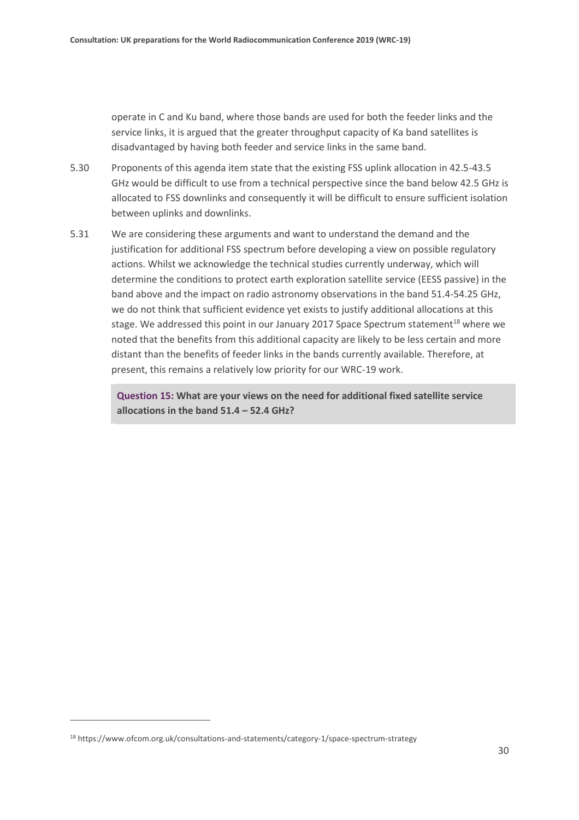operate in C and Ku band, where those bands are used for both the feeder links and the service links, it is argued that the greater throughput capacity of Ka band satellites is disadvantaged by having both feeder and service links in the same band.

- 5.30 Proponents of this agenda item state that the existing FSS uplink allocation in 42.5-43.5 GHz would be difficult to use from a technical perspective since the band below 42.5 GHz is allocated to FSS downlinks and consequently it will be difficult to ensure sufficient isolation between uplinks and downlinks.
- 5.31 We are considering these arguments and want to understand the demand and the justification for additional FSS spectrum before developing a view on possible regulatory actions. Whilst we acknowledge the technical studies currently underway, which will determine the conditions to protect earth exploration satellite service (EESS passive) in the band above and the impact on radio astronomy observations in the band 51.4-54.25 GHz, we do not think that sufficient evidence yet exists to justify additional allocations at this stage. We addressed this point in our January 2017 Space Spectrum statement<sup>18</sup> where we noted that the benefits from this additional capacity are likely to be less certain and more distant than the benefits of feeder links in the bands currently available. Therefore, at present, this remains a relatively low priority for our WRC-19 work.

**Question 15: What are your views on the need for additional fixed satellite service allocations in the band 51.4 – 52.4 GHz?**

<sup>18</sup> https://www.ofcom.org.uk/consultations-and-statements/category-1/space-spectrum-strategy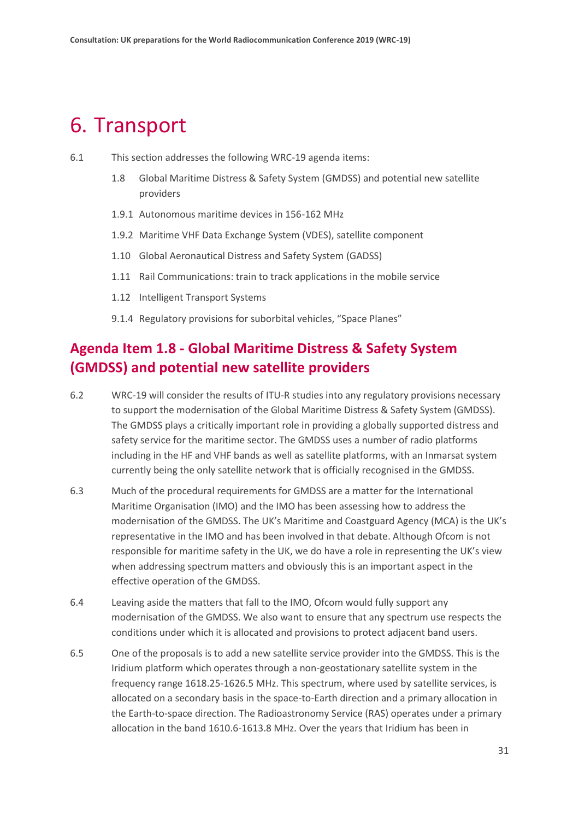### <span id="page-30-0"></span>6. Transport

- 6.1 This section addresses the following WRC-19 agenda items:
	- 1.8 Global Maritime Distress & Safety System (GMDSS) and potential new satellite providers
	- 1.9.1 Autonomous maritime devices in 156-162 MHz
	- 1.9.2 Maritime VHF Data Exchange System (VDES), satellite component
	- 1.10 Global Aeronautical Distress and Safety System (GADSS)
	- 1.11 Rail Communications: train to track applications in the mobile service
	- 1.12 Intelligent Transport Systems
	- 9.1.4 Regulatory provisions for suborbital vehicles, "Space Planes"

### **Agenda Item 1.8 - Global Maritime Distress & Safety System (GMDSS) and potential new satellite providers**

- 6.2 WRC-19 will consider the results of ITU-R studies into any regulatory provisions necessary to support the modernisation of the Global Maritime Distress & Safety System (GMDSS). The GMDSS plays a critically important role in providing a globally supported distress and safety service for the maritime sector. The GMDSS uses a number of radio platforms including in the HF and VHF bands as well as satellite platforms, with an Inmarsat system currently being the only satellite network that is officially recognised in the GMDSS.
- 6.3 Much of the procedural requirements for GMDSS are a matter for the International Maritime Organisation (IMO) and the IMO has been assessing how to address the modernisation of the GMDSS. The UK's Maritime and Coastguard Agency (MCA) is the UK's representative in the IMO and has been involved in that debate. Although Ofcom is not responsible for maritime safety in the UK, we do have a role in representing the UK's view when addressing spectrum matters and obviously this is an important aspect in the effective operation of the GMDSS.
- 6.4 Leaving aside the matters that fall to the IMO, Ofcom would fully support any modernisation of the GMDSS. We also want to ensure that any spectrum use respects the conditions under which it is allocated and provisions to protect adjacent band users.
- 6.5 One of the proposals is to add a new satellite service provider into the GMDSS. This is the Iridium platform which operates through a non-geostationary satellite system in the frequency range 1618.25-1626.5 MHz. This spectrum, where used by satellite services, is allocated on a secondary basis in the space-to-Earth direction and a primary allocation in the Earth-to-space direction. The Radioastronomy Service (RAS) operates under a primary allocation in the band 1610.6-1613.8 MHz. Over the years that Iridium has been in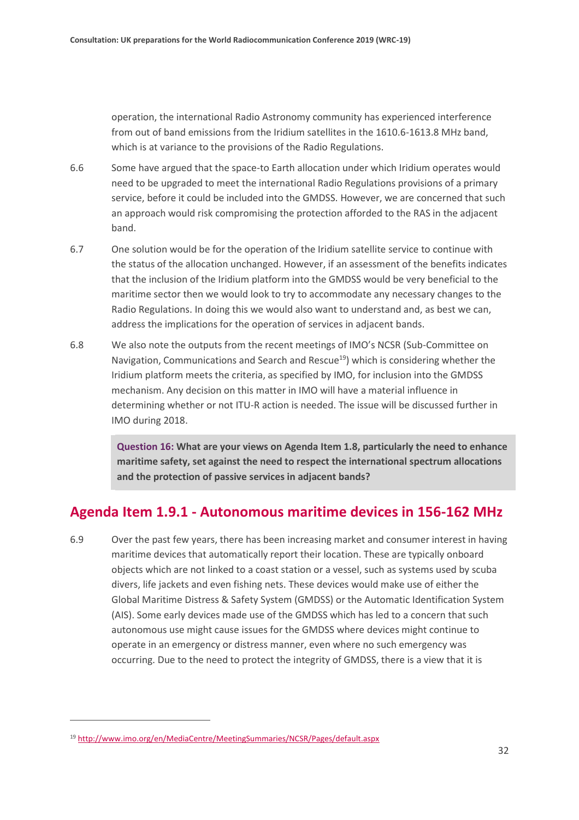operation, the international Radio Astronomy community has experienced interference from out of band emissions from the Iridium satellites in the 1610.6-1613.8 MHz band, which is at variance to the provisions of the Radio Regulations.

- 6.6 Some have argued that the space-to Earth allocation under which Iridium operates would need to be upgraded to meet the international Radio Regulations provisions of a primary service, before it could be included into the GMDSS. However, we are concerned that such an approach would risk compromising the protection afforded to the RAS in the adjacent band.
- 6.7 One solution would be for the operation of the Iridium satellite service to continue with the status of the allocation unchanged. However, if an assessment of the benefits indicates that the inclusion of the Iridium platform into the GMDSS would be very beneficial to the maritime sector then we would look to try to accommodate any necessary changes to the Radio Regulations. In doing this we would also want to understand and, as best we can, address the implications for the operation of services in adjacent bands.
- 6.8 We also note the outputs from the recent meetings of IMO's NCSR (Sub-Committee on Navigation, Communications and Search and Rescue<sup>19</sup>) which is considering whether the Iridium platform meets the criteria, as specified by IMO, for inclusion into the GMDSS mechanism. Any decision on this matter in IMO will have a material influence in determining whether or not ITU-R action is needed. The issue will be discussed further in IMO during 2018.

**Question 16: What are your views on Agenda Item 1.8, particularly the need to enhance maritime safety, set against the need to respect the international spectrum allocations and the protection of passive services in adjacent bands?**

#### **Agenda Item 1.9.1 - Autonomous maritime devices in 156-162 MHz**

6.9 Over the past few years, there has been increasing market and consumer interest in having maritime devices that automatically report their location. These are typically onboard objects which are not linked to a coast station or a vessel, such as systems used by scuba divers, life jackets and even fishing nets. These devices would make use of either the Global Maritime Distress & Safety System (GMDSS) or the Automatic Identification System (AIS). Some early devices made use of the GMDSS which has led to a concern that such autonomous use might cause issues for the GMDSS where devices might continue to operate in an emergency or distress manner, even where no such emergency was occurring. Due to the need to protect the integrity of GMDSS, there is a view that it is

<sup>19</sup> <http://www.imo.org/en/MediaCentre/MeetingSummaries/NCSR/Pages/default.aspx>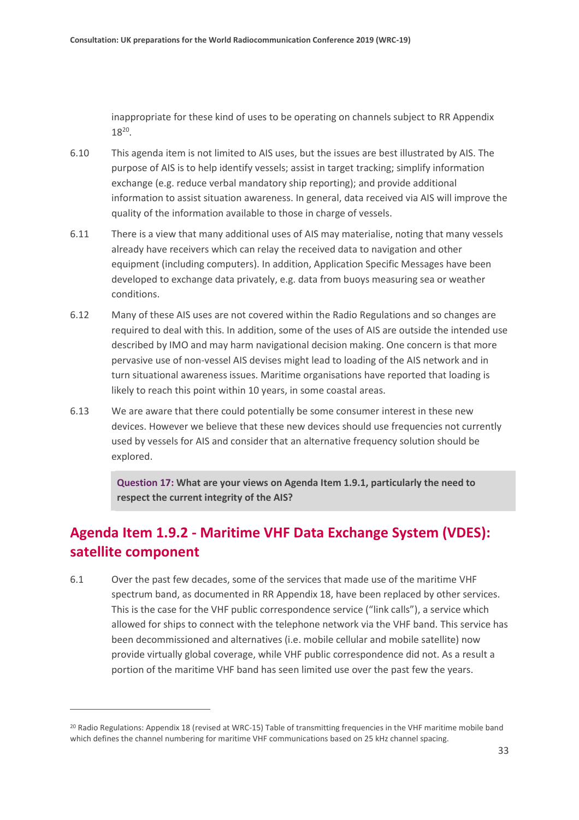inappropriate for these kind of uses to be operating on channels subject to RR Appendix  $18^{20}$ .

- 6.10 This agenda item is not limited to AIS uses, but the issues are best illustrated by AIS. The purpose of AIS is to help identify vessels; assist in target tracking; simplify information exchange (e.g. reduce verbal mandatory ship reporting); and provide additional information to assist situation awareness. In general, data received via AIS will improve the quality of the information available to those in charge of vessels.
- 6.11 There is a view that many additional uses of AIS may materialise, noting that many vessels already have receivers which can relay the received data to navigation and other equipment (including computers). In addition, Application Specific Messages have been developed to exchange data privately, e.g. data from buoys measuring sea or weather conditions.
- 6.12 Many of these AIS uses are not covered within the Radio Regulations and so changes are required to deal with this. In addition, some of the uses of AIS are outside the intended use described by IMO and may harm navigational decision making. One concern is that more pervasive use of non-vessel AIS devises might lead to loading of the AIS network and in turn situational awareness issues. Maritime organisations have reported that loading is likely to reach this point within 10 years, in some coastal areas.
- 6.13 We are aware that there could potentially be some consumer interest in these new devices. However we believe that these new devices should use frequencies not currently used by vessels for AIS and consider that an alternative frequency solution should be explored.

**Question 17: What are your views on Agenda Item 1.9.1, particularly the need to respect the current integrity of the AIS?**

### **Agenda Item 1.9.2 - Maritime VHF Data Exchange System (VDES): satellite component**

6.1 Over the past few decades, some of the services that made use of the maritime VHF spectrum band, as documented in RR Appendix 18, have been replaced by other services. This is the case for the VHF public correspondence service ("link calls"), a service which allowed for ships to connect with the telephone network via the VHF band. This service has been decommissioned and alternatives (i.e. mobile cellular and mobile satellite) now provide virtually global coverage, while VHF public correspondence did not. As a result a portion of the maritime VHF band has seen limited use over the past few the years.

<sup>&</sup>lt;sup>20</sup> Radio Regulations: Appendix 18 (revised at WRC-15) Table of transmitting frequencies in the VHF maritime mobile band which defines the channel numbering for maritime VHF communications based on 25 kHz channel spacing.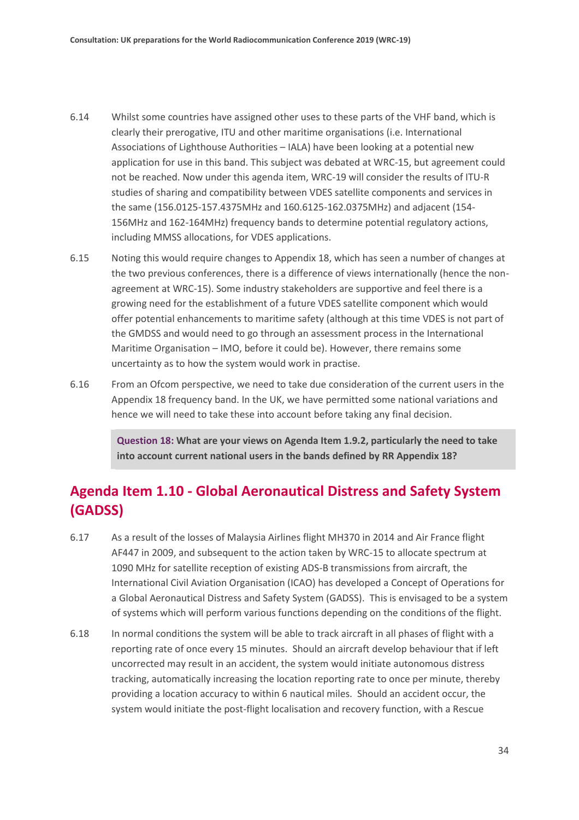- 6.14 Whilst some countries have assigned other uses to these parts of the VHF band, which is clearly their prerogative, ITU and other maritime organisations (i.e. International Associations of Lighthouse Authorities – IALA) have been looking at a potential new application for use in this band. This subject was debated at WRC-15, but agreement could not be reached. Now under this agenda item, WRC-19 will consider the results of ITU-R studies of sharing and compatibility between VDES satellite components and services in the same (156.0125-157.4375MHz and 160.6125-162.0375MHz) and adjacent (154- 156MHz and 162-164MHz) frequency bands to determine potential regulatory actions, including MMSS allocations, for VDES applications.
- 6.15 Noting this would require changes to Appendix 18, which has seen a number of changes at the two previous conferences, there is a difference of views internationally (hence the nonagreement at WRC-15). Some industry stakeholders are supportive and feel there is a growing need for the establishment of a future VDES satellite component which would offer potential enhancements to maritime safety (although at this time VDES is not part of the GMDSS and would need to go through an assessment process in the International Maritime Organisation – IMO, before it could be). However, there remains some uncertainty as to how the system would work in practise.
- 6.16 From an Ofcom perspective, we need to take due consideration of the current users in the Appendix 18 frequency band. In the UK, we have permitted some national variations and hence we will need to take these into account before taking any final decision.

**Question 18: What are your views on Agenda Item 1.9.2, particularly the need to take into account current national users in the bands defined by RR Appendix 18?**

#### **Agenda Item 1.10 - Global Aeronautical Distress and Safety System (GADSS)**

- 6.17 As a result of the losses of Malaysia Airlines flight MH370 in 2014 and Air France flight AF447 in 2009, and subsequent to the action taken by WRC-15 to allocate spectrum at 1090 MHz for satellite reception of existing ADS-B transmissions from aircraft, the International Civil Aviation Organisation (ICAO) has developed a Concept of Operations for a Global Aeronautical Distress and Safety System (GADSS). This is envisaged to be a system of systems which will perform various functions depending on the conditions of the flight.
- 6.18 In normal conditions the system will be able to track aircraft in all phases of flight with a reporting rate of once every 15 minutes. Should an aircraft develop behaviour that if left uncorrected may result in an accident, the system would initiate autonomous distress tracking, automatically increasing the location reporting rate to once per minute, thereby providing a location accuracy to within 6 nautical miles. Should an accident occur, the system would initiate the post-flight localisation and recovery function, with a Rescue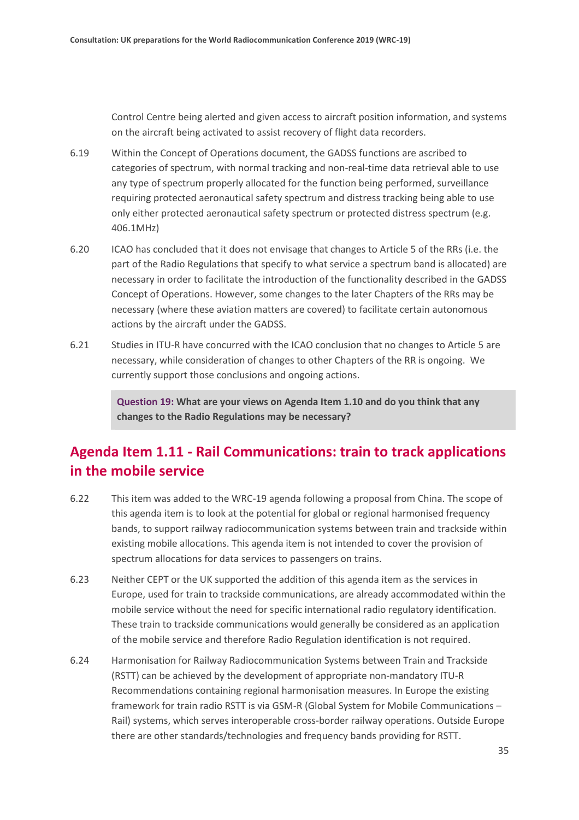Control Centre being alerted and given access to aircraft position information, and systems on the aircraft being activated to assist recovery of flight data recorders.

- 6.19 Within the Concept of Operations document, the GADSS functions are ascribed to categories of spectrum, with normal tracking and non-real-time data retrieval able to use any type of spectrum properly allocated for the function being performed, surveillance requiring protected aeronautical safety spectrum and distress tracking being able to use only either protected aeronautical safety spectrum or protected distress spectrum (e.g. 406.1MHz)
- 6.20 ICAO has concluded that it does not envisage that changes to Article 5 of the RRs (i.e. the part of the Radio Regulations that specify to what service a spectrum band is allocated) are necessary in order to facilitate the introduction of the functionality described in the GADSS Concept of Operations. However, some changes to the later Chapters of the RRs may be necessary (where these aviation matters are covered) to facilitate certain autonomous actions by the aircraft under the GADSS.
- 6.21 Studies in ITU-R have concurred with the ICAO conclusion that no changes to Article 5 are necessary, while consideration of changes to other Chapters of the RR is ongoing. We currently support those conclusions and ongoing actions.

**Question 19: What are your views on Agenda Item 1.10 and do you think that any changes to the Radio Regulations may be necessary?**

#### **Agenda Item 1.11 - Rail Communications: train to track applications in the mobile service**

- 6.22 This item was added to the WRC-19 agenda following a proposal from China. The scope of this agenda item is to look at the potential for global or regional harmonised frequency bands, to support railway radiocommunication systems between train and trackside within existing mobile allocations. This agenda item is not intended to cover the provision of spectrum allocations for data services to passengers on trains.
- 6.23 Neither CEPT or the UK supported the addition of this agenda item as the services in Europe, used for train to trackside communications, are already accommodated within the mobile service without the need for specific international radio regulatory identification. These train to trackside communications would generally be considered as an application of the mobile service and therefore Radio Regulation identification is not required.
- 6.24 Harmonisation for Railway Radiocommunication Systems between Train and Trackside (RSTT) can be achieved by the development of appropriate non-mandatory ITU-R Recommendations containing regional harmonisation measures. In Europe the existing framework for train radio RSTT is via GSM-R (Global System for Mobile Communications – Rail) systems, which serves interoperable cross-border railway operations. Outside Europe there are other standards/technologies and frequency bands providing for RSTT.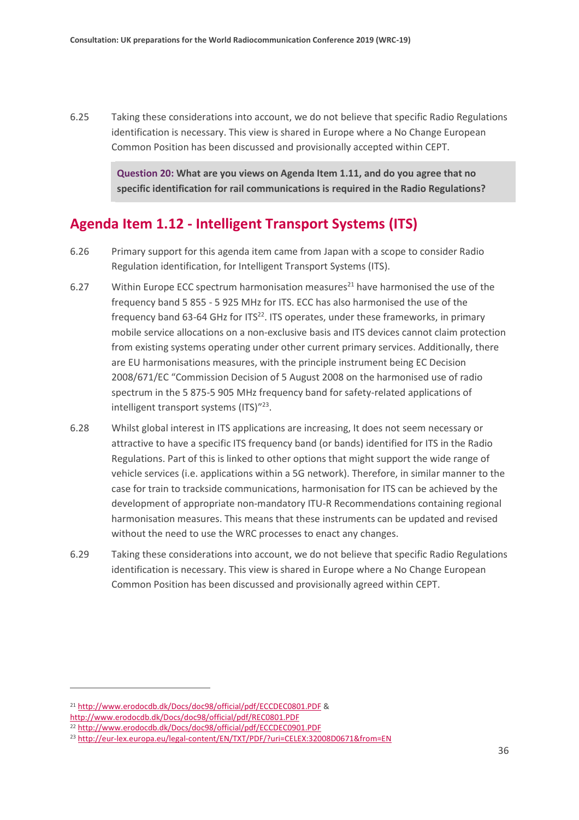6.25 Taking these considerations into account, we do not believe that specific Radio Regulations identification is necessary. This view is shared in Europe where a No Change European Common Position has been discussed and provisionally accepted within CEPT.

> **Question 20: What are you views on Agenda Item 1.11, and do you agree that no specific identification for rail communications is required in the Radio Regulations?**

#### **Agenda Item 1.12 - Intelligent Transport Systems (ITS)**

- 6.26 Primary support for this agenda item came from Japan with a scope to consider Radio Regulation identification, for Intelligent Transport Systems (ITS).
- 6.27 Within Europe ECC spectrum harmonisation measures<sup>21</sup> have harmonised the use of the frequency band 5 855 - 5 925 MHz for ITS. ECC has also harmonised the use of the frequency band 63-64 GHz for  $ITS<sup>22</sup>$ . ITS operates, under these frameworks, in primary mobile service allocations on a non-exclusive basis and ITS devices cannot claim protection from existing systems operating under other current primary services. Additionally, there are EU harmonisations measures, with the principle instrument being EC Decision 2008/671/EC "Commission Decision of 5 August 2008 on the harmonised use of radio spectrum in the 5 875-5 905 MHz frequency band for safety-related applications of intelligent transport systems (ITS)"<sup>23</sup>.
- 6.28 Whilst global interest in ITS applications are increasing, It does not seem necessary or attractive to have a specific ITS frequency band (or bands) identified for ITS in the Radio Regulations. Part of this is linked to other options that might support the wide range of vehicle services (i.e. applications within a 5G network). Therefore, in similar manner to the case for train to trackside communications, harmonisation for ITS can be achieved by the development of appropriate non-mandatory ITU-R Recommendations containing regional harmonisation measures. This means that these instruments can be updated and revised without the need to use the WRC processes to enact any changes.
- 6.29 Taking these considerations into account, we do not believe that specific Radio Regulations identification is necessary. This view is shared in Europe where a No Change European Common Position has been discussed and provisionally agreed within CEPT.

<sup>21</sup> <http://www.erodocdb.dk/Docs/doc98/official/pdf/ECCDEC0801.PDF> &

<http://www.erodocdb.dk/Docs/doc98/official/pdf/REC0801.PDF>

<sup>22</sup> <http://www.erodocdb.dk/Docs/doc98/official/pdf/ECCDEC0901.PDF>

<sup>23</sup> <http://eur-lex.europa.eu/legal-content/EN/TXT/PDF/?uri=CELEX:32008D0671&from=EN>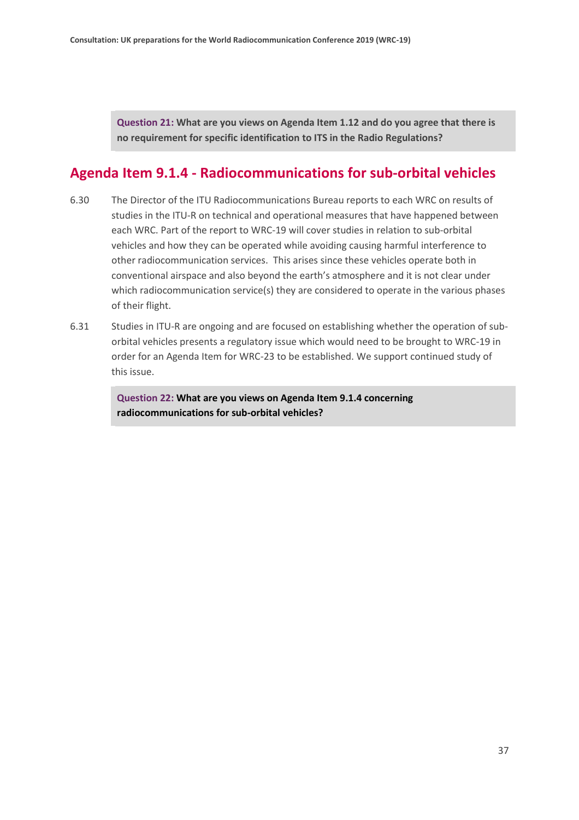**Question 21: What are you views on Agenda Item 1.12 and do you agree that there is no requirement for specific identification to ITS in the Radio Regulations?**

### **Agenda Item 9.1.4 - Radiocommunications for sub-orbital vehicles**

- 6.30 The Director of the ITU Radiocommunications Bureau reports to each WRC on results of studies in the ITU-R on technical and operational measures that have happened between each WRC. Part of the report to WRC-19 will cover studies in relation to sub-orbital vehicles and how they can be operated while avoiding causing harmful interference to other radiocommunication services. This arises since these vehicles operate both in conventional airspace and also beyond the earth's atmosphere and it is not clear under which radiocommunication service(s) they are considered to operate in the various phases of their flight.
- 6.31 Studies in ITU-R are ongoing and are focused on establishing whether the operation of suborbital vehicles presents a regulatory issue which would need to be brought to WRC-19 in order for an Agenda Item for WRC-23 to be established. We support continued study of this issue.

**Question 22: What are you views on Agenda Item 9.1.4 concerning radiocommunications for sub-orbital vehicles?**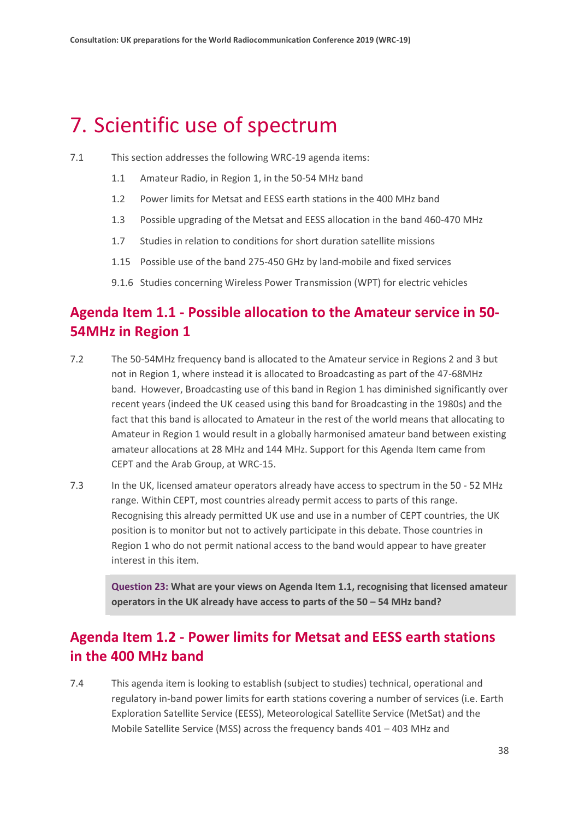## <span id="page-37-0"></span>7. Scientific use of spectrum

- 7.1 This section addresses the following WRC-19 agenda items:
	- 1.1 Amateur Radio, in Region 1, in the 50-54 MHz band
	- 1.2 Power limits for Metsat and EESS earth stations in the 400 MHz band
	- 1.3 Possible upgrading of the Metsat and EESS allocation in the band 460-470 MHz
	- 1.7 Studies in relation to conditions for short duration satellite missions
	- 1.15 Possible use of the band 275-450 GHz by land-mobile and fixed services
	- 9.1.6 Studies concerning Wireless Power Transmission (WPT) for electric vehicles

### **Agenda Item 1.1 - Possible allocation to the Amateur service in 50- 54MHz in Region 1**

- 7.2 The 50-54MHz frequency band is allocated to the Amateur service in Regions 2 and 3 but not in Region 1, where instead it is allocated to Broadcasting as part of the 47-68MHz band. However, Broadcasting use of this band in Region 1 has diminished significantly over recent years (indeed the UK ceased using this band for Broadcasting in the 1980s) and the fact that this band is allocated to Amateur in the rest of the world means that allocating to Amateur in Region 1 would result in a globally harmonised amateur band between existing amateur allocations at 28 MHz and 144 MHz. Support for this Agenda Item came from CEPT and the Arab Group, at WRC-15.
- 7.3 In the UK, licensed amateur operators already have access to spectrum in the 50 52 MHz range. Within CEPT, most countries already permit access to parts of this range. Recognising this already permitted UK use and use in a number of CEPT countries, the UK position is to monitor but not to actively participate in this debate. Those countries in Region 1 who do not permit national access to the band would appear to have greater interest in this item.

**Question 23: What are your views on Agenda Item 1.1, recognising that licensed amateur operators in the UK already have access to parts of the 50 – 54 MHz band?**

### **Agenda Item 1.2 - Power limits for Metsat and EESS earth stations in the 400 MHz band**

7.4 This agenda item is looking to establish (subject to studies) technical, operational and regulatory in-band power limits for earth stations covering a number of services (i.e. Earth Exploration Satellite Service (EESS), Meteorological Satellite Service (MetSat) and the Mobile Satellite Service (MSS) across the frequency bands 401 – 403 MHz and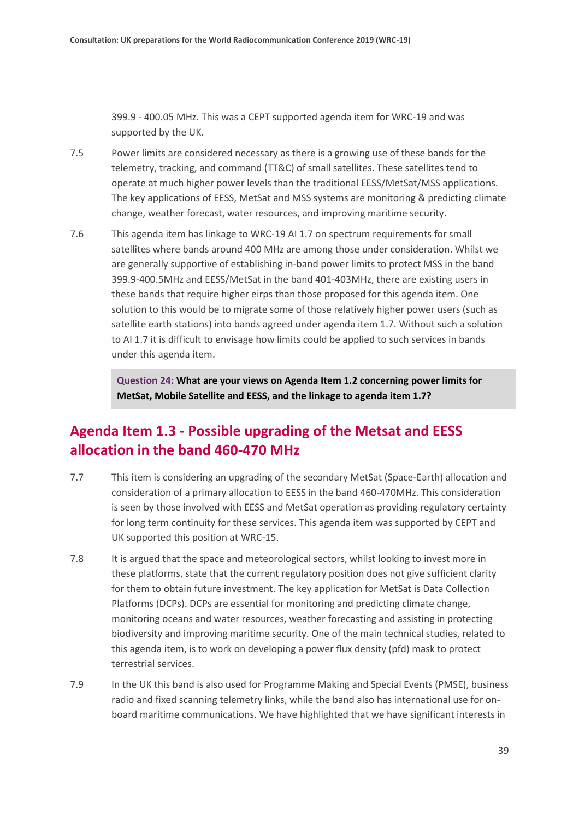399.9 - 400.05 MHz. This was a CEPT supported agenda item for WRC-19 and was supported by the UK.

- 7.5 Power limits are considered necessary as there is a growing use of these bands for the telemetry, tracking, and command (TT&C) of small satellites. These satellites tend to operate at much higher power levels than the traditional EESS/MetSat/MSS applications. The key applications of EESS, MetSat and MSS systems are monitoring & predicting climate change, weather forecast, water resources, and improving maritime security.
- 7.6 This agenda item has linkage to WRC-19 AI 1.7 on spectrum requirements for small satellites where bands around 400 MHz are among those under consideration. Whilst we are generally supportive of establishing in-band power limits to protect MSS in the band 399.9-400.5MHz and EESS/MetSat in the band 401-403MHz, there are existing users in these bands that require higher eirps than those proposed for this agenda item. One solution to this would be to migrate some of those relatively higher power users (such as satellite earth stations) into bands agreed under agenda item 1.7. Without such a solution to AI 1.7 it is difficult to envisage how limits could be applied to such services in bands under this agenda item.

**Question 24: What are your views on Agenda Item 1.2 concerning power limits for MetSat, Mobile Satellite and EESS, and the linkage to agenda item 1.7?**

#### **Agenda Item 1.3 - Possible upgrading of the Metsat and EESS allocation in the band 460-470 MHz**

- 7.7 This item is considering an upgrading of the secondary MetSat (Space-Earth) allocation and consideration of a primary allocation to EESS in the band 460-470MHz. This consideration is seen by those involved with EESS and MetSat operation as providing regulatory certainty for long term continuity for these services. This agenda item was supported by CEPT and UK supported this position at WRC-15.
- 7.8 It is argued that the space and meteorological sectors, whilst looking to invest more in these platforms, state that the current regulatory position does not give sufficient clarity for them to obtain future investment. The key application for MetSat is Data Collection Platforms (DCPs). DCPs are essential for monitoring and predicting climate change, monitoring oceans and water resources, weather forecasting and assisting in protecting biodiversity and improving maritime security. One of the main technical studies, related to this agenda item, is to work on developing a power flux density (pfd) mask to protect terrestrial services.
- 7.9 In the UK this band is also used for Programme Making and Special Events (PMSE), business radio and fixed scanning telemetry links, while the band also has international use for onboard maritime communications. We have highlighted that we have significant interests in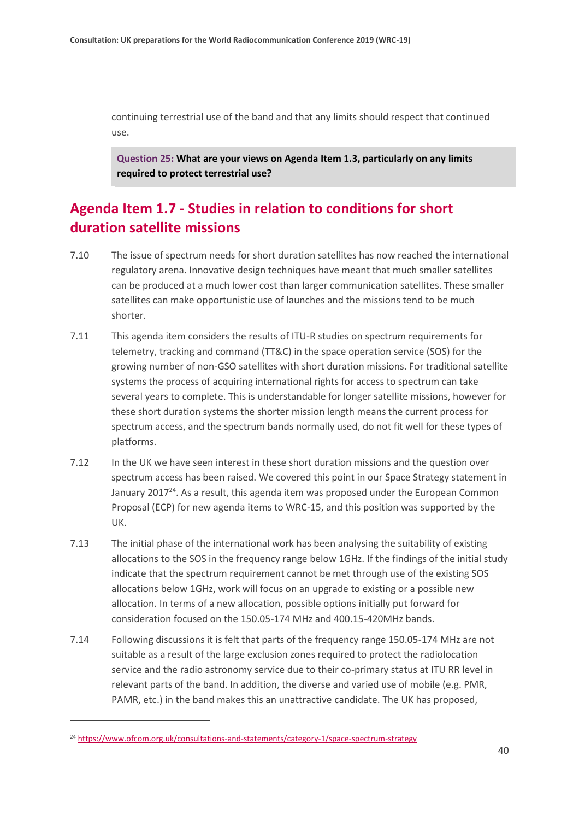continuing terrestrial use of the band and that any limits should respect that continued use.

**Question 25: What are your views on Agenda Item 1.3, particularly on any limits required to protect terrestrial use?**

### **Agenda Item 1.7 - Studies in relation to conditions for short duration satellite missions**

- 7.10 The issue of spectrum needs for short duration satellites has now reached the international regulatory arena. Innovative design techniques have meant that much smaller satellites can be produced at a much lower cost than larger communication satellites. These smaller satellites can make opportunistic use of launches and the missions tend to be much shorter.
- 7.11 This agenda item considers the results of ITU-R studies on spectrum requirements for telemetry, tracking and command (TT&C) in the space operation service (SOS) for the growing number of non-GSO satellites with short duration missions. For traditional satellite systems the process of acquiring international rights for access to spectrum can take several years to complete. This is understandable for longer satellite missions, however for these short duration systems the shorter mission length means the current process for spectrum access, and the spectrum bands normally used, do not fit well for these types of platforms.
- 7.12 In the UK we have seen interest in these short duration missions and the question over spectrum access has been raised. We covered this point in our Space Strategy statement in January 2017 $^{24}$ . As a result, this agenda item was proposed under the European Common Proposal (ECP) for new agenda items to WRC-15, and this position was supported by the UK.
- 7.13 The initial phase of the international work has been analysing the suitability of existing allocations to the SOS in the frequency range below 1GHz. If the findings of the initial study indicate that the spectrum requirement cannot be met through use of the existing SOS allocations below 1GHz, work will focus on an upgrade to existing or a possible new allocation. In terms of a new allocation, possible options initially put forward for consideration focused on the 150.05-174 MHz and 400.15-420MHz bands.
- 7.14 Following discussions it is felt that parts of the frequency range 150.05-174 MHz are not suitable as a result of the large exclusion zones required to protect the radiolocation service and the radio astronomy service due to their co-primary status at ITU RR level in relevant parts of the band. In addition, the diverse and varied use of mobile (e.g. PMR, PAMR, etc.) in the band makes this an unattractive candidate. The UK has proposed,

<sup>24</sup> <https://www.ofcom.org.uk/consultations-and-statements/category-1/space-spectrum-strategy>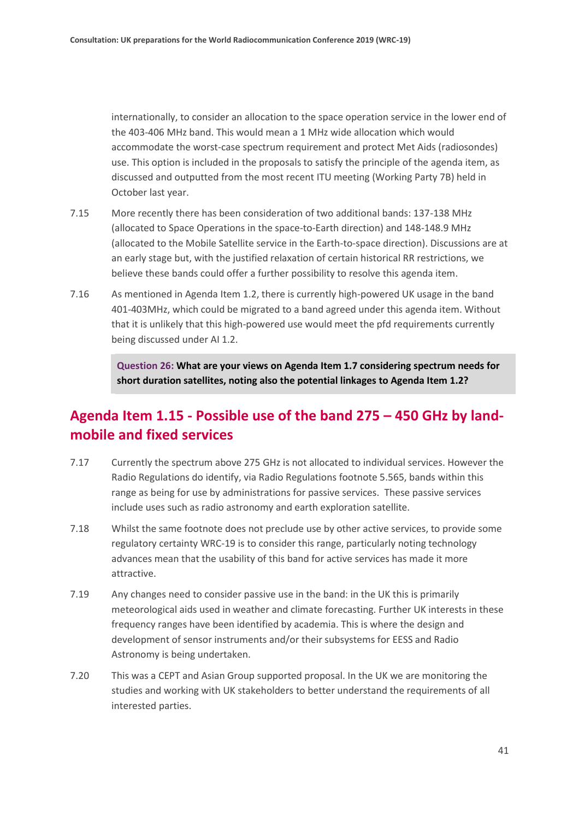internationally, to consider an allocation to the space operation service in the lower end of the 403-406 MHz band. This would mean a 1 MHz wide allocation which would accommodate the worst-case spectrum requirement and protect Met Aids (radiosondes) use. This option is included in the proposals to satisfy the principle of the agenda item, as discussed and outputted from the most recent ITU meeting (Working Party 7B) held in October last year.

- 7.15 More recently there has been consideration of two additional bands: 137-138 MHz (allocated to Space Operations in the space-to-Earth direction) and 148-148.9 MHz (allocated to the Mobile Satellite service in the Earth-to-space direction). Discussions are at an early stage but, with the justified relaxation of certain historical RR restrictions, we believe these bands could offer a further possibility to resolve this agenda item.
- 7.16 As mentioned in Agenda Item 1.2, there is currently high-powered UK usage in the band 401-403MHz, which could be migrated to a band agreed under this agenda item. Without that it is unlikely that this high-powered use would meet the pfd requirements currently being discussed under AI 1.2.

**Question 26: What are your views on Agenda Item 1.7 considering spectrum needs for short duration satellites, noting also the potential linkages to Agenda Item 1.2?**

#### **Agenda Item 1.15 - Possible use of the band 275 – 450 GHz by landmobile and fixed services**

- 7.17 Currently the spectrum above 275 GHz is not allocated to individual services. However the Radio Regulations do identify, via Radio Regulations footnote 5.565, bands within this range as being for use by administrations for passive services. These passive services include uses such as radio astronomy and earth exploration satellite.
- 7.18 Whilst the same footnote does not preclude use by other active services, to provide some regulatory certainty WRC-19 is to consider this range, particularly noting technology advances mean that the usability of this band for active services has made it more attractive.
- 7.19 Any changes need to consider passive use in the band: in the UK this is primarily meteorological aids used in weather and climate forecasting. Further UK interests in these frequency ranges have been identified by academia. This is where the design and development of sensor instruments and/or their subsystems for EESS and Radio Astronomy is being undertaken.
- 7.20 This was a CEPT and Asian Group supported proposal. In the UK we are monitoring the studies and working with UK stakeholders to better understand the requirements of all interested parties.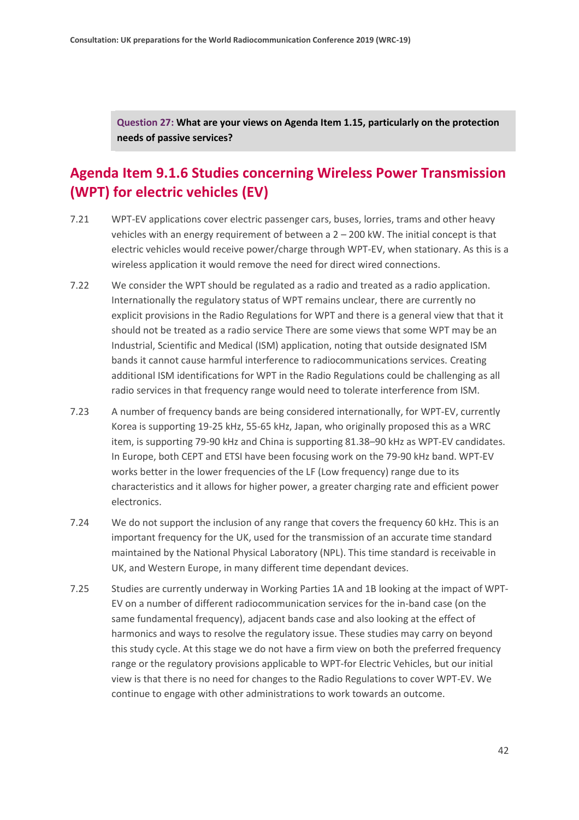**Question 27: What are your views on Agenda Item 1.15, particularly on the protection needs of passive services?**

### **Agenda Item 9.1.6 Studies concerning Wireless Power Transmission (WPT) for electric vehicles (EV)**

- 7.21 WPT-EV applications cover electric passenger cars, buses, lorries, trams and other heavy vehicles with an energy requirement of between a 2 – 200 kW. The initial concept is that electric vehicles would receive power/charge through WPT-EV, when stationary. As this is a wireless application it would remove the need for direct wired connections.
- 7.22 We consider the WPT should be regulated as a radio and treated as a radio application. Internationally the regulatory status of WPT remains unclear, there are currently no explicit provisions in the Radio Regulations for WPT and there is a general view that that it should not be treated as a radio service There are some views that some WPT may be an Industrial, Scientific and Medical (ISM) application, noting that outside designated ISM bands it cannot cause harmful interference to radiocommunications services. Creating additional ISM identifications for WPT in the Radio Regulations could be challenging as all radio services in that frequency range would need to tolerate interference from ISM.
- 7.23 A number of frequency bands are being considered internationally, for WPT-EV, currently Korea is supporting 19-25 kHz, 55-65 kHz, Japan, who originally proposed this as a WRC item, is supporting 79-90 kHz and China is supporting 81.38–90 kHz as WPT-EV candidates. In Europe, both CEPT and ETSI have been focusing work on the 79-90 kHz band. WPT-EV works better in the lower frequencies of the LF (Low frequency) range due to its characteristics and it allows for higher power, a greater charging rate and efficient power electronics.
- 7.24 We do not support the inclusion of any range that covers the frequency 60 kHz. This is an important frequency for the UK, used for the transmission of an accurate time standard maintained by the National Physical Laboratory (NPL). This time standard is receivable in UK, and Western Europe, in many different time dependant devices.
- 7.25 Studies are currently underway in Working Parties 1A and 1B looking at the impact of WPT-EV on a number of different radiocommunication services for the in-band case (on the same fundamental frequency), adjacent bands case and also looking at the effect of harmonics and ways to resolve the regulatory issue. These studies may carry on beyond this study cycle. At this stage we do not have a firm view on both the preferred frequency range or the regulatory provisions applicable to WPT-for Electric Vehicles, but our initial view is that there is no need for changes to the Radio Regulations to cover WPT-EV. We continue to engage with other administrations to work towards an outcome.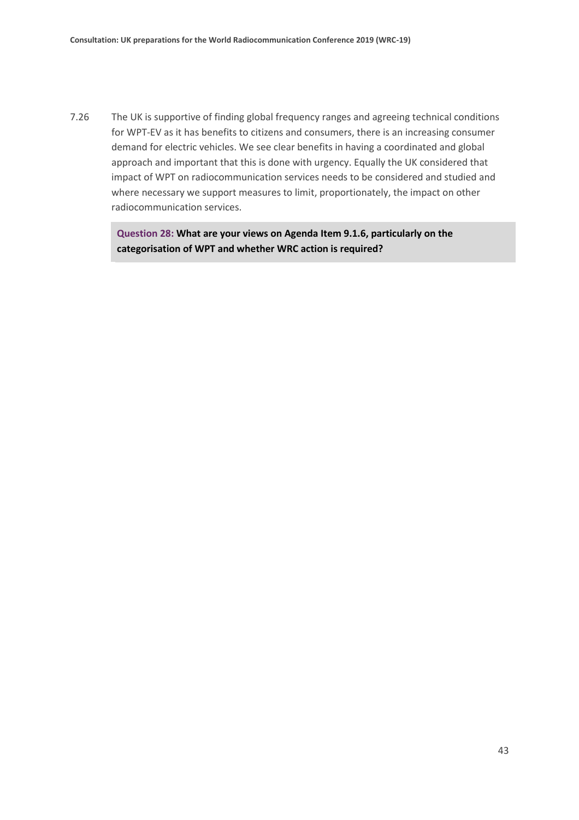7.26 The UK is supportive of finding global frequency ranges and agreeing technical conditions for WPT-EV as it has benefits to citizens and consumers, there is an increasing consumer demand for electric vehicles. We see clear benefits in having a coordinated and global approach and important that this is done with urgency. Equally the UK considered that impact of WPT on radiocommunication services needs to be considered and studied and where necessary we support measures to limit, proportionately, the impact on other radiocommunication services.

> **Question 28: What are your views on Agenda Item 9.1.6, particularly on the categorisation of WPT and whether WRC action is required?**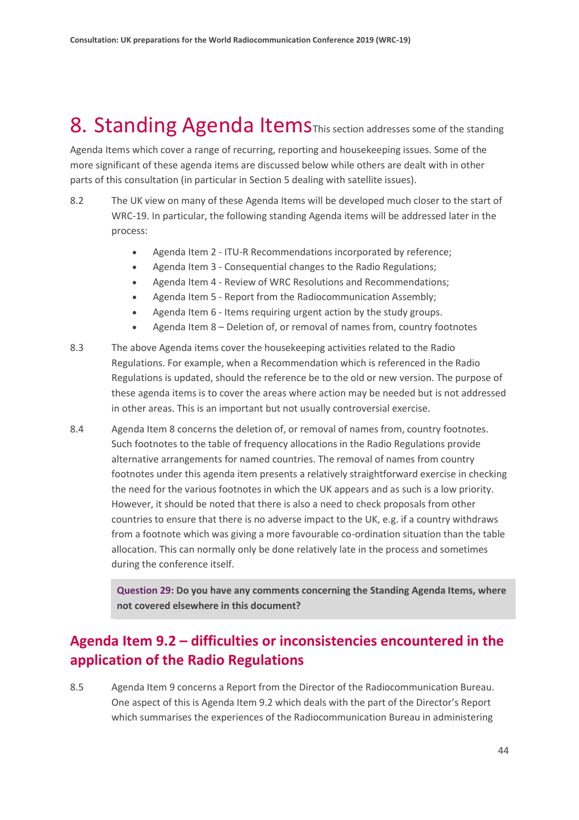## <span id="page-43-0"></span>8. Standing Agenda Items This section addresses some of the standing

Agenda Items which cover a range of recurring, reporting and housekeeping issues. Some of the more significant of these agenda items are discussed below while others are dealt with in other parts of this consultation (in particular in Section 5 dealing with satellite issues).

- 8.2 The UK view on many of these Agenda Items will be developed much closer to the start of WRC-19. In particular, the following standing Agenda items will be addressed later in the process:
	- Agenda Item 2 ITU-R Recommendations incorporated by reference;
	- Agenda Item 3 Consequential changes to the Radio Regulations;
	- Agenda Item 4 Review of WRC Resolutions and Recommendations;
	- Agenda Item 5 Report from the Radiocommunication Assembly;
	- Agenda Item 6 Items requiring urgent action by the study groups.
	- Agenda Item 8 Deletion of, or removal of names from, country footnotes
- 8.3 The above Agenda items cover the housekeeping activities related to the Radio Regulations. For example, when a Recommendation which is referenced in the Radio Regulations is updated, should the reference be to the old or new version. The purpose of these agenda items is to cover the areas where action may be needed but is not addressed in other areas. This is an important but not usually controversial exercise.
- 8.4 Agenda Item 8 concerns the deletion of, or removal of names from, country footnotes. Such footnotes to the table of frequency allocations in the Radio Regulations provide alternative arrangements for named countries. The removal of names from country footnotes under this agenda item presents a relatively straightforward exercise in checking the need for the various footnotes in which the UK appears and as such is a low priority. However, it should be noted that there is also a need to check proposals from other countries to ensure that there is no adverse impact to the UK, e.g. if a country withdraws from a footnote which was giving a more favourable co-ordination situation than the table allocation. This can normally only be done relatively late in the process and sometimes during the conference itself.

**Question 29: Do you have any comments concerning the Standing Agenda Items, where not covered elsewhere in this document?**

### **Agenda Item 9.2 – difficulties or inconsistencies encountered in the application of the Radio Regulations**

8.5 Agenda Item 9 concerns a Report from the Director of the Radiocommunication Bureau. One aspect of this is Agenda Item 9.2 which deals with the part of the Director's Report which summarises the experiences of the Radiocommunication Bureau in administering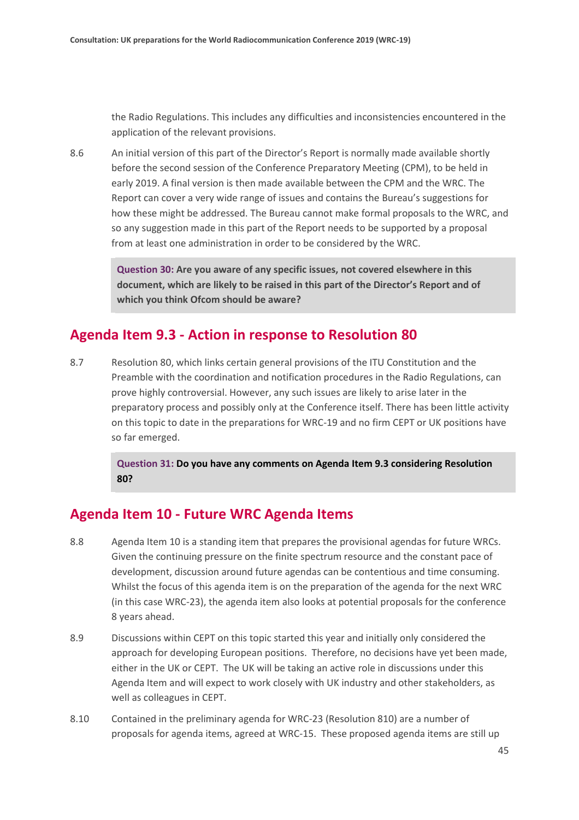the Radio Regulations. This includes any difficulties and inconsistencies encountered in the application of the relevant provisions.

8.6 An initial version of this part of the Director's Report is normally made available shortly before the second session of the Conference Preparatory Meeting (CPM), to be held in early 2019. A final version is then made available between the CPM and the WRC. The Report can cover a very wide range of issues and contains the Bureau's suggestions for how these might be addressed. The Bureau cannot make formal proposals to the WRC, and so any suggestion made in this part of the Report needs to be supported by a proposal from at least one administration in order to be considered by the WRC.

> **Question 30: Are you aware of any specific issues, not covered elsewhere in this document, which are likely to be raised in this part of the Director's Report and of which you think Ofcom should be aware?**

#### **Agenda Item 9.3 - Action in response to Resolution 80**

8.7 Resolution 80, which links certain general provisions of the ITU Constitution and the Preamble with the coordination and notification procedures in the Radio Regulations, can prove highly controversial. However, any such issues are likely to arise later in the preparatory process and possibly only at the Conference itself. There has been little activity on this topic to date in the preparations for WRC-19 and no firm CEPT or UK positions have so far emerged.

> **Question 31: Do you have any comments on Agenda Item 9.3 considering Resolution 80?**

#### **Agenda Item 10 - Future WRC Agenda Items**

- 8.8 Agenda Item 10 is a standing item that prepares the provisional agendas for future WRCs. Given the continuing pressure on the finite spectrum resource and the constant pace of development, discussion around future agendas can be contentious and time consuming. Whilst the focus of this agenda item is on the preparation of the agenda for the next WRC (in this case WRC-23), the agenda item also looks at potential proposals for the conference 8 years ahead.
- 8.9 Discussions within CEPT on this topic started this year and initially only considered the approach for developing European positions. Therefore, no decisions have yet been made, either in the UK or CEPT. The UK will be taking an active role in discussions under this Agenda Item and will expect to work closely with UK industry and other stakeholders, as well as colleagues in CEPT.
- 8.10 Contained in the preliminary agenda for WRC-23 (Resolution 810) are a number of proposals for agenda items, agreed at WRC-15. These proposed agenda items are still up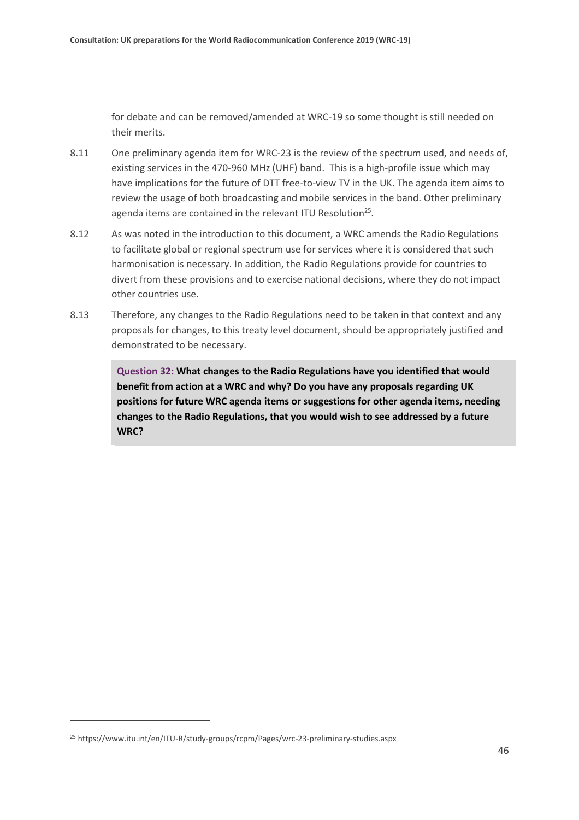for debate and can be removed/amended at WRC-19 so some thought is still needed on their merits.

- 8.11 One preliminary agenda item for WRC-23 is the review of the spectrum used, and needs of, existing services in the 470-960 MHz (UHF) band. This is a high-profile issue which may have implications for the future of DTT free-to-view TV in the UK. The agenda item aims to review the usage of both broadcasting and mobile services in the band. Other preliminary agenda items are contained in the relevant ITU Resolution<sup>25</sup>.
- 8.12 As was noted in the introduction to this document, a WRC amends the Radio Regulations to facilitate global or regional spectrum use for services where it is considered that such harmonisation is necessary. In addition, the Radio Regulations provide for countries to divert from these provisions and to exercise national decisions, where they do not impact other countries use.
- 8.13 Therefore, any changes to the Radio Regulations need to be taken in that context and any proposals for changes, to this treaty level document, should be appropriately justified and demonstrated to be necessary.

**Question 32: What changes to the Radio Regulations have you identified that would benefit from action at a WRC and why? Do you have any proposals regarding UK positions for future WRC agenda items or suggestions for other agenda items, needing changes to the Radio Regulations, that you would wish to see addressed by a future WRC?** 

<sup>25</sup> https://www.itu.int/en/ITU-R/study-groups/rcpm/Pages/wrc-23-preliminary-studies.aspx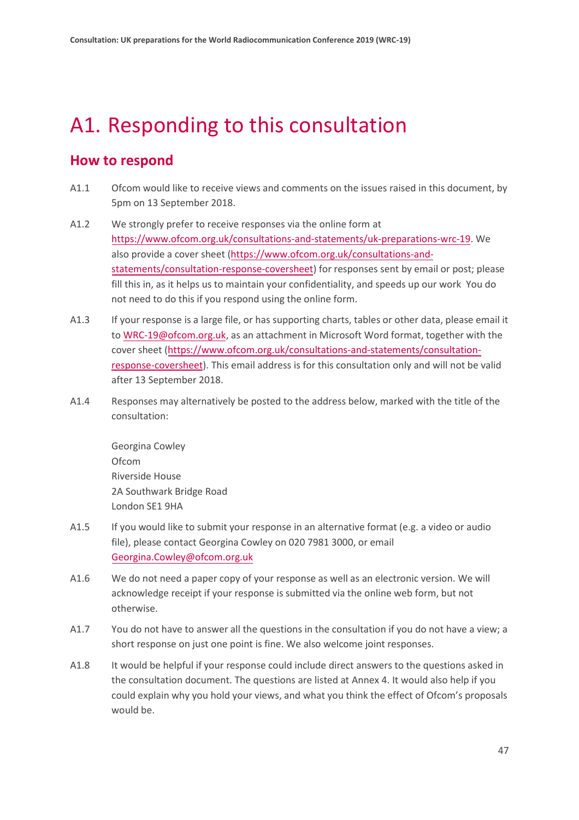## <span id="page-46-0"></span>A1. Responding to this consultation

#### **How to respond**

- A1.1 Ofcom would like to receive views and comments on the issues raised in this document, by 5pm on 13 September 2018.
- A1.2 We strongly prefer to receive responses via the online form at [https://www.ofcom.org.uk/consultations-and-statements/uk-preparations-wrc-19.](https://www.ofcom.org.uk/consultations-and-statements/uk-preparations-wrc-19/) We also provide a cover sheet [\(https://www.ofcom.org.uk/consultations-and](https://www.ofcom.org.uk/consultations-and-statements/consultation-response-coversheet)[statements/consultation-response-coversheet\)](https://www.ofcom.org.uk/consultations-and-statements/consultation-response-coversheet) for responses sent by email or post; please fill this in, as it helps us to maintain your confidentiality, and speeds up our work You do not need to do this if you respond using the online form.
- A1.3 If your response is a large file, or has supporting charts, tables or other data, please email it to [WRC-19@ofcom.org.uk,](mailto:WRC-19@ofcom.org.uk) as an attachment in Microsoft Word format, together with the cover sheet [\(https://www.ofcom.org.uk/consultations-and-statements/consultation](https://www.ofcom.org.uk/consultations-and-statements/consultation-response-coversheet)[response-coversheet\)](https://www.ofcom.org.uk/consultations-and-statements/consultation-response-coversheet). This email address is for this consultation only and will not be valid after 13 September 2018.
- A1.4 Responses may alternatively be posted to the address below, marked with the title of the consultation:

Georgina Cowley Ofcom Riverside House 2A Southwark Bridge Road London SE1 9HA

- A1.5 If you would like to submit your response in an alternative format (e.g. a video or audio file), please contact Georgina Cowley on 020 7981 3000, or email [Georgina.Cowley@ofcom.org.uk](mailto:Georgina.Cowley@ofcom.org.uk)
- A1.6 We do not need a paper copy of your response as well as an electronic version. We will acknowledge receipt if your response is submitted via the online web form, but not otherwise.
- A1.7 You do not have to answer all the questions in the consultation if you do not have a view; a short response on just one point is fine. We also welcome joint responses.
- A1.8 It would be helpful if your response could include direct answers to the questions asked in the consultation document. The questions are listed at Annex 4. It would also help if you could explain why you hold your views, and what you think the effect of Ofcom's proposals would be.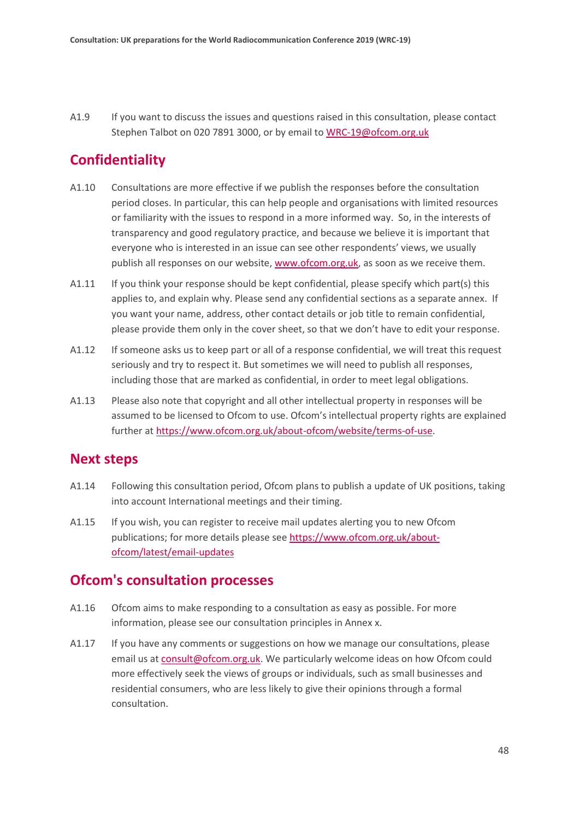A1.9 If you want to discuss the issues and questions raised in this consultation, please contact Stephen Talbot on 020 7891 3000, or by email to [WRC-19@ofcom.org.uk](mailto:WRC-19@ofcom.org.uk)

#### **Confidentiality**

- A1.10 Consultations are more effective if we publish the responses before the consultation period closes. In particular, this can help people and organisations with limited resources or familiarity with the issues to respond in a more informed way. So, in the interests of transparency and good regulatory practice, and because we believe it is important that everyone who is interested in an issue can see other respondents' views, we usually publish all responses on our website, [www.ofcom.org.uk,](http://www.ofcom.org.uk/) as soon as we receive them.
- A1.11 If you think your response should be kept confidential, please specify which part(s) this applies to, and explain why. Please send any confidential sections as a separate annex. If you want your name, address, other contact details or job title to remain confidential, please provide them only in the cover sheet, so that we don't have to edit your response.
- A1.12 If someone asks us to keep part or all of a response confidential, we will treat this request seriously and try to respect it. But sometimes we will need to publish all responses, including those that are marked as confidential, in order to meet legal obligations.
- A1.13 Please also note that copyright and all other intellectual property in responses will be assumed to be licensed to Ofcom to use. Ofcom's intellectual property rights are explained further at [https://www.ofcom.org.uk/about-ofcom/website/terms-of-use.](https://www.ofcom.org.uk/about-ofcom/website/terms-of-use/)

#### **Next steps**

- A1.14 Following this consultation period, Ofcom plans to publish a update of UK positions, taking into account International meetings and their timing.
- A1.15 If you wish, you can register to receive mail updates alerting you to new Ofcom publications; for more details please se[e https://www.ofcom.org.uk/about](https://www.ofcom.org.uk/about-ofcom/latest/email-updates)[ofcom/latest/email-updates](https://www.ofcom.org.uk/about-ofcom/latest/email-updates)

#### **Ofcom's consultation processes**

- A1.16 Ofcom aims to make responding to a consultation as easy as possible. For more information, please see our consultation principles in Annex x.
- A1.17 If you have any comments or suggestions on how we manage our consultations, please email us a[t consult@ofcom.org.uk.](mailto:consult@ofcom.org.uk) We particularly welcome ideas on how Ofcom could more effectively seek the views of groups or individuals, such as small businesses and residential consumers, who are less likely to give their opinions through a formal consultation.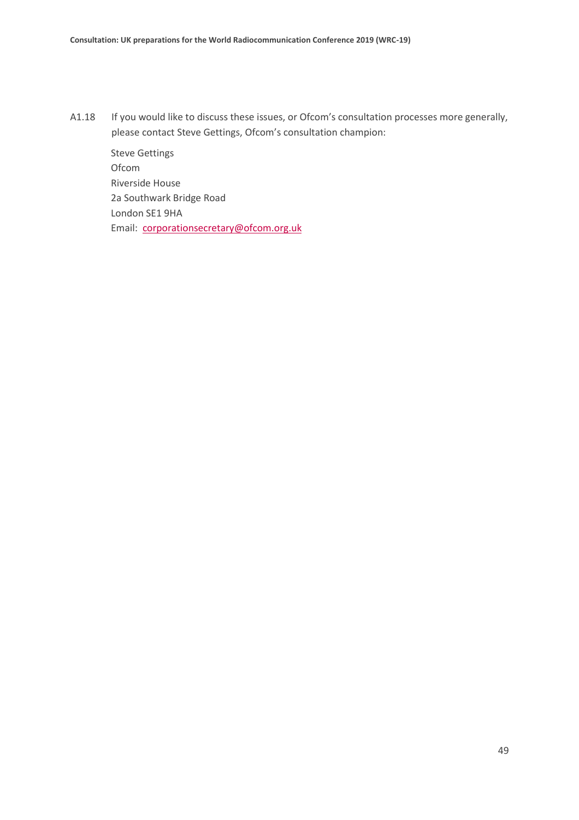A1.18 If you would like to discuss these issues, or Ofcom's consultation processes more generally, please contact Steve Gettings, Ofcom's consultation champion:

Steve Gettings Ofcom Riverside House 2a Southwark Bridge Road London SE1 9HA Email: [corporationsecretary@ofcom.org.uk](mailto:corporationsecretary@ofcom.org.uk)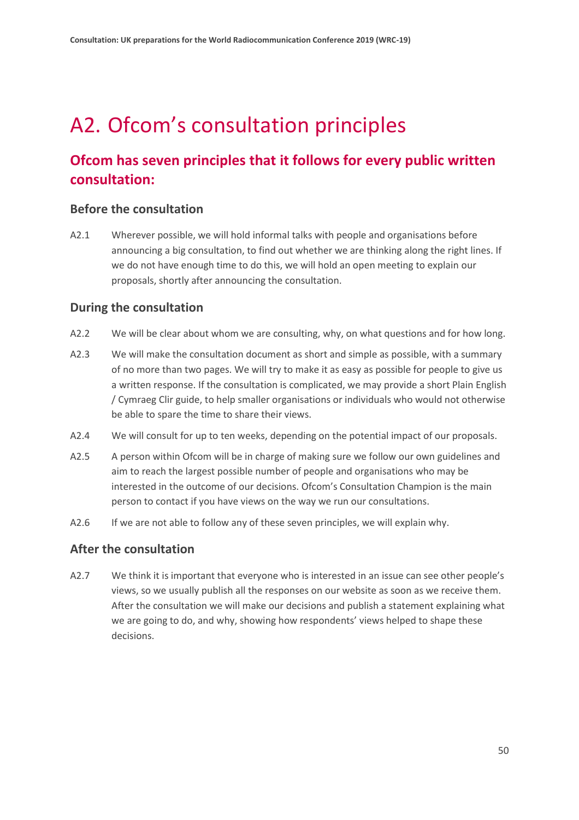## <span id="page-49-0"></span>A2. Ofcom's consultation principles

### **Ofcom has seven principles that it follows for every public written consultation:**

#### **Before the consultation**

A2.1 Wherever possible, we will hold informal talks with people and organisations before announcing a big consultation, to find out whether we are thinking along the right lines. If we do not have enough time to do this, we will hold an open meeting to explain our proposals, shortly after announcing the consultation.

#### **During the consultation**

- A2.2 We will be clear about whom we are consulting, why, on what questions and for how long.
- A2.3 We will make the consultation document as short and simple as possible, with a summary of no more than two pages. We will try to make it as easy as possible for people to give us a written response. If the consultation is complicated, we may provide a short Plain English / Cymraeg Clir guide, to help smaller organisations or individuals who would not otherwise be able to spare the time to share their views.
- A2.4 We will consult for up to ten weeks, depending on the potential impact of our proposals.
- A2.5 A person within Ofcom will be in charge of making sure we follow our own guidelines and aim to reach the largest possible number of people and organisations who may be interested in the outcome of our decisions. Ofcom's Consultation Champion is the main person to contact if you have views on the way we run our consultations.
- A2.6 If we are not able to follow any of these seven principles, we will explain why.

#### **After the consultation**

A2.7 We think it is important that everyone who is interested in an issue can see other people's views, so we usually publish all the responses on our website as soon as we receive them. After the consultation we will make our decisions and publish a statement explaining what we are going to do, and why, showing how respondents' views helped to shape these decisions.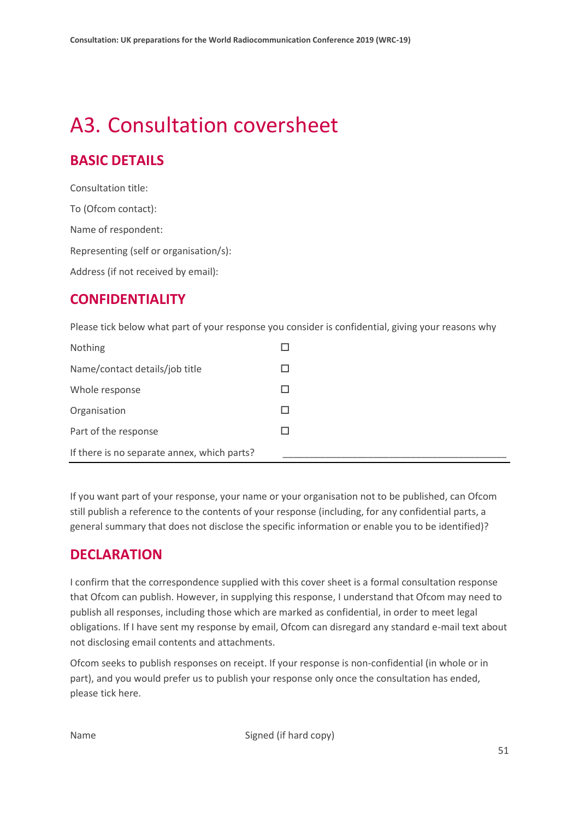## <span id="page-50-0"></span>A3. Consultation coversheet

#### **BASIC DETAILS**

Consultation title: To (Ofcom contact): Name of respondent: Representing (self or organisation/s): Address (if not received by email):

#### **CONFIDENTIALITY**

Please tick below what part of your response you consider is confidential, giving your reasons why

| Nothing                                     |  |
|---------------------------------------------|--|
| Name/contact details/job title              |  |
| Whole response                              |  |
| Organisation                                |  |
| Part of the response                        |  |
| If there is no separate annex, which parts? |  |

If you want part of your response, your name or your organisation not to be published, can Ofcom still publish a reference to the contents of your response (including, for any confidential parts, a general summary that does not disclose the specific information or enable you to be identified)?

#### **DECLARATION**

I confirm that the correspondence supplied with this cover sheet is a formal consultation response that Ofcom can publish. However, in supplying this response, I understand that Ofcom may need to publish all responses, including those which are marked as confidential, in order to meet legal obligations. If I have sent my response by email, Ofcom can disregard any standard e-mail text about not disclosing email contents and attachments.

Ofcom seeks to publish responses on receipt. If your response is non-confidential (in whole or in part), and you would prefer us to publish your response only once the consultation has ended, please tick here.

Name Signed (if hard copy)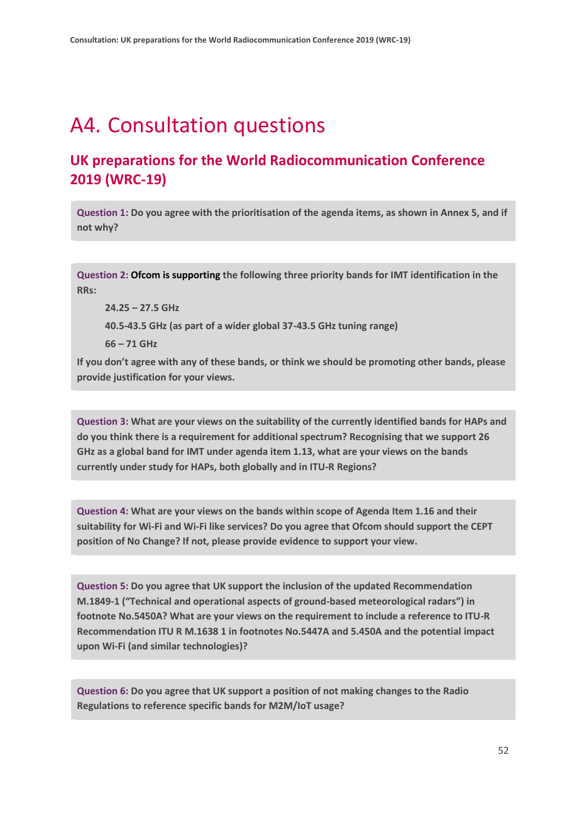## <span id="page-51-0"></span>A4. Consultation questions

#### **UK preparations for the World Radiocommunication Conference 2019 (WRC-19)**

**Question 1: Do you agree with the prioritisation of the agenda items, as shown in Annex 5, and if not why?**

**Question 2: Ofcom is supporting the following three priority bands for IMT identification in the RRs:**

**24.25 – 27.5 GHz**

**40.5-43.5 GHz (as part of a wider global 37-43.5 GHz tuning range)**

**66 – 71 GHz**

**If you don't agree with any of these bands, or think we should be promoting other bands, please provide justification for your views.**

**Question 3: What are your views on the suitability of the currently identified bands for HAPs and do you think there is a requirement for additional spectrum? Recognising that we support 26 GHz as a global band for IMT under agenda item 1.13, what are your views on the bands currently under study for HAPs, both globally and in ITU-R Regions?**

**Question 4: What are your views on the bands within scope of Agenda Item 1.16 and their suitability for Wi-Fi and Wi-Fi like services? Do you agree that Ofcom should support the CEPT position of No Change? If not, please provide evidence to support your view.**

**Question 5: Do you agree that UK support the inclusion of the updated Recommendation M.1849-1 ("Technical and operational aspects of ground-based meteorological radars") in footnote No.5450A? What are your views on the requirement to include a reference to ITU-R Recommendation ITU R M.1638 1 in footnotes No.5447A and 5.450A and the potential impact upon Wi-Fi (and similar technologies)?**

**Question 6: Do you agree that UK support a position of not making changes to the Radio Regulations to reference specific bands for M2M/IoT usage?**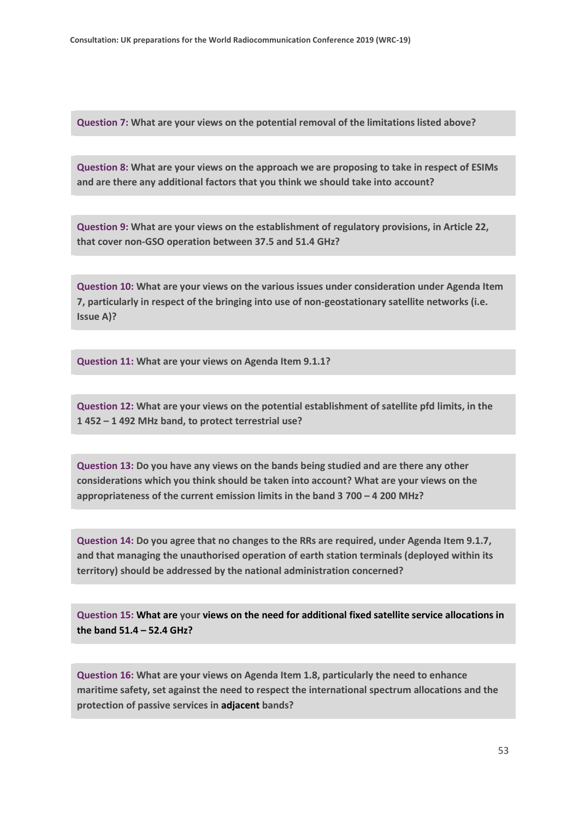**Question 7: What are your views on the potential removal of the limitations listed above?**

**Question 8: What are your views on the approach we are proposing to take in respect of ESIMs and are there any additional factors that you think we should take into account?**

**Question 9: What are your views on the establishment of regulatory provisions, in Article 22, that cover non-GSO operation between 37.5 and 51.4 GHz?**

**Question 10: What are your views on the various issues under consideration under Agenda Item 7, particularly in respect of the bringing into use of non-geostationary satellite networks (i.e. Issue A)?**

**Question 11: What are your views on Agenda Item 9.1.1?**

**Question 12: What are your views on the potential establishment of satellite pfd limits, in the 1 452 – 1 492 MHz band, to protect terrestrial use?**

**Question 13: Do you have any views on the bands being studied and are there any other considerations which you think should be taken into account? What are your views on the appropriateness of the current emission limits in the band 3 700 – 4 200 MHz?**

**Question 14: Do you agree that no changes to the RRs are required, under Agenda Item 9.1.7, and that managing the unauthorised operation of earth station terminals (deployed within its territory) should be addressed by the national administration concerned?**

**Question 15: What are your views on the need for additional fixed satellite service allocations in the band 51.4 – 52.4 GHz?**

**Question 16: What are your views on Agenda Item 1.8, particularly the need to enhance maritime safety, set against the need to respect the international spectrum allocations and the protection of passive services in adjacent bands?**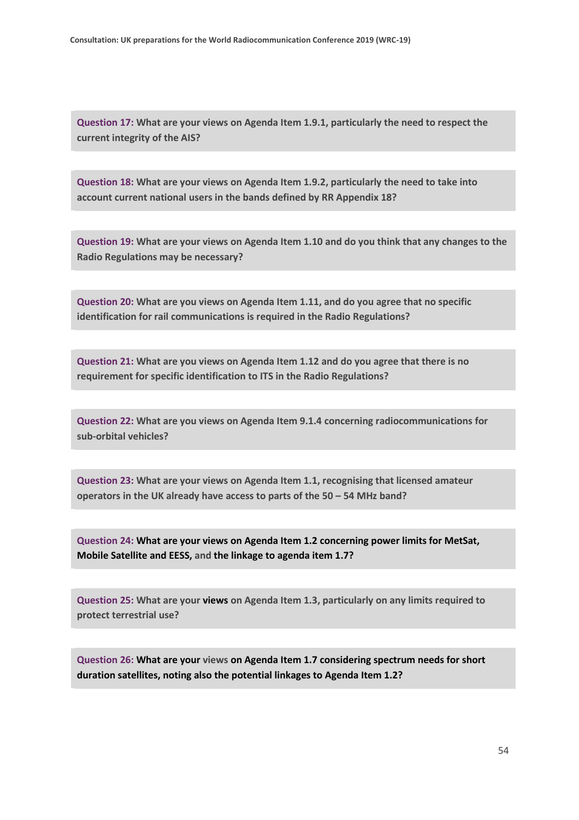**Question 17: What are your views on Agenda Item 1.9.1, particularly the need to respect the current integrity of the AIS?**

**Question 18: What are your views on Agenda Item 1.9.2, particularly the need to take into account current national users in the bands defined by RR Appendix 18?**

**Question 19: What are your views on Agenda Item 1.10 and do you think that any changes to the Radio Regulations may be necessary?**

**Question 20: What are you views on Agenda Item 1.11, and do you agree that no specific identification for rail communications is required in the Radio Regulations?**

**Question 21: What are you views on Agenda Item 1.12 and do you agree that there is no requirement for specific identification to ITS in the Radio Regulations?**

**Question 22: What are you views on Agenda Item 9.1.4 concerning radiocommunications for sub-orbital vehicles?**

**Question 23: What are your views on Agenda Item 1.1, recognising that licensed amateur operators in the UK already have access to parts of the 50 – 54 MHz band?**

**Question 24: What are your views on Agenda Item 1.2 concerning power limits for MetSat, Mobile Satellite and EESS, and the linkage to agenda item 1.7?**

**Question 25: What are your views on Agenda Item 1.3, particularly on any limits required to protect terrestrial use?**

**Question 26: What are your views on Agenda Item 1.7 considering spectrum needs for short duration satellites, noting also the potential linkages to Agenda Item 1.2?**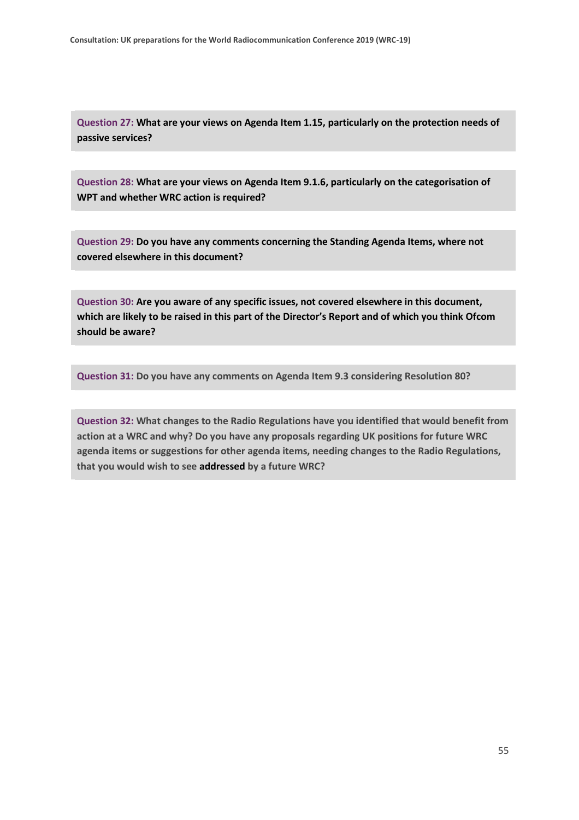**Question 27: What are your views on Agenda Item 1.15, particularly on the protection needs of passive services?**

**Question 28: What are your views on Agenda Item 9.1.6, particularly on the categorisation of WPT and whether WRC action is required?**

**Question 29: Do you have any comments concerning the Standing Agenda Items, where not covered elsewhere in this document?**

**Question 30: Are you aware of any specific issues, not covered elsewhere in this document, which are likely to be raised in this part of the Director's Report and of which you think Ofcom should be aware?**

**Question 31: Do you have any comments on Agenda Item 9.3 considering Resolution 80?**

**Question 32: What changes to the Radio Regulations have you identified that would benefit from action at a WRC and why? Do you have any proposals regarding UK positions for future WRC agenda items or suggestions for other agenda items, needing changes to the Radio Regulations, that you would wish to see addressed by a future WRC?**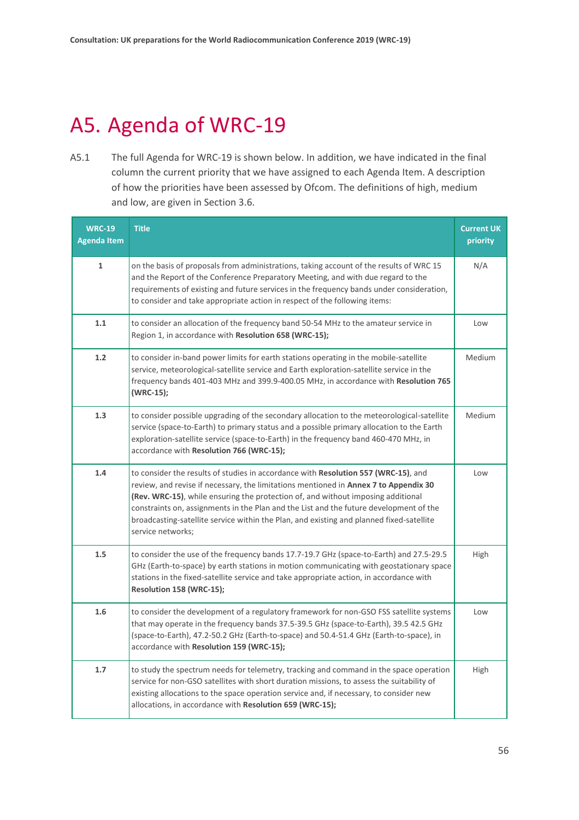# <span id="page-55-0"></span>A5. Agenda of WRC-19

A5.1 The full Agenda for WRC-19 is shown below. In addition, we have indicated in the final column the current priority that we have assigned to each Agenda Item. A description of how the priorities have been assessed by Ofcom. The definitions of high, medium and low, are given in Section 3.6.

| <b>WRC-19</b><br><b>Agenda Item</b> | <b>Title</b>                                                                                                                                                                                                                                                                                                                                                                                                                                                                      | <b>Current UK</b><br>priority |
|-------------------------------------|-----------------------------------------------------------------------------------------------------------------------------------------------------------------------------------------------------------------------------------------------------------------------------------------------------------------------------------------------------------------------------------------------------------------------------------------------------------------------------------|-------------------------------|
| $\mathbf{1}$                        | on the basis of proposals from administrations, taking account of the results of WRC 15<br>and the Report of the Conference Preparatory Meeting, and with due regard to the<br>requirements of existing and future services in the frequency bands under consideration,<br>to consider and take appropriate action in respect of the following items:                                                                                                                             | N/A                           |
| 1.1                                 | to consider an allocation of the frequency band 50-54 MHz to the amateur service in<br>Region 1, in accordance with Resolution 658 (WRC-15);                                                                                                                                                                                                                                                                                                                                      | Low                           |
| 1.2                                 | to consider in-band power limits for earth stations operating in the mobile-satellite<br>service, meteorological-satellite service and Earth exploration-satellite service in the<br>frequency bands 401-403 MHz and 399.9-400.05 MHz, in accordance with Resolution 765<br>(WRC-15);                                                                                                                                                                                             | Medium                        |
| 1.3                                 | to consider possible upgrading of the secondary allocation to the meteorological-satellite<br>service (space-to-Earth) to primary status and a possible primary allocation to the Earth<br>exploration-satellite service (space-to-Earth) in the frequency band 460-470 MHz, in<br>accordance with Resolution 766 (WRC-15);                                                                                                                                                       | <b>Medium</b>                 |
| 1.4                                 | to consider the results of studies in accordance with Resolution 557 (WRC-15), and<br>review, and revise if necessary, the limitations mentioned in Annex 7 to Appendix 30<br><b>(Rev. WRC-15)</b> , while ensuring the protection of, and without imposing additional<br>constraints on, assignments in the Plan and the List and the future development of the<br>broadcasting-satellite service within the Plan, and existing and planned fixed-satellite<br>service networks; | Low                           |
| 1.5                                 | to consider the use of the frequency bands 17.7-19.7 GHz (space-to-Earth) and 27.5-29.5<br>GHz (Earth-to-space) by earth stations in motion communicating with geostationary space<br>stations in the fixed-satellite service and take appropriate action, in accordance with<br>Resolution 158 (WRC-15);                                                                                                                                                                         | High                          |
| 1.6                                 | to consider the development of a regulatory framework for non-GSO FSS satellite systems<br>that may operate in the frequency bands 37.5-39.5 GHz (space-to-Earth), 39.5 42.5 GHz<br>(space-to-Earth), 47.2-50.2 GHz (Earth-to-space) and 50.4-51.4 GHz (Earth-to-space), in<br>accordance with Resolution 159 (WRC-15);                                                                                                                                                           | Low                           |
| 1.7                                 | to study the spectrum needs for telemetry, tracking and command in the space operation<br>service for non-GSO satellites with short duration missions, to assess the suitability of<br>existing allocations to the space operation service and, if necessary, to consider new<br>allocations, in accordance with Resolution 659 (WRC-15);                                                                                                                                         | High                          |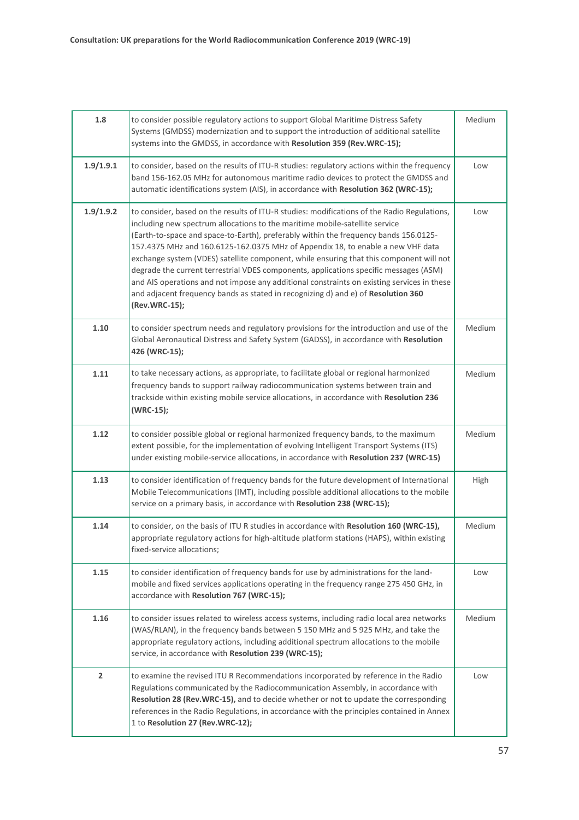| 1.8            | to consider possible regulatory actions to support Global Maritime Distress Safety<br>Systems (GMDSS) modernization and to support the introduction of additional satellite<br>systems into the GMDSS, in accordance with Resolution 359 (Rev.WRC-15);                                                                                                                                                                                                                                                                                                                                                                                                                                                                                        | Medium |
|----------------|-----------------------------------------------------------------------------------------------------------------------------------------------------------------------------------------------------------------------------------------------------------------------------------------------------------------------------------------------------------------------------------------------------------------------------------------------------------------------------------------------------------------------------------------------------------------------------------------------------------------------------------------------------------------------------------------------------------------------------------------------|--------|
| 1.9/1.9.1      | to consider, based on the results of ITU-R studies: regulatory actions within the frequency<br>band 156-162.05 MHz for autonomous maritime radio devices to protect the GMDSS and<br>automatic identifications system (AIS), in accordance with Resolution 362 (WRC-15);                                                                                                                                                                                                                                                                                                                                                                                                                                                                      | Low    |
| 1.9/1.9.2      | to consider, based on the results of ITU-R studies: modifications of the Radio Regulations,<br>including new spectrum allocations to the maritime mobile-satellite service<br>(Earth-to-space and space-to-Earth), preferably within the frequency bands 156.0125-<br>157.4375 MHz and 160.6125-162.0375 MHz of Appendix 18, to enable a new VHF data<br>exchange system (VDES) satellite component, while ensuring that this component will not<br>degrade the current terrestrial VDES components, applications specific messages (ASM)<br>and AIS operations and not impose any additional constraints on existing services in these<br>and adjacent frequency bands as stated in recognizing d) and e) of Resolution 360<br>(Rev.WRC-15); | Low    |
| 1.10           | to consider spectrum needs and regulatory provisions for the introduction and use of the<br>Global Aeronautical Distress and Safety System (GADSS), in accordance with Resolution<br>426 (WRC-15);                                                                                                                                                                                                                                                                                                                                                                                                                                                                                                                                            | Medium |
| 1.11           | to take necessary actions, as appropriate, to facilitate global or regional harmonized<br>frequency bands to support railway radiocommunication systems between train and<br>trackside within existing mobile service allocations, in accordance with Resolution 236<br>(WRC-15);                                                                                                                                                                                                                                                                                                                                                                                                                                                             | Medium |
| 1.12           | to consider possible global or regional harmonized frequency bands, to the maximum<br>extent possible, for the implementation of evolving Intelligent Transport Systems (ITS)<br>under existing mobile-service allocations, in accordance with Resolution 237 (WRC-15)                                                                                                                                                                                                                                                                                                                                                                                                                                                                        | Medium |
| 1.13           | to consider identification of frequency bands for the future development of International<br>Mobile Telecommunications (IMT), including possible additional allocations to the mobile<br>service on a primary basis, in accordance with Resolution 238 (WRC-15);                                                                                                                                                                                                                                                                                                                                                                                                                                                                              | High   |
| 1.14           | to consider, on the basis of ITU R studies in accordance with Resolution 160 (WRC-15),<br>appropriate regulatory actions for high-altitude platform stations (HAPS), within existing<br>fixed-service allocations;                                                                                                                                                                                                                                                                                                                                                                                                                                                                                                                            | Medium |
| 1.15           | to consider identification of frequency bands for use by administrations for the land-<br>mobile and fixed services applications operating in the frequency range 275 450 GHz, in<br>accordance with Resolution 767 (WRC-15);                                                                                                                                                                                                                                                                                                                                                                                                                                                                                                                 | Low    |
| 1.16           | to consider issues related to wireless access systems, including radio local area networks<br>(WAS/RLAN), in the frequency bands between 5 150 MHz and 5 925 MHz, and take the<br>appropriate regulatory actions, including additional spectrum allocations to the mobile<br>service, in accordance with Resolution 239 (WRC-15);                                                                                                                                                                                                                                                                                                                                                                                                             | Medium |
| $\overline{2}$ | to examine the revised ITU R Recommendations incorporated by reference in the Radio<br>Regulations communicated by the Radiocommunication Assembly, in accordance with<br>Resolution 28 (Rev.WRC-15), and to decide whether or not to update the corresponding<br>references in the Radio Regulations, in accordance with the principles contained in Annex<br>1 to Resolution 27 (Rev.WRC-12);                                                                                                                                                                                                                                                                                                                                               | Low    |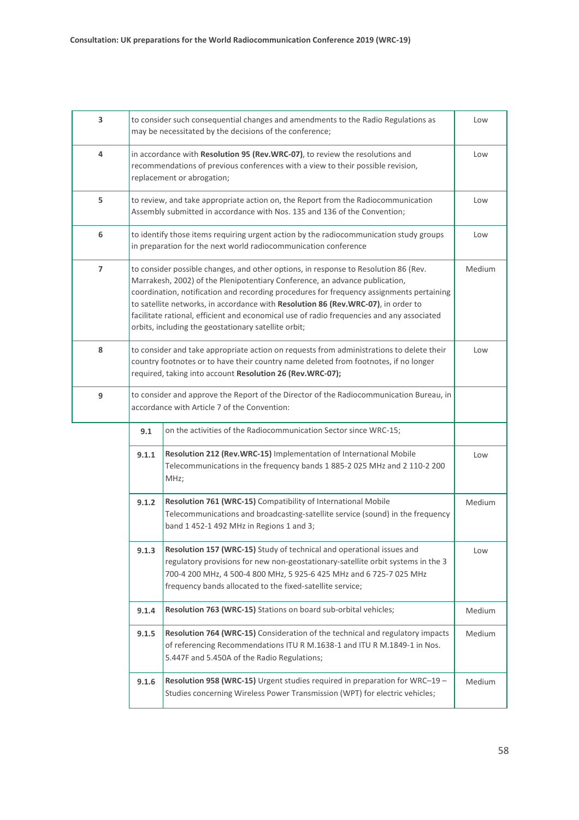| 3              | to consider such consequential changes and amendments to the Radio Regulations as<br>may be necessitated by the decisions of the conference;                                                                                                                                                                                                                                                                                                                                                             |                                                                                                                                                                                                                                                                                                      |               |
|----------------|----------------------------------------------------------------------------------------------------------------------------------------------------------------------------------------------------------------------------------------------------------------------------------------------------------------------------------------------------------------------------------------------------------------------------------------------------------------------------------------------------------|------------------------------------------------------------------------------------------------------------------------------------------------------------------------------------------------------------------------------------------------------------------------------------------------------|---------------|
| 4              | in accordance with Resolution 95 (Rev.WRC-07), to review the resolutions and<br>recommendations of previous conferences with a view to their possible revision,<br>replacement or abrogation;                                                                                                                                                                                                                                                                                                            |                                                                                                                                                                                                                                                                                                      |               |
| 5              |                                                                                                                                                                                                                                                                                                                                                                                                                                                                                                          | to review, and take appropriate action on, the Report from the Radiocommunication<br>Assembly submitted in accordance with Nos. 135 and 136 of the Convention;                                                                                                                                       | Low           |
| 6              |                                                                                                                                                                                                                                                                                                                                                                                                                                                                                                          | to identify those items requiring urgent action by the radiocommunication study groups<br>in preparation for the next world radiocommunication conference                                                                                                                                            | Low           |
| $\overline{7}$ | to consider possible changes, and other options, in response to Resolution 86 (Rev.<br>Marrakesh, 2002) of the Plenipotentiary Conference, an advance publication,<br>coordination, notification and recording procedures for frequency assignments pertaining<br>to satellite networks, in accordance with Resolution 86 (Rev.WRC-07), in order to<br>facilitate rational, efficient and economical use of radio frequencies and any associated<br>orbits, including the geostationary satellite orbit; |                                                                                                                                                                                                                                                                                                      |               |
| 8              | to consider and take appropriate action on requests from administrations to delete their<br>country footnotes or to have their country name deleted from footnotes, if no longer<br>required, taking into account Resolution 26 (Rev.WRC-07);                                                                                                                                                                                                                                                            |                                                                                                                                                                                                                                                                                                      | Low           |
| 9              |                                                                                                                                                                                                                                                                                                                                                                                                                                                                                                          | to consider and approve the Report of the Director of the Radiocommunication Bureau, in<br>accordance with Article 7 of the Convention:                                                                                                                                                              |               |
|                | 9.1                                                                                                                                                                                                                                                                                                                                                                                                                                                                                                      | on the activities of the Radiocommunication Sector since WRC-15;                                                                                                                                                                                                                                     |               |
|                | 9.1.1                                                                                                                                                                                                                                                                                                                                                                                                                                                                                                    | Resolution 212 (Rev.WRC-15) Implementation of International Mobile<br>Telecommunications in the frequency bands 1 885-2 025 MHz and 2 110-2 200<br>MHz;                                                                                                                                              | Low           |
|                | 9.1.2                                                                                                                                                                                                                                                                                                                                                                                                                                                                                                    | Resolution 761 (WRC-15) Compatibility of International Mobile<br>Telecommunications and broadcasting-satellite service (sound) in the frequency<br>band 1 452-1 492 MHz in Regions 1 and 3;                                                                                                          | <b>Medium</b> |
|                | 9.1.3                                                                                                                                                                                                                                                                                                                                                                                                                                                                                                    | <b>Resolution 157 (WRC-15)</b> Study of technical and operational issues and<br>regulatory provisions for new non-geostationary-satellite orbit systems in the 3<br>700-4 200 MHz, 4 500-4 800 MHz, 5 925-6 425 MHz and 6 725-7 025 MHz<br>frequency bands allocated to the fixed-satellite service; | Low           |
|                | 9.1.4                                                                                                                                                                                                                                                                                                                                                                                                                                                                                                    | Resolution 763 (WRC-15) Stations on board sub-orbital vehicles;                                                                                                                                                                                                                                      | Medium        |
|                | 9.1.5                                                                                                                                                                                                                                                                                                                                                                                                                                                                                                    | Resolution 764 (WRC-15) Consideration of the technical and regulatory impacts<br>of referencing Recommendations ITU R M.1638-1 and ITU R M.1849-1 in Nos.<br>5.447F and 5.450A of the Radio Regulations;                                                                                             | Medium        |
|                | 9.1.6                                                                                                                                                                                                                                                                                                                                                                                                                                                                                                    | Resolution 958 (WRC-15) Urgent studies required in preparation for WRC-19 -<br>Studies concerning Wireless Power Transmission (WPT) for electric vehicles;                                                                                                                                           | Medium        |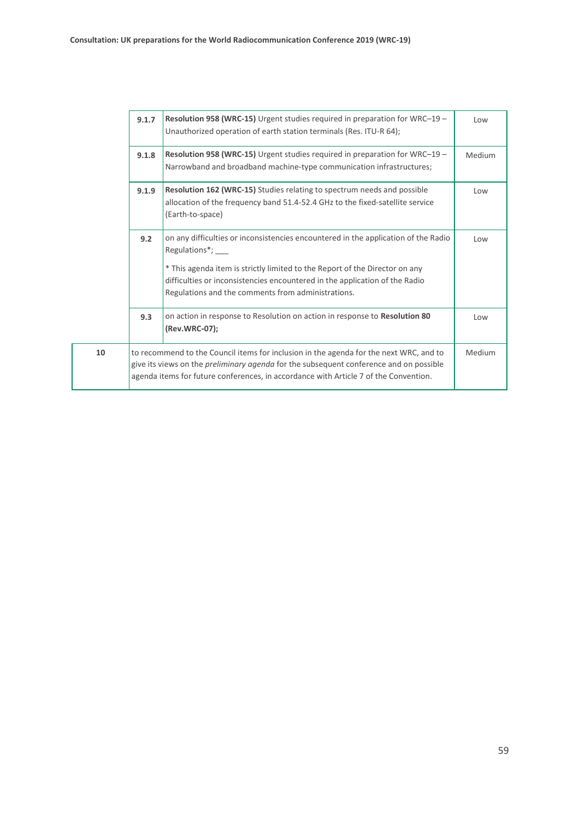|    | 9.1.7                                                                                                                                                                                                                                                                           | Resolution 958 (WRC-15) Urgent studies required in preparation for WRC-19 -<br>Unauthorized operation of earth station terminals (Res. ITU-R 64);                                                                                                                                                                           | Low    |
|----|---------------------------------------------------------------------------------------------------------------------------------------------------------------------------------------------------------------------------------------------------------------------------------|-----------------------------------------------------------------------------------------------------------------------------------------------------------------------------------------------------------------------------------------------------------------------------------------------------------------------------|--------|
|    | 9.1.8                                                                                                                                                                                                                                                                           | Resolution 958 (WRC-15) Urgent studies required in preparation for WRC-19 -<br>Narrowband and broadband machine-type communication infrastructures;                                                                                                                                                                         | Medium |
|    | 9.1.9                                                                                                                                                                                                                                                                           | <b>Resolution 162 (WRC-15)</b> Studies relating to spectrum needs and possible<br>allocation of the frequency band 51.4-52.4 GHz to the fixed-satellite service<br>(Earth-to-space)                                                                                                                                         | Low    |
|    | 9.2                                                                                                                                                                                                                                                                             | on any difficulties or inconsistencies encountered in the application of the Radio<br>Regulations*; ___<br>* This agenda item is strictly limited to the Report of the Director on any<br>difficulties or inconsistencies encountered in the application of the Radio<br>Regulations and the comments from administrations. | Low    |
|    | 9.3                                                                                                                                                                                                                                                                             | on action in response to Resolution on action in response to Resolution 80<br>(Rev.WRC-07);                                                                                                                                                                                                                                 | Low    |
| 10 | to recommend to the Council items for inclusion in the agenda for the next WRC, and to<br>give its views on the <i>preliminary agenda</i> for the subsequent conference and on possible<br>agenda items for future conferences, in accordance with Article 7 of the Convention. |                                                                                                                                                                                                                                                                                                                             | Medium |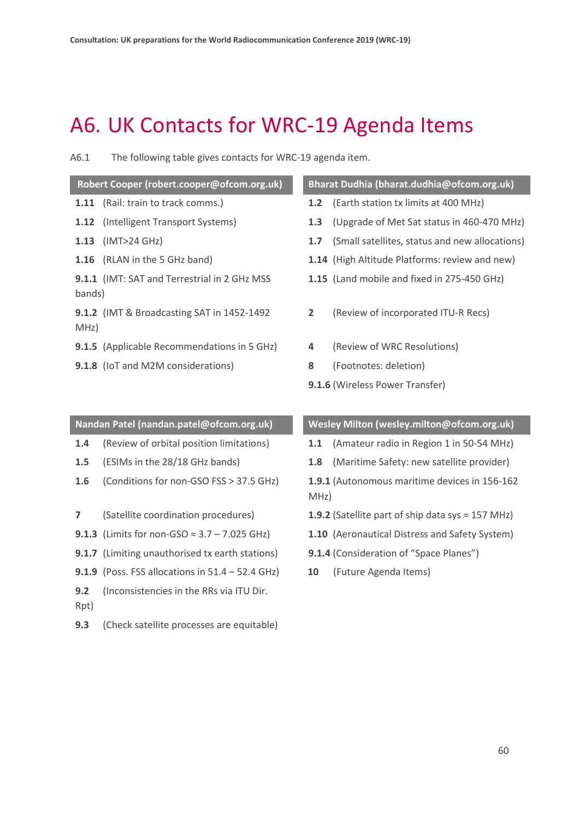## <span id="page-59-0"></span>A6. UK Contacts for WRC-19 Agenda Items

A6.1 The following table gives contacts for WRC-19 agenda item.

#### **Robert Cooper (robert.cooper@ofcom.org.uk) Bharat Dudhia (bharat.dudhia@ofcom.org.uk)**

- 
- 
- 
- 
- **9.1.1** (IMT: SAT and Terrestrial in 2 GHz MSS bands)
- **9.1.2** (IMT & Broadcasting SAT in 1452-1492 MHz)
- **9.1.5** (Applicable Recommendations in 5 GHz) **4** (Review of WRC Resolutions)
- **9.1.8** (IoT and M2M considerations) **8** (Footnotes: deletion)

- **1.11** (Rail: train to track comms.) **1.2** (Earth station tx limits at 400 MHz)
- **1.12** (Intelligent Transport Systems) **1.3** (Upgrade of Met Sat status in 460-470 MHz)
- **1.13** (IMT>24 GHz) **1.7** (Small satellites, status and new allocations)
- **1.16** (RLAN in the 5 GHz band) **1.14** (High Altitude Platforms: review and new)
	- **1.15** (Land mobile and fixed in 275-450 GHz)
	- **2** (Review of incorporated ITU-R Recs)
	-
	-
	- **9.1.6** (Wireless Power Transfer)

- 
- 
- 
- 
- 
- **9.1.7** (Limiting unauthorised tx earth stations) **9.1.4** (Consideration of "Space Planes")
- **9.1.9** (Poss. FSS allocations in 51.4 52.4 GHz) **10** (Future Agenda Items)
- **9.2** (Inconsistencies in the RRs via ITU Dir. Rpt)
- **9.3** (Check satellite processes are equitable)

#### **Nandan Patel (nandan.patel@ofcom.org.uk) Wesley Milton (wesley.milton@ofcom.org.uk)**

- **1.4** (Review of orbital position limitations) **1.1** (Amateur radio in Region 1 in 50-54 MHz)
- **1.5** (ESIMs in the 28/18 GHz bands) **1.8** (Maritime Safety: new satellite provider)
- **1.6** (Conditions for non-GSO FSS > 37.5 GHz) **1.9.1** (Autonomous maritime devices in 156-162 MHz)
- **7** (Satellite coordination procedures) **1.9.2** (Satellite part of ship data sys ≈ 157 MHz)
- **9.1.3** (Limits for non-GSO ≈ 3.7 7.025 GHz) **1.10** (Aeronautical Distress and Safety System)
	-
	-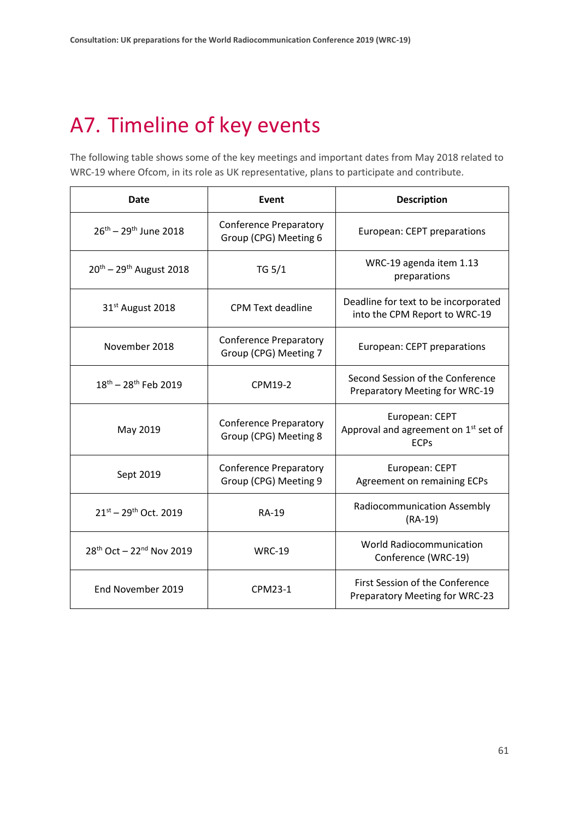# <span id="page-60-0"></span>A7. Timeline of key events

The following table shows some of the key meetings and important dates from May 2018 related to WRC-19 where Ofcom, in its role as UK representative, plans to participate and contribute.

| <b>Date</b>                                      | Event                                                  | <b>Description</b>                                                    |
|--------------------------------------------------|--------------------------------------------------------|-----------------------------------------------------------------------|
| $26^{th} - 29^{th}$ June 2018                    | <b>Conference Preparatory</b><br>Group (CPG) Meeting 6 | European: CEPT preparations                                           |
| $20^{th} - 29^{th}$ August 2018                  | <b>TG 5/1</b>                                          | WRC-19 agenda item 1.13<br>preparations                               |
| 31 <sup>st</sup> August 2018                     | <b>CPM Text deadline</b>                               | Deadline for text to be incorporated<br>into the CPM Report to WRC-19 |
| November 2018                                    | <b>Conference Preparatory</b><br>Group (CPG) Meeting 7 | European: CEPT preparations                                           |
| 18th - 28th Feb 2019                             | CPM19-2                                                | Second Session of the Conference<br>Preparatory Meeting for WRC-19    |
| May 2019                                         | <b>Conference Preparatory</b><br>Group (CPG) Meeting 8 | European: CEPT<br>Approval and agreement on 1st set of<br><b>ECPs</b> |
| Sept 2019                                        | <b>Conference Preparatory</b><br>Group (CPG) Meeting 9 | European: CEPT<br><b>Agreement on remaining ECPs</b>                  |
| $21^{st} - 29^{th}$ Oct. 2019                    | <b>RA-19</b>                                           | Radiocommunication Assembly<br>$(RA-19)$                              |
| 28 <sup>th</sup> Oct - 22 <sup>nd</sup> Nov 2019 | <b>WRC-19</b>                                          | <b>World Radiocommunication</b><br>Conference (WRC-19)                |
| End November 2019                                | CPM23-1                                                | First Session of the Conference<br>Preparatory Meeting for WRC-23     |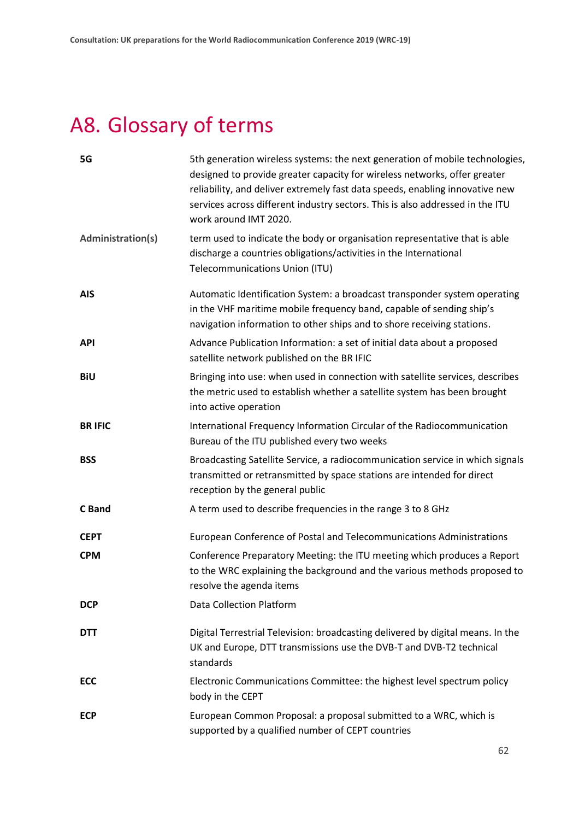# <span id="page-61-0"></span>A8. Glossary of terms

| 5G                | 5th generation wireless systems: the next generation of mobile technologies,<br>designed to provide greater capacity for wireless networks, offer greater<br>reliability, and deliver extremely fast data speeds, enabling innovative new<br>services across different industry sectors. This is also addressed in the ITU<br>work around IMT 2020. |
|-------------------|-----------------------------------------------------------------------------------------------------------------------------------------------------------------------------------------------------------------------------------------------------------------------------------------------------------------------------------------------------|
| Administration(s) | term used to indicate the body or organisation representative that is able<br>discharge a countries obligations/activities in the International<br>Telecommunications Union (ITU)                                                                                                                                                                   |
| <b>AIS</b>        | Automatic Identification System: a broadcast transponder system operating<br>in the VHF maritime mobile frequency band, capable of sending ship's<br>navigation information to other ships and to shore receiving stations.                                                                                                                         |
| <b>API</b>        | Advance Publication Information: a set of initial data about a proposed<br>satellite network published on the BR IFIC                                                                                                                                                                                                                               |
| <b>BiU</b>        | Bringing into use: when used in connection with satellite services, describes<br>the metric used to establish whether a satellite system has been brought<br>into active operation                                                                                                                                                                  |
| <b>BR IFIC</b>    | International Frequency Information Circular of the Radiocommunication<br>Bureau of the ITU published every two weeks                                                                                                                                                                                                                               |
| <b>BSS</b>        | Broadcasting Satellite Service, a radiocommunication service in which signals<br>transmitted or retransmitted by space stations are intended for direct<br>reception by the general public                                                                                                                                                          |
| C Band            | A term used to describe frequencies in the range 3 to 8 GHz                                                                                                                                                                                                                                                                                         |
| <b>CEPT</b>       | European Conference of Postal and Telecommunications Administrations                                                                                                                                                                                                                                                                                |
| <b>CPM</b>        | Conference Preparatory Meeting: the ITU meeting which produces a Report<br>to the WRC explaining the background and the various methods proposed to<br>resolve the agenda items                                                                                                                                                                     |
| <b>DCP</b>        | <b>Data Collection Platform</b>                                                                                                                                                                                                                                                                                                                     |
| <b>DTT</b>        | Digital Terrestrial Television: broadcasting delivered by digital means. In the<br>UK and Europe, DTT transmissions use the DVB-T and DVB-T2 technical<br>standards                                                                                                                                                                                 |
| <b>ECC</b>        | Electronic Communications Committee: the highest level spectrum policy<br>body in the CEPT                                                                                                                                                                                                                                                          |
| <b>ECP</b>        | European Common Proposal: a proposal submitted to a WRC, which is<br>supported by a qualified number of CEPT countries                                                                                                                                                                                                                              |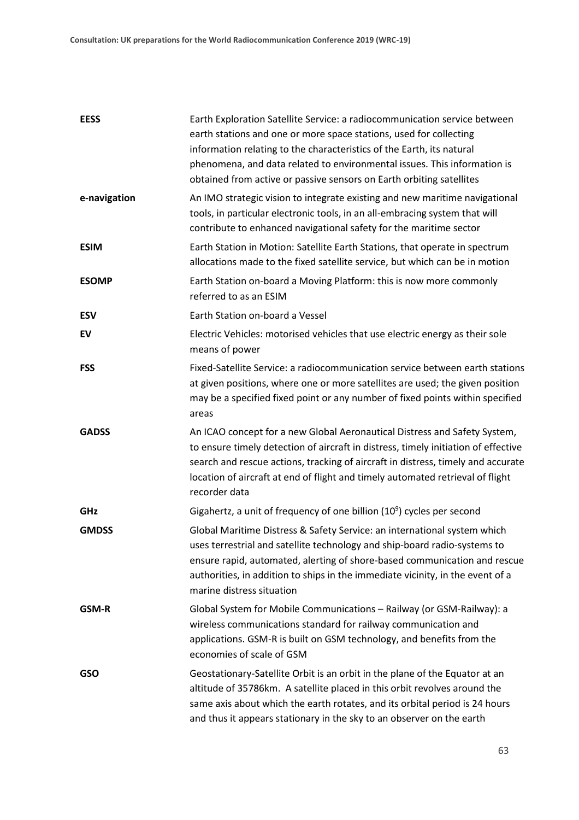| <b>EESS</b>  | Earth Exploration Satellite Service: a radiocommunication service between<br>earth stations and one or more space stations, used for collecting<br>information relating to the characteristics of the Earth, its natural<br>phenomena, and data related to environmental issues. This information is<br>obtained from active or passive sensors on Earth orbiting satellites |
|--------------|------------------------------------------------------------------------------------------------------------------------------------------------------------------------------------------------------------------------------------------------------------------------------------------------------------------------------------------------------------------------------|
| e-navigation | An IMO strategic vision to integrate existing and new maritime navigational<br>tools, in particular electronic tools, in an all-embracing system that will<br>contribute to enhanced navigational safety for the maritime sector                                                                                                                                             |
| <b>ESIM</b>  | Earth Station in Motion: Satellite Earth Stations, that operate in spectrum<br>allocations made to the fixed satellite service, but which can be in motion                                                                                                                                                                                                                   |
| <b>ESOMP</b> | Earth Station on-board a Moving Platform: this is now more commonly<br>referred to as an ESIM                                                                                                                                                                                                                                                                                |
| <b>ESV</b>   | Earth Station on-board a Vessel                                                                                                                                                                                                                                                                                                                                              |
| EV           | Electric Vehicles: motorised vehicles that use electric energy as their sole<br>means of power                                                                                                                                                                                                                                                                               |
| <b>FSS</b>   | Fixed-Satellite Service: a radiocommunication service between earth stations<br>at given positions, where one or more satellites are used; the given position<br>may be a specified fixed point or any number of fixed points within specified<br>areas                                                                                                                      |
| <b>GADSS</b> | An ICAO concept for a new Global Aeronautical Distress and Safety System,<br>to ensure timely detection of aircraft in distress, timely initiation of effective<br>search and rescue actions, tracking of aircraft in distress, timely and accurate<br>location of aircraft at end of flight and timely automated retrieval of flight<br>recorder data                       |
| GHz          | Gigahertz, a unit of frequency of one billion $(10^9)$ cycles per second                                                                                                                                                                                                                                                                                                     |
| <b>GMDSS</b> | Global Maritime Distress & Safety Service: an international system which<br>uses terrestrial and satellite technology and ship-board radio-systems to<br>ensure rapid, automated, alerting of shore-based communication and rescue<br>authorities, in addition to ships in the immediate vicinity, in the event of a<br>marine distress situation                            |
| <b>GSM-R</b> | Global System for Mobile Communications - Railway (or GSM-Railway): a<br>wireless communications standard for railway communication and<br>applications. GSM-R is built on GSM technology, and benefits from the<br>economies of scale of GSM                                                                                                                                |
| <b>GSO</b>   | Geostationary-Satellite Orbit is an orbit in the plane of the Equator at an<br>altitude of 35786km. A satellite placed in this orbit revolves around the<br>same axis about which the earth rotates, and its orbital period is 24 hours<br>and thus it appears stationary in the sky to an observer on the earth                                                             |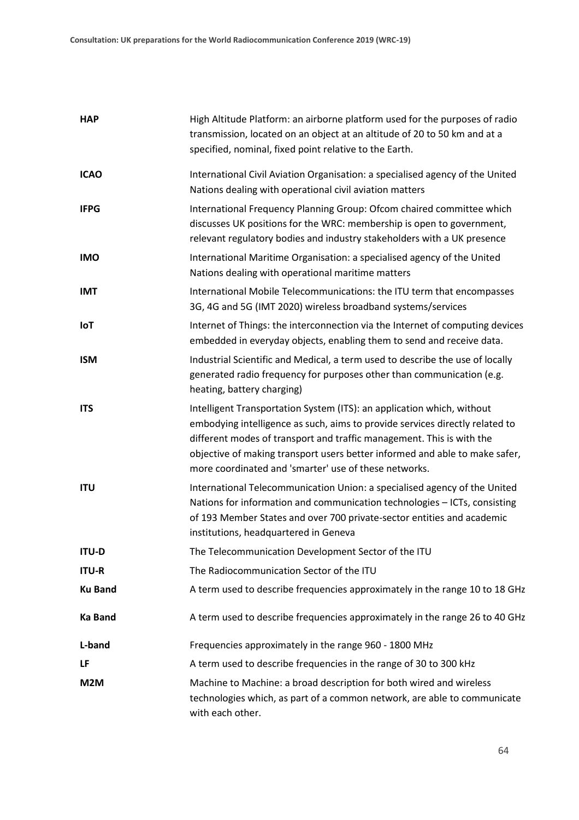| <b>HAP</b>     | High Altitude Platform: an airborne platform used for the purposes of radio<br>transmission, located on an object at an altitude of 20 to 50 km and at a<br>specified, nominal, fixed point relative to the Earth.                                                                                                                                                      |
|----------------|-------------------------------------------------------------------------------------------------------------------------------------------------------------------------------------------------------------------------------------------------------------------------------------------------------------------------------------------------------------------------|
| <b>ICAO</b>    | International Civil Aviation Organisation: a specialised agency of the United<br>Nations dealing with operational civil aviation matters                                                                                                                                                                                                                                |
| <b>IFPG</b>    | International Frequency Planning Group: Ofcom chaired committee which<br>discusses UK positions for the WRC: membership is open to government,<br>relevant regulatory bodies and industry stakeholders with a UK presence                                                                                                                                               |
| <b>IMO</b>     | International Maritime Organisation: a specialised agency of the United<br>Nations dealing with operational maritime matters                                                                                                                                                                                                                                            |
| <b>IMT</b>     | International Mobile Telecommunications: the ITU term that encompasses<br>3G, 4G and 5G (IMT 2020) wireless broadband systems/services                                                                                                                                                                                                                                  |
| <b>IoT</b>     | Internet of Things: the interconnection via the Internet of computing devices<br>embedded in everyday objects, enabling them to send and receive data.                                                                                                                                                                                                                  |
| <b>ISM</b>     | Industrial Scientific and Medical, a term used to describe the use of locally<br>generated radio frequency for purposes other than communication (e.g.<br>heating, battery charging)                                                                                                                                                                                    |
| <b>ITS</b>     | Intelligent Transportation System (ITS): an application which, without<br>embodying intelligence as such, aims to provide services directly related to<br>different modes of transport and traffic management. This is with the<br>objective of making transport users better informed and able to make safer,<br>more coordinated and 'smarter' use of these networks. |
| <b>ITU</b>     | International Telecommunication Union: a specialised agency of the United<br>Nations for information and communication technologies - ICTs, consisting<br>of 193 Member States and over 700 private-sector entities and academic<br>institutions, headquartered in Geneva                                                                                               |
| <b>ITU-D</b>   | The Telecommunication Development Sector of the ITU                                                                                                                                                                                                                                                                                                                     |
| <b>ITU-R</b>   | The Radiocommunication Sector of the ITU                                                                                                                                                                                                                                                                                                                                |
| <b>Ku Band</b> | A term used to describe frequencies approximately in the range 10 to 18 GHz                                                                                                                                                                                                                                                                                             |
| <b>Ka Band</b> | A term used to describe frequencies approximately in the range 26 to 40 GHz                                                                                                                                                                                                                                                                                             |
| L-band         | Frequencies approximately in the range 960 - 1800 MHz                                                                                                                                                                                                                                                                                                                   |
| LF             | A term used to describe frequencies in the range of 30 to 300 kHz                                                                                                                                                                                                                                                                                                       |
| M2M            | Machine to Machine: a broad description for both wired and wireless<br>technologies which, as part of a common network, are able to communicate<br>with each other.                                                                                                                                                                                                     |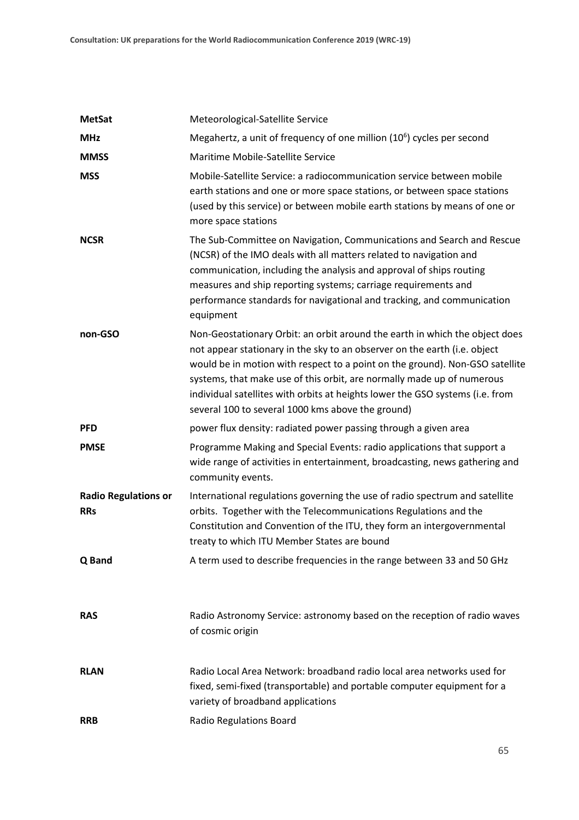| <b>MetSat</b>                             | Meteorological-Satellite Service                                                                                                                                                                                                                                                                                                                                                                                                                         |
|-------------------------------------------|----------------------------------------------------------------------------------------------------------------------------------------------------------------------------------------------------------------------------------------------------------------------------------------------------------------------------------------------------------------------------------------------------------------------------------------------------------|
| <b>MHz</b>                                | Megahertz, a unit of frequency of one million $(10^6)$ cycles per second                                                                                                                                                                                                                                                                                                                                                                                 |
| <b>MMSS</b>                               | Maritime Mobile-Satellite Service                                                                                                                                                                                                                                                                                                                                                                                                                        |
| <b>MSS</b>                                | Mobile-Satellite Service: a radiocommunication service between mobile<br>earth stations and one or more space stations, or between space stations<br>(used by this service) or between mobile earth stations by means of one or<br>more space stations                                                                                                                                                                                                   |
| <b>NCSR</b>                               | The Sub-Committee on Navigation, Communications and Search and Rescue<br>(NCSR) of the IMO deals with all matters related to navigation and<br>communication, including the analysis and approval of ships routing<br>measures and ship reporting systems; carriage requirements and<br>performance standards for navigational and tracking, and communication<br>equipment                                                                              |
| non-GSO                                   | Non-Geostationary Orbit: an orbit around the earth in which the object does<br>not appear stationary in the sky to an observer on the earth (i.e. object<br>would be in motion with respect to a point on the ground). Non-GSO satellite<br>systems, that make use of this orbit, are normally made up of numerous<br>individual satellites with orbits at heights lower the GSO systems (i.e. from<br>several 100 to several 1000 kms above the ground) |
| <b>PFD</b>                                | power flux density: radiated power passing through a given area                                                                                                                                                                                                                                                                                                                                                                                          |
| <b>PMSE</b>                               | Programme Making and Special Events: radio applications that support a<br>wide range of activities in entertainment, broadcasting, news gathering and<br>community events.                                                                                                                                                                                                                                                                               |
| <b>Radio Regulations or</b><br><b>RRs</b> | International regulations governing the use of radio spectrum and satellite<br>orbits. Together with the Telecommunications Regulations and the<br>Constitution and Convention of the ITU, they form an intergovernmental<br>treaty to which ITU Member States are bound                                                                                                                                                                                 |
| Q Band                                    | A term used to describe frequencies in the range between 33 and 50 GHz                                                                                                                                                                                                                                                                                                                                                                                   |
| <b>RAS</b>                                | Radio Astronomy Service: astronomy based on the reception of radio waves<br>of cosmic origin                                                                                                                                                                                                                                                                                                                                                             |
| <b>RLAN</b>                               | Radio Local Area Network: broadband radio local area networks used for<br>fixed, semi-fixed (transportable) and portable computer equipment for a<br>variety of broadband applications                                                                                                                                                                                                                                                                   |
| <b>RRB</b>                                | Radio Regulations Board                                                                                                                                                                                                                                                                                                                                                                                                                                  |